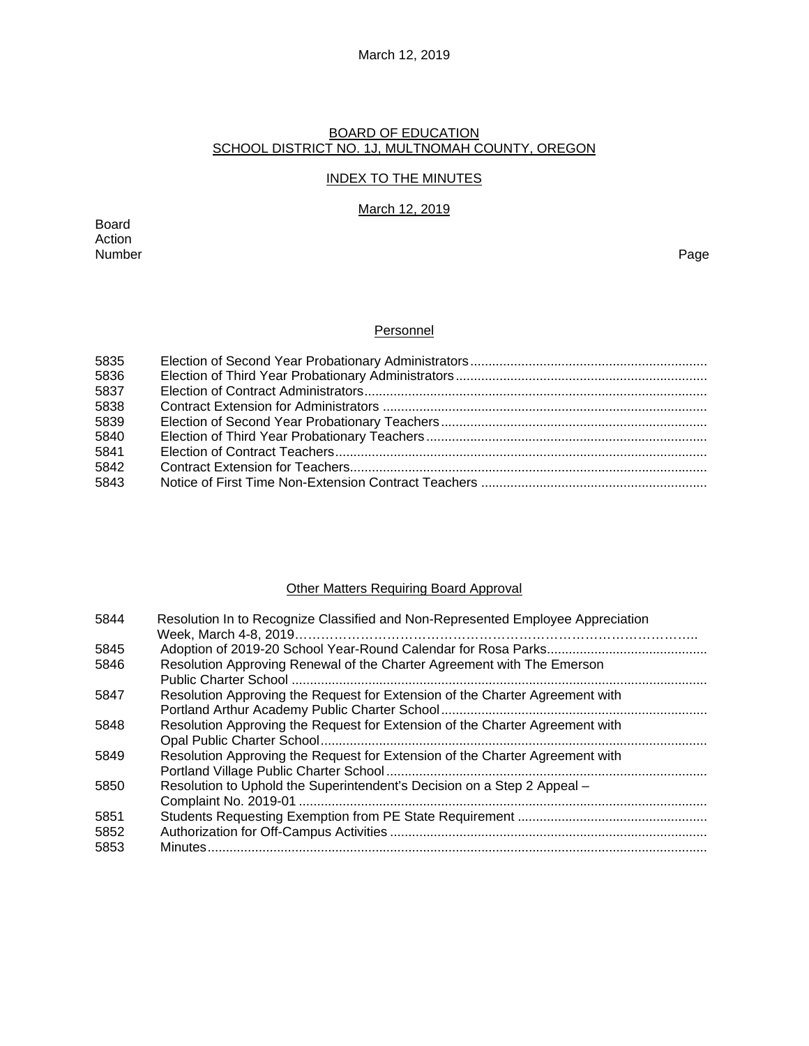# March 12, 2019

# BOARD OF EDUCATION SCHOOL DISTRICT NO. 1J, MULTNOMAH COUNTY, OREGON

# INDEX TO THE MINUTES

# March 12, 2019

Board Action Number Page

# **Personnel**

| 5835 |  |
|------|--|
| 5836 |  |
| 5837 |  |
| 5838 |  |
| 5839 |  |
| 5840 |  |
| 5841 |  |
| 5842 |  |
| 5843 |  |
|      |  |

# Other Matters Requiring Board Approval

| 5844 | Resolution In to Recognize Classified and Non-Represented Employee Appreciation |  |  |
|------|---------------------------------------------------------------------------------|--|--|
|      |                                                                                 |  |  |
| 5845 |                                                                                 |  |  |
| 5846 | Resolution Approving Renewal of the Charter Agreement with The Emerson          |  |  |
|      |                                                                                 |  |  |
| 5847 | Resolution Approving the Request for Extension of the Charter Agreement with    |  |  |
|      |                                                                                 |  |  |
| 5848 | Resolution Approving the Request for Extension of the Charter Agreement with    |  |  |
|      |                                                                                 |  |  |
| 5849 | Resolution Approving the Request for Extension of the Charter Agreement with    |  |  |
|      |                                                                                 |  |  |
| 5850 | Resolution to Uphold the Superintendent's Decision on a Step 2 Appeal -         |  |  |
|      |                                                                                 |  |  |
| 5851 |                                                                                 |  |  |
| 5852 |                                                                                 |  |  |
| 5853 |                                                                                 |  |  |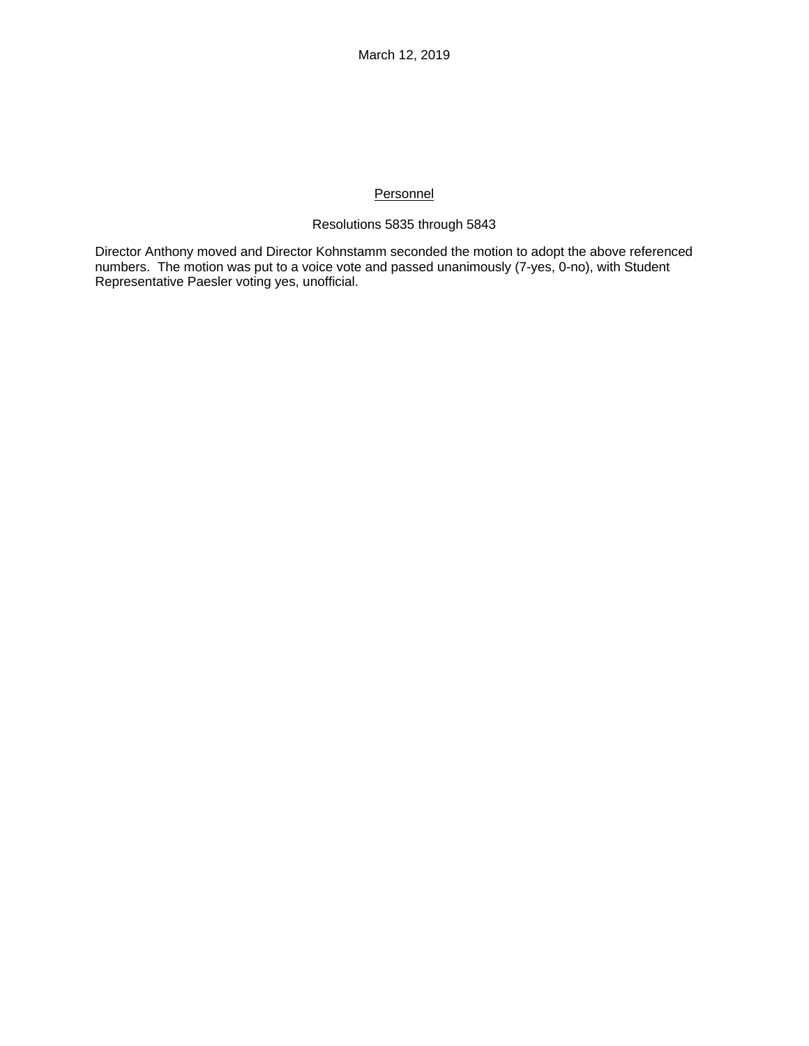# **Personnel**

# Resolutions 5835 through 5843

Director Anthony moved and Director Kohnstamm seconded the motion to adopt the above referenced numbers. The motion was put to a voice vote and passed unanimously (7-yes, 0-no), with Student Representative Paesler voting yes, unofficial.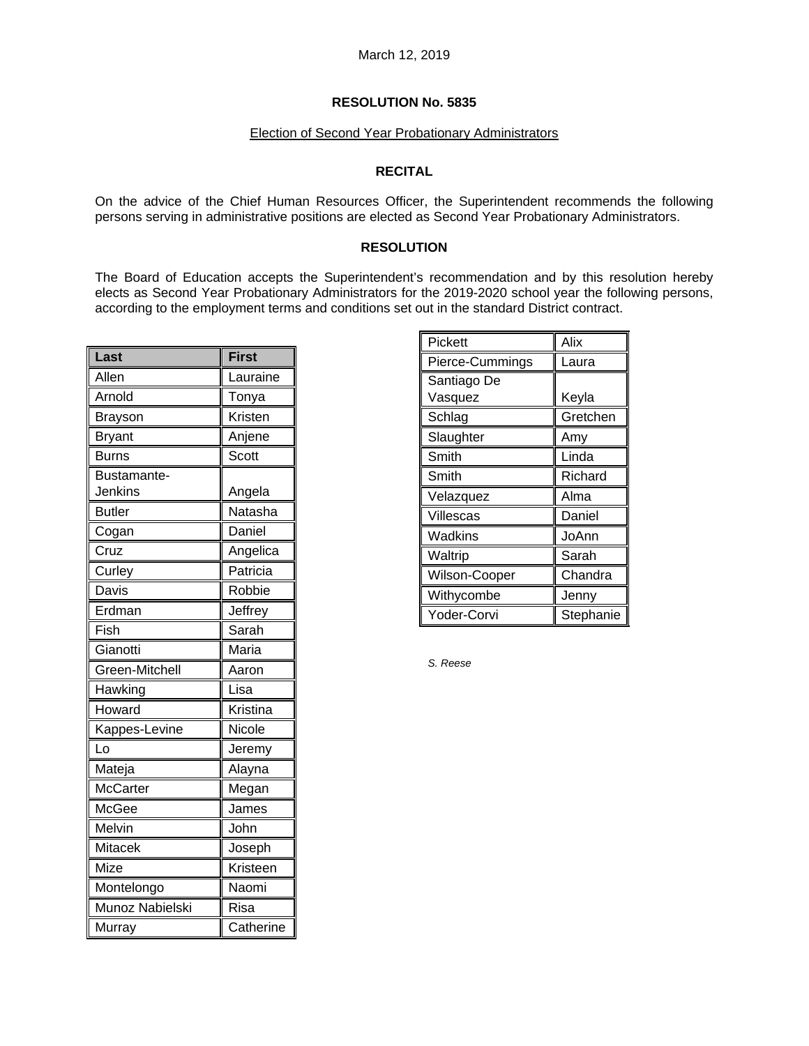# Election of Second Year Probationary Administrators

# **RECITAL**

On the advice of the Chief Human Resources Officer, the Superintendent recommends the following persons serving in administrative positions are elected as Second Year Probationary Administrators.

# **RESOLUTION**

The Board of Education accepts the Superintendent's recommendation and by this resolution hereby elects as Second Year Probationary Administrators for the 2019-2020 school year the following persons, according to the employment terms and conditions set out in the standard District contract.

| Last            | <b>First</b> |
|-----------------|--------------|
| Allen           | Lauraine     |
| Arnold          | Tonya        |
| <b>Brayson</b>  | Kristen      |
| <b>Bryant</b>   | Anjene       |
| <b>Burns</b>    | Scott        |
| Bustamante-     |              |
| <b>Jenkins</b>  | Angela       |
| <b>Butler</b>   | Natasha      |
| Cogan           | Daniel       |
| Cruz            | Angelica     |
| Curley          | Patricia     |
| Davis           | Robbie       |
| Erdman          | Jeffrey      |
| Fish            | Sarah        |
| Gianotti        | Maria        |
| Green-Mitchell  | Aaron        |
| Hawking         | Lisa         |
| Howard          | Kristina     |
| Kappes-Levine   | Nicole       |
| Lo              | Jeremy       |
| Mateja          | Alayna       |
| <b>McCarter</b> | Megan        |
| McGee           | James        |
| Melvin          | John         |
| Mitacek         | Joseph       |
| Mize            | Kristeen     |
| Montelongo      | Naomi        |
| Munoz Nabielski | Risa         |
| Murray          | Catherine    |

| Pickett         | Alix      |
|-----------------|-----------|
| Pierce-Cummings | Laura     |
| Santiago De     |           |
| Vasquez         | Keyla     |
| Schlag          | Gretchen  |
| Slaughter       | Amy       |
| Smith           | Linda     |
| Smith           | Richard   |
| Velazquez       | Alma      |
| Villescas       | Daniel    |
| Wadkins         | JoAnn     |
| Waltrip         | Sarah     |
| Wilson-Cooper   | Chandra   |
| Withycombe      | Jenny     |
| Yoder-Corvi     | Stephanie |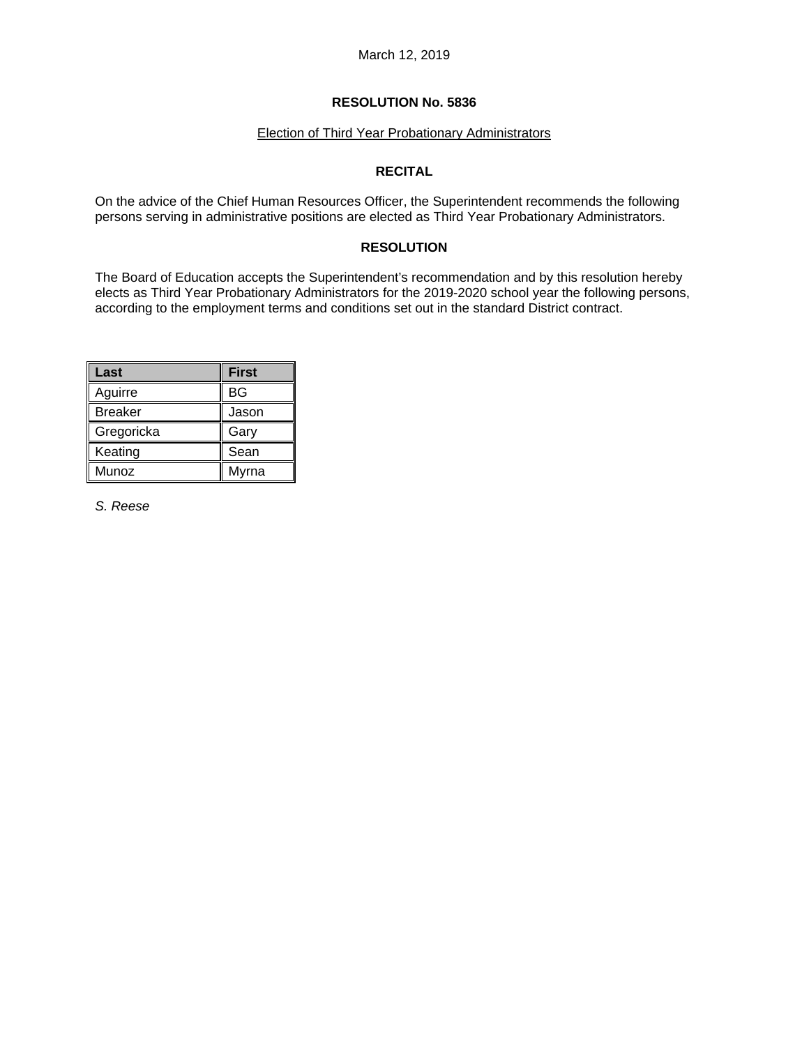# Election of Third Year Probationary Administrators

# **RECITAL**

On the advice of the Chief Human Resources Officer, the Superintendent recommends the following persons serving in administrative positions are elected as Third Year Probationary Administrators.

# **RESOLUTION**

The Board of Education accepts the Superintendent's recommendation and by this resolution hereby elects as Third Year Probationary Administrators for the 2019-2020 school year the following persons, according to the employment terms and conditions set out in the standard District contract.

| Last           | <b>First</b> |
|----------------|--------------|
| Aguirre        | BG           |
| <b>Breaker</b> | Jason        |
| Gregoricka     | Gary         |
| Keating        | Sean         |
| Munoz          | Myrna        |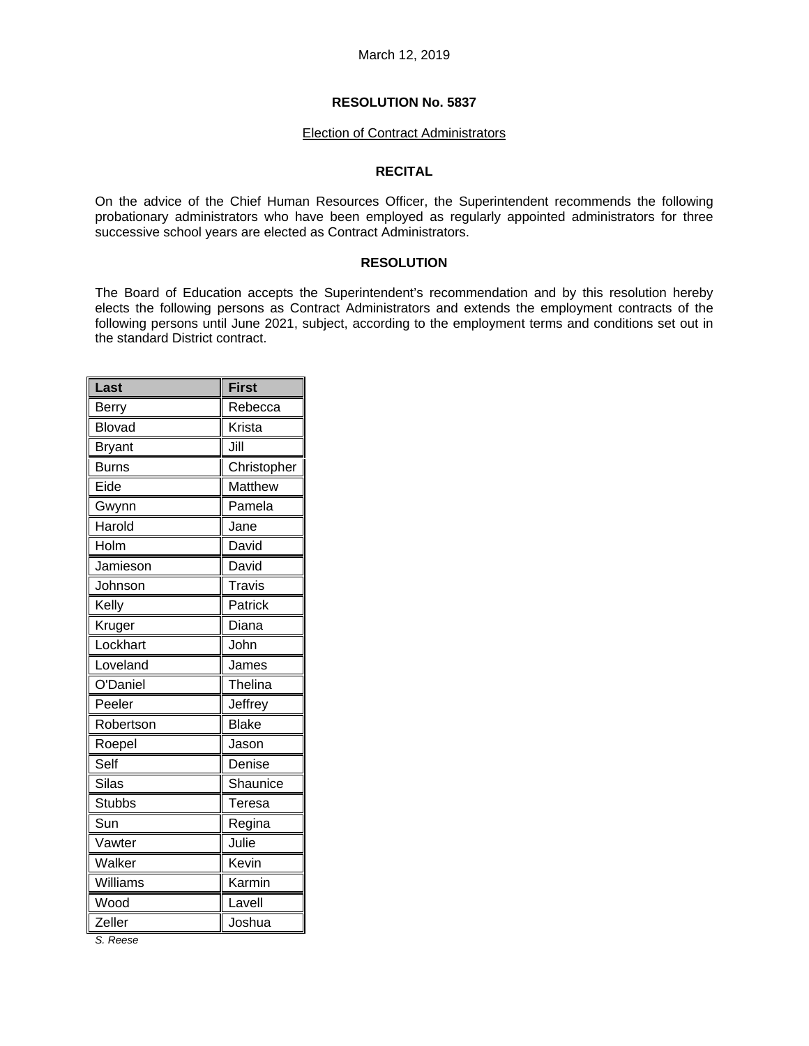#### Election of Contract Administrators

### **RECITAL**

On the advice of the Chief Human Resources Officer, the Superintendent recommends the following probationary administrators who have been employed as regularly appointed administrators for three successive school years are elected as Contract Administrators.

# **RESOLUTION**

The Board of Education accepts the Superintendent's recommendation and by this resolution hereby elects the following persons as Contract Administrators and extends the employment contracts of the following persons until June 2021, subject, according to the employment terms and conditions set out in the standard District contract.

| Last          | <b>First</b>  |
|---------------|---------------|
| Berry         | Rebecca       |
| <b>Blovad</b> | Krista        |
| <b>Bryant</b> | Jill          |
| <b>Burns</b>  | Christopher   |
| Eide          | Matthew       |
| Gwynn         | Pamela        |
| Harold        | Jane          |
| Holm          | David         |
| Jamieson      | David         |
| Johnson       | <b>Travis</b> |
| Kelly         | Patrick       |
| Kruger        | Diana         |
| Lockhart      | John          |
| Loveland      | James         |
| O'Daniel      | Thelina       |
| Peeler        | Jeffrey       |
| Robertson     | <b>Blake</b>  |
| Roepel        | Jason         |
| Self          | Denise        |
| <b>Silas</b>  | Shaunice      |
| <b>Stubbs</b> | Teresa        |
| Sun           | Regina        |
| Vawter        | Julie         |
| Walker        | Kevin         |
| Williams      | Karmin        |
| Wood          | Lavell        |
| Zeller        | Joshua        |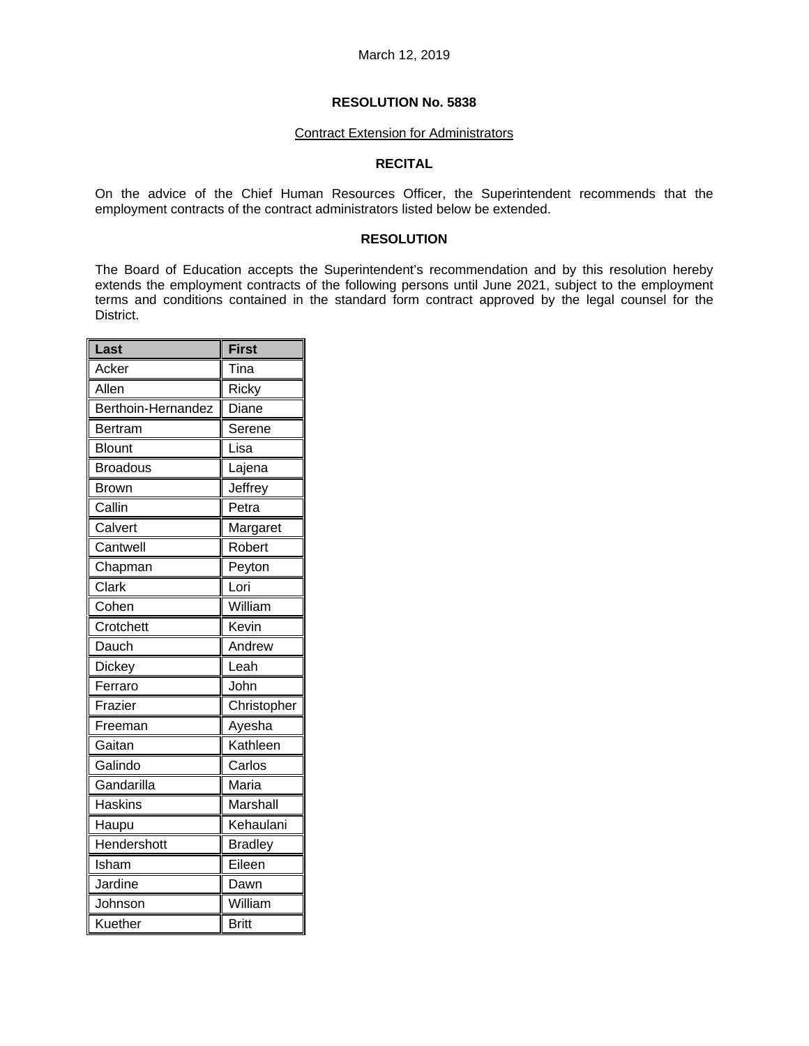#### Contract Extension for Administrators

# **RECITAL**

On the advice of the Chief Human Resources Officer, the Superintendent recommends that the employment contracts of the contract administrators listed below be extended.

### **RESOLUTION**

The Board of Education accepts the Superintendent's recommendation and by this resolution hereby extends the employment contracts of the following persons until June 2021, subject to the employment terms and conditions contained in the standard form contract approved by the legal counsel for the District.

| Last               | <b>First</b>   |
|--------------------|----------------|
| Acker              | Tina           |
| Allen              | Ricky          |
| Berthoin-Hernandez | Diane          |
| Bertram            | Serene         |
| <b>Blount</b>      | Lisa           |
| <b>Broadous</b>    | Lajena         |
| <b>Brown</b>       | Jeffrey        |
| Callin             | Petra          |
| Calvert            | Margaret       |
| Cantwell           | Robert         |
| Chapman            | Peyton         |
| Clark              | Lori           |
| Cohen              | William        |
| Crotchett          | Kevin          |
| Dauch              | Andrew         |
| Dickey             | Leah           |
| Ferraro            | John           |
| Frazier            | Christopher    |
| Freeman            | Ayesha         |
| Gaitan             | Kathleen       |
| Galindo            | Carlos         |
| Gandarilla         | Maria          |
| <b>Haskins</b>     | Marshall       |
| Haupu              | Kehaulani      |
| Hendershott        | <b>Bradley</b> |
| Isham              | Eileen         |
| Jardine            | Dawn           |
| Johnson            | William        |
| Kuether            | <b>Britt</b>   |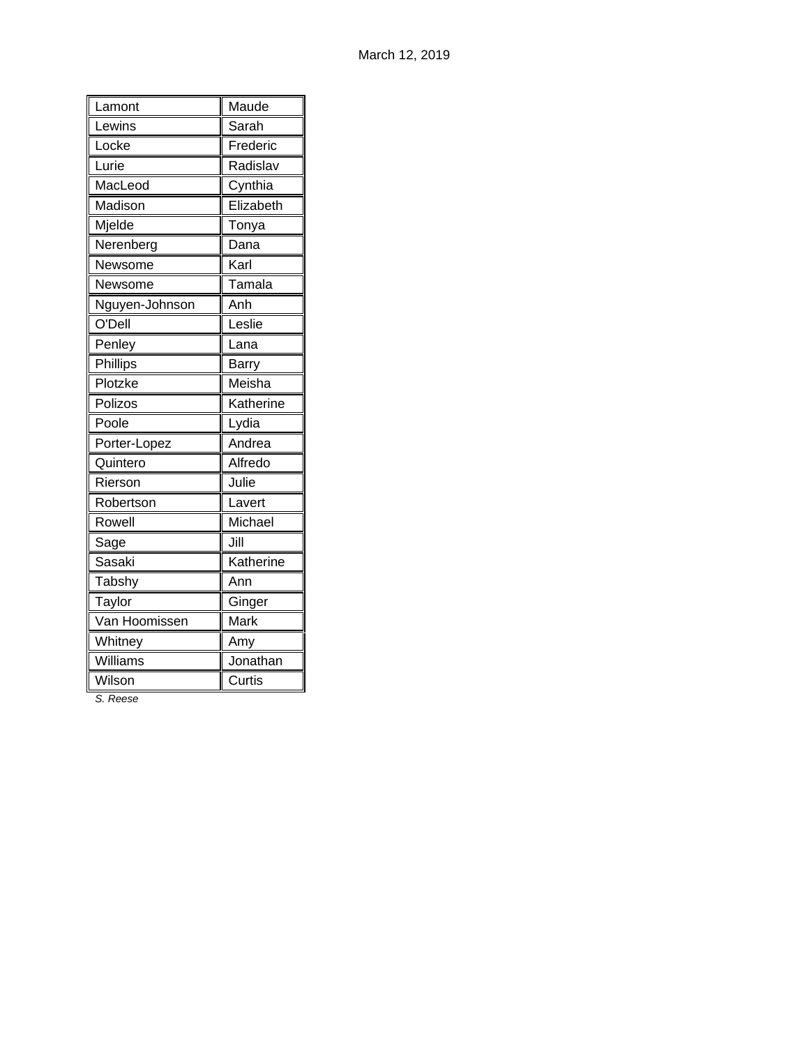| Lamont          | Maude     |
|-----------------|-----------|
| Lewins          | Sarah     |
| Locke           | Frederic  |
| Lurie           | Radislav  |
| MacLeod         | Cynthia   |
| Madison         | Elizabeth |
| Mjelde          | Tonya     |
| Nerenberg       | Dana      |
| Newsome         | Karl      |
| Newsome         | Tamala    |
| Nguyen-Johnson  | Anh       |
| O'Dell          | Leslie    |
| Penley          | Lana      |
| <b>Phillips</b> | Barry     |
| Plotzke         | Meisha    |
| Polizos         | Katherine |
| Poole           | Lydia     |
| Porter-Lopez    | Andrea    |
| Quintero        | Alfredo   |
| Rierson         | Julie     |
| Robertson       | Lavert    |
| Rowell          | Michael   |
| Sage            | Jill      |
| Sasaki          | Katherine |
| Tabshy          | Ann       |
| Taylor          | Ginger    |
| Van Hoomissen   | Mark      |
| Whitney         | Amy       |
| Williams        | Jonathan  |
| Wilson          | Curtis    |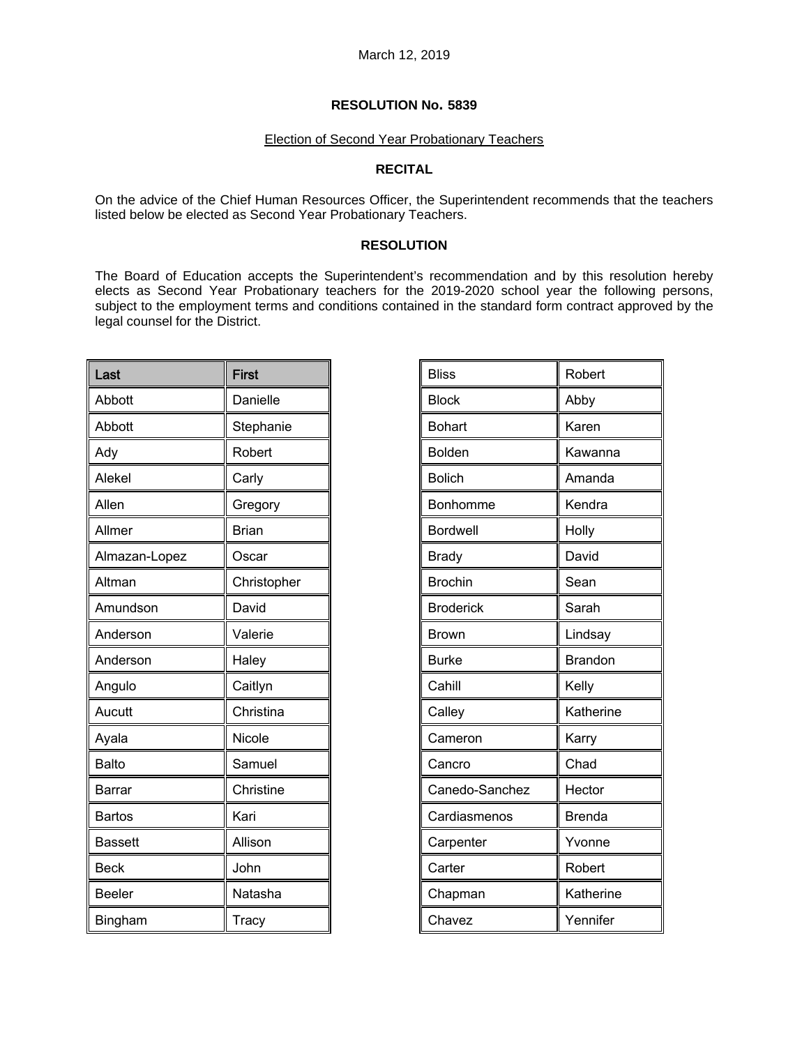### Election of Second Year Probationary Teachers

# **RECITAL**

On the advice of the Chief Human Resources Officer, the Superintendent recommends that the teachers listed below be elected as Second Year Probationary Teachers.

# **RESOLUTION**

The Board of Education accepts the Superintendent's recommendation and by this resolution hereby elects as Second Year Probationary teachers for the 2019-2020 school year the following persons, subject to the employment terms and conditions contained in the standard form contract approved by the legal counsel for the District.

| Last           | <b>First</b> |
|----------------|--------------|
| Abbott         | Danielle     |
| Abbott         | Stephanie    |
| Ady            | Robert       |
| Alekel         | Carly        |
| Allen          | Gregory      |
| Allmer         | <b>Brian</b> |
| Almazan-Lopez  | Oscar        |
| Altman         | Christopher  |
| Amundson       | David        |
| Anderson       | Valerie      |
| Anderson       | Haley        |
| Angulo         | Caitlyn      |
| Aucutt         | Christina    |
| Ayala          | Nicole       |
| <b>Balto</b>   | Samuel       |
| <b>Barrar</b>  | Christine    |
| <b>Bartos</b>  | Kari         |
| <b>Bassett</b> | Allison      |
| <b>Beck</b>    | John         |
| <b>Beeler</b>  | Natasha      |
| Bingham        | <b>Tracy</b> |

| <b>Bliss</b>     | Robert        |
|------------------|---------------|
| <b>Block</b>     | Abby          |
| <b>Bohart</b>    | Karen         |
| <b>Bolden</b>    | Kawanna       |
| <b>Bolich</b>    | Amanda        |
| Bonhomme         | Kendra        |
| <b>Bordwell</b>  | Holly         |
| <b>Brady</b>     | David         |
| <b>Brochin</b>   | Sean          |
| <b>Broderick</b> | Sarah         |
| Brown            | Lindsay       |
| <b>Burke</b>     | Brandon       |
| Cahill           | Kelly         |
| Calley           | Katherine     |
| Cameron          | Karry         |
| Cancro           | Chad          |
| Canedo-Sanchez   | Hector        |
| Cardiasmenos     | <b>Brenda</b> |
| Carpenter        | Yvonne        |
| Carter           | Robert        |
| Chapman          | Katherine     |
| Chavez           | Yennifer      |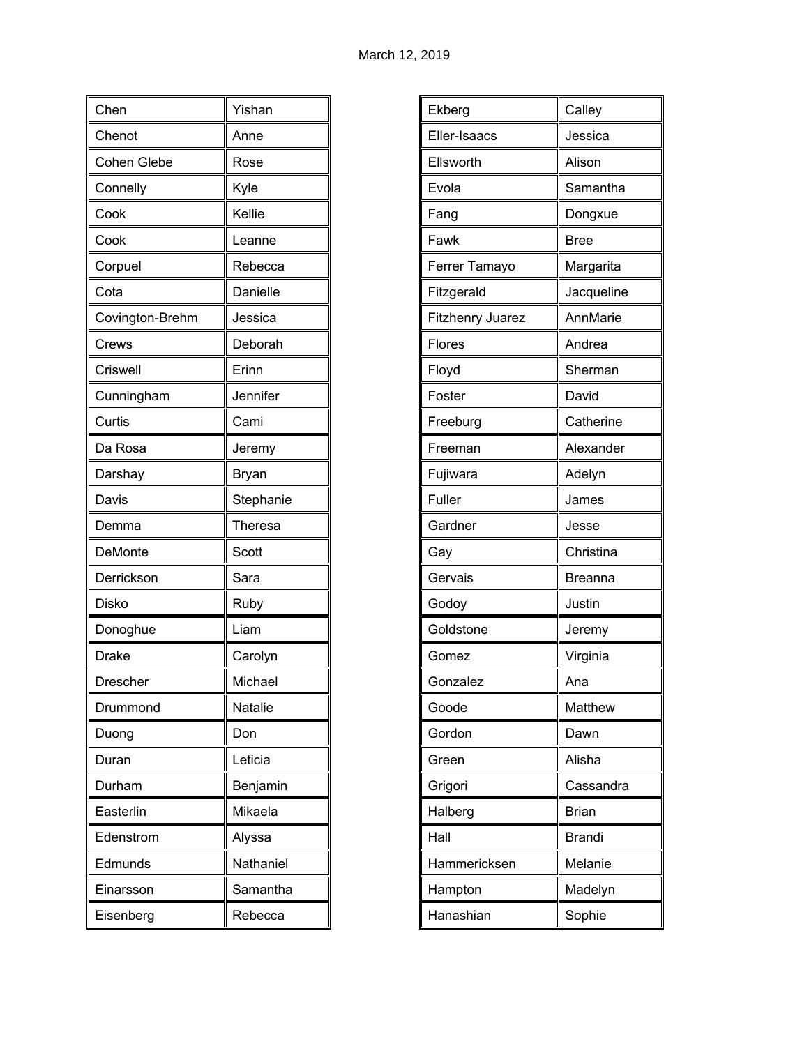| Chen               | Yishan         |
|--------------------|----------------|
| Chenot             | Anne           |
| <b>Cohen Glebe</b> | Rose           |
| Connelly           | Kyle           |
| Cook               | Kellie         |
| Cook               | Leanne         |
| Corpuel            | Rebecca        |
| Cota               | Danielle       |
| Covington-Brehm    | Jessica        |
| Crews              | Deborah        |
| Criswell           | Erinn          |
| Cunningham         | Jennifer       |
| Curtis             | Cami           |
| Da Rosa            | Jeremy         |
| Darshay            | Bryan          |
| Davis              | Stephanie      |
| Demma              | Theresa        |
| DeMonte            | Scott          |
| Derrickson         | Sara           |
| Disko              | Ruby           |
| Donoghue           | Liam           |
| <b>Drake</b>       | Carolyn        |
| Drescher           | Michael        |
| Drummond           | <b>Natalie</b> |
| Duong              | Don            |
| Duran              | Leticia        |
| Durham             | Benjamin       |
| Easterlin          | Mikaela        |
| Edenstrom          | Alyssa         |
| Edmunds            | Nathaniel      |
| Einarsson          | Samantha       |
| Eisenberg          | Rebecca        |

| Ekberg                  | Calley        |
|-------------------------|---------------|
|                         |               |
| Eller-Isaacs            | Jessica       |
| Ellsworth               | Alison        |
| Evola                   | Samantha      |
| Fang                    | Dongxue       |
| Fawk                    | <b>Bree</b>   |
| Ferrer Tamayo           | Margarita     |
| Fitzgerald              | Jacqueline    |
| <b>Fitzhenry Juarez</b> | AnnMarie      |
| Flores                  | Andrea        |
| Floyd                   | Sherman       |
| Foster                  | David         |
| Freeburg                | Catherine     |
| Freeman                 | Alexander     |
| Fujiwara                | Adelyn        |
| Fuller                  | James         |
| Gardner                 | Jesse         |
| Gay                     | Christina     |
| Gervais                 | Breanna       |
| Godoy                   | Justin        |
| Goldstone               | Jeremy        |
| Gomez                   | Virginia      |
| Gonzalez                | Ana           |
| Goode                   | Matthew       |
| Gordon                  | Dawn          |
| Green                   | Alisha        |
| Grigori                 | Cassandra     |
| Halberg                 | <b>Brian</b>  |
| Hall                    | <b>Brandi</b> |
| Hammericksen            | Melanie       |
| Hampton                 | Madelyn       |
| Hanashian               | Sophie        |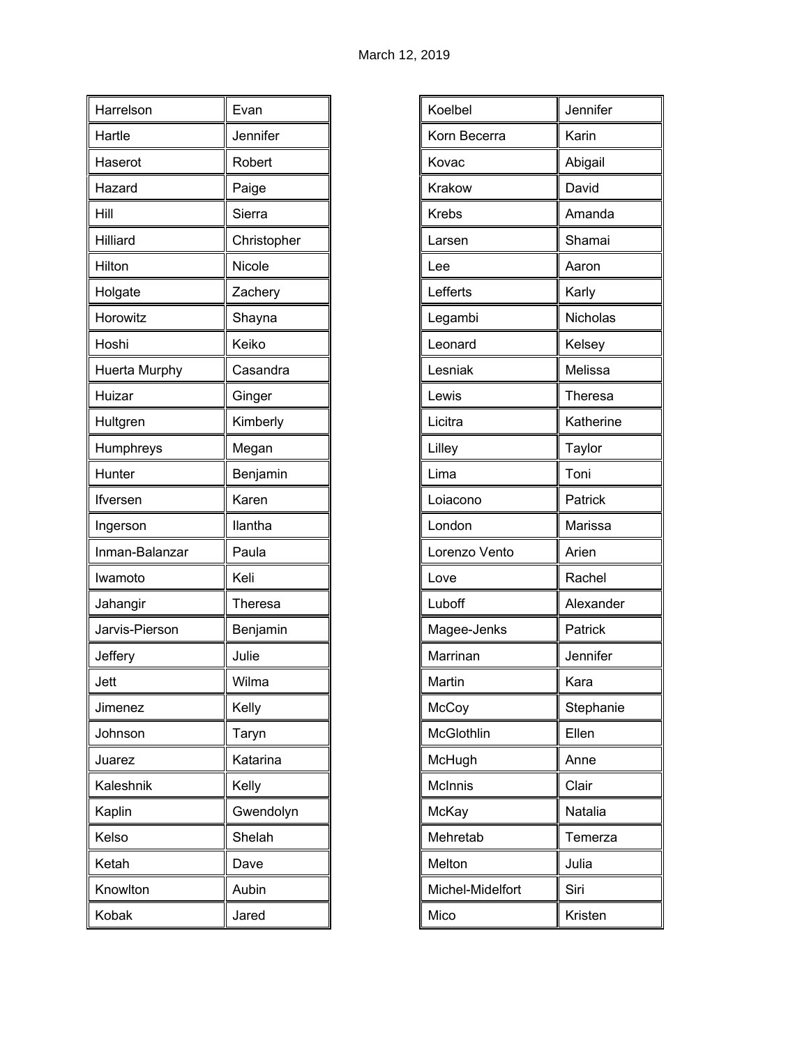| Harrelson      | Evan        |
|----------------|-------------|
| Hartle         | Jennifer    |
| Haserot        | Robert      |
| Hazard         | Paige       |
| Hill           | Sierra      |
| Hilliard       | Christopher |
| Hilton         | Nicole      |
| Holgate        | Zachery     |
| Horowitz       | Shayna      |
| Hoshi          | Keiko       |
| Huerta Murphy  | Casandra    |
| Huizar         | Ginger      |
| Hultgren       | Kimberly    |
| Humphreys      | Megan       |
| Hunter         | Benjamin    |
| lfversen       | Karen       |
| Ingerson       | llantha     |
| Inman-Balanzar | Paula       |
| Iwamoto        | Keli        |
| Jahangir       | Theresa     |
| Jarvis-Pierson | Benjamin    |
| Jeffery        | Julie       |
| Jett           | Wilma       |
| Jimenez        | Kelly       |
| Johnson        | Taryn       |
| Juarez         | Katarina    |
| Kaleshnik      | Kelly       |
| Kaplin         | Gwendolyn   |
| Kelso          | Shelah      |
| Ketah          | Dave        |
| Knowlton       | Aubin       |
| Kobak          | Jared       |

| Jennifer<br>Koelbel<br>Korn Becerra<br>Karin<br>Abigail<br>Kovac<br>David<br>Krakow<br>Amanda<br><b>Krebs</b><br>Shamai<br>Larsen<br>Lee<br>Aaron<br>Lefferts<br>Karly<br>Nicholas<br>Legambi<br>Kelsey<br>Leonard<br>Melissa<br>Lesniak<br>Lewis<br>Theresa<br>Licitra<br>Katherine<br>Lilley<br>Taylor<br>Toni<br>Lima<br>Patrick<br>Loiacono<br>Marissa<br>London<br>Arien<br>Lorenzo Vento<br>Rachel<br>Love<br>Luboff<br>Alexander<br>Magee-Jenks<br>Patrick<br>Jennifer<br>Marrinan<br>Martin<br>Kara<br>McCoy<br>Stephanie<br>McGlothlin<br>Ellen<br>McHugh<br>Anne<br>McInnis<br>Clair<br>Natalia<br>McKay<br>Mehretab<br>Temerza<br>Melton<br>Julia<br>Michel-Midelfort<br>Siri<br>Mico<br>Kristen |  |
|-------------------------------------------------------------------------------------------------------------------------------------------------------------------------------------------------------------------------------------------------------------------------------------------------------------------------------------------------------------------------------------------------------------------------------------------------------------------------------------------------------------------------------------------------------------------------------------------------------------------------------------------------------------------------------------------------------------|--|
|                                                                                                                                                                                                                                                                                                                                                                                                                                                                                                                                                                                                                                                                                                             |  |
|                                                                                                                                                                                                                                                                                                                                                                                                                                                                                                                                                                                                                                                                                                             |  |
|                                                                                                                                                                                                                                                                                                                                                                                                                                                                                                                                                                                                                                                                                                             |  |
|                                                                                                                                                                                                                                                                                                                                                                                                                                                                                                                                                                                                                                                                                                             |  |
|                                                                                                                                                                                                                                                                                                                                                                                                                                                                                                                                                                                                                                                                                                             |  |
|                                                                                                                                                                                                                                                                                                                                                                                                                                                                                                                                                                                                                                                                                                             |  |
|                                                                                                                                                                                                                                                                                                                                                                                                                                                                                                                                                                                                                                                                                                             |  |
|                                                                                                                                                                                                                                                                                                                                                                                                                                                                                                                                                                                                                                                                                                             |  |
|                                                                                                                                                                                                                                                                                                                                                                                                                                                                                                                                                                                                                                                                                                             |  |
|                                                                                                                                                                                                                                                                                                                                                                                                                                                                                                                                                                                                                                                                                                             |  |
|                                                                                                                                                                                                                                                                                                                                                                                                                                                                                                                                                                                                                                                                                                             |  |
|                                                                                                                                                                                                                                                                                                                                                                                                                                                                                                                                                                                                                                                                                                             |  |
|                                                                                                                                                                                                                                                                                                                                                                                                                                                                                                                                                                                                                                                                                                             |  |
|                                                                                                                                                                                                                                                                                                                                                                                                                                                                                                                                                                                                                                                                                                             |  |
|                                                                                                                                                                                                                                                                                                                                                                                                                                                                                                                                                                                                                                                                                                             |  |
|                                                                                                                                                                                                                                                                                                                                                                                                                                                                                                                                                                                                                                                                                                             |  |
|                                                                                                                                                                                                                                                                                                                                                                                                                                                                                                                                                                                                                                                                                                             |  |
|                                                                                                                                                                                                                                                                                                                                                                                                                                                                                                                                                                                                                                                                                                             |  |
|                                                                                                                                                                                                                                                                                                                                                                                                                                                                                                                                                                                                                                                                                                             |  |
|                                                                                                                                                                                                                                                                                                                                                                                                                                                                                                                                                                                                                                                                                                             |  |
|                                                                                                                                                                                                                                                                                                                                                                                                                                                                                                                                                                                                                                                                                                             |  |
|                                                                                                                                                                                                                                                                                                                                                                                                                                                                                                                                                                                                                                                                                                             |  |
|                                                                                                                                                                                                                                                                                                                                                                                                                                                                                                                                                                                                                                                                                                             |  |
|                                                                                                                                                                                                                                                                                                                                                                                                                                                                                                                                                                                                                                                                                                             |  |
|                                                                                                                                                                                                                                                                                                                                                                                                                                                                                                                                                                                                                                                                                                             |  |
|                                                                                                                                                                                                                                                                                                                                                                                                                                                                                                                                                                                                                                                                                                             |  |
|                                                                                                                                                                                                                                                                                                                                                                                                                                                                                                                                                                                                                                                                                                             |  |
|                                                                                                                                                                                                                                                                                                                                                                                                                                                                                                                                                                                                                                                                                                             |  |
|                                                                                                                                                                                                                                                                                                                                                                                                                                                                                                                                                                                                                                                                                                             |  |
|                                                                                                                                                                                                                                                                                                                                                                                                                                                                                                                                                                                                                                                                                                             |  |
|                                                                                                                                                                                                                                                                                                                                                                                                                                                                                                                                                                                                                                                                                                             |  |
|                                                                                                                                                                                                                                                                                                                                                                                                                                                                                                                                                                                                                                                                                                             |  |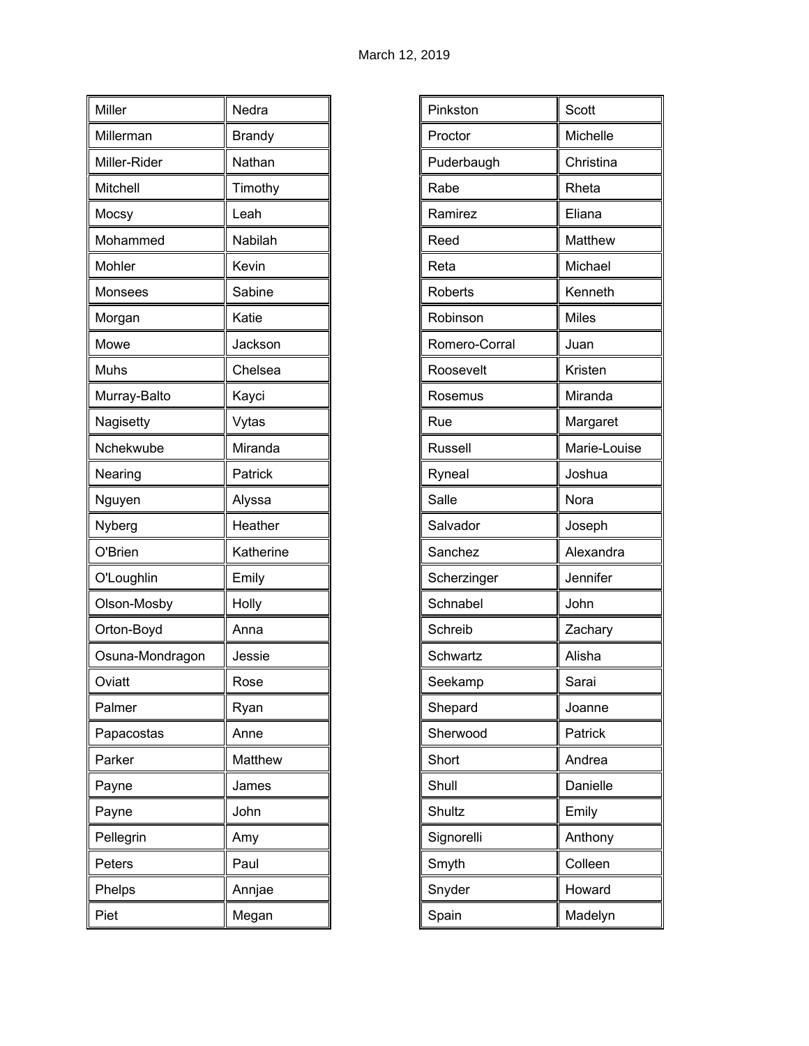| Miller          | Nedra         |
|-----------------|---------------|
| Millerman       | <b>Brandy</b> |
| Miller-Rider    | Nathan        |
| <b>Mitchell</b> | Timothy       |
| Mocsy           | Leah          |
| Mohammed        | Nabilah       |
| Mohler          | Kevin         |
| Monsees         | Sabine        |
| Morgan          | Katie         |
| Mowe            | Jackson       |
| Muhs            | Chelsea       |
| Murray-Balto    | Kayci         |
| Nagisetty       | Vytas         |
| Nchekwube       | Miranda       |
| Nearing         | Patrick       |
| Nguyen          | Alyssa        |
| Nyberg          | Heather       |
| O'Brien         | Katherine     |
| O'Loughlin      | Emily         |
| Olson-Mosby     | Holly         |
| Orton-Boyd      | Anna          |
| Osuna-Mondragon | Jessie        |
| Oviatt          | Rose          |
| Palmer          | Ryan          |
| Papacostas      | Anne          |
| Parker          | Matthew       |
| Payne           | James         |
| Payne           | John          |
| Pellegrin       | Amy           |
| Peters          | Paul          |
| Phelps          | Annjae        |
| Piet            | Megan         |

| Pinkston      | Scott        |
|---------------|--------------|
| Proctor       | Michelle     |
| Puderbaugh    | Christina    |
| Rabe          | Rheta        |
| Ramirez       | Eliana       |
| Reed          | Matthew      |
| Reta          | Michael      |
| Roberts       | Kenneth      |
| Robinson      | <b>Miles</b> |
| Romero-Corral | Juan         |
| Roosevelt     | Kristen      |
| Rosemus       | Miranda      |
| Rue           | Margaret     |
| Russell       | Marie-Louise |
| Ryneal        | Joshua       |
| Salle         | Nora         |
| Salvador      | Joseph       |
| Sanchez       | Alexandra    |
| Scherzinger   | Jennifer     |
| Schnabel      | John         |
| Schreib       | Zachary      |
| Schwartz      | Alisha       |
| Seekamp       | Sarai        |
| Shepard       | Joanne       |
| Sherwood      | Patrick      |
| Short         | Andrea       |
| Shull         | Danielle     |
| Shultz        | Emily        |
| Signorelli    | Anthony      |
| Smyth         | Colleen      |
| Snyder        | Howard       |
| Spain         | Madelyn      |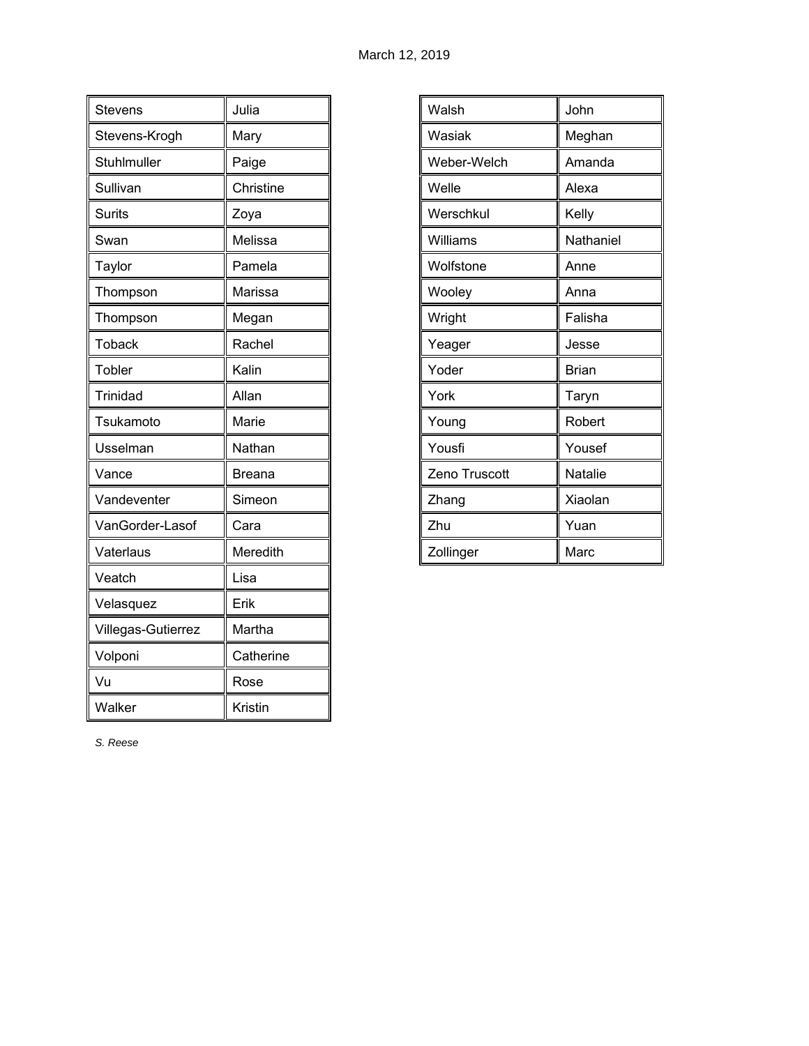| <b>Stevens</b>     | Julia         |
|--------------------|---------------|
| Stevens-Krogh      | Mary          |
| Stuhlmuller        | Paige         |
| Sullivan           | Christine     |
| <b>Surits</b>      | Zoya          |
| Swan               | Melissa       |
| Taylor             | Pamela        |
| Thompson           | Marissa       |
| Thompson           | Megan         |
| Toback             | Rachel        |
| Tobler             | Kalin         |
| <b>Trinidad</b>    | Allan         |
| Tsukamoto          | Marie         |
| Usselman           | Nathan        |
| Vance              | <b>Breana</b> |
| Vandeventer        | Simeon        |
| VanGorder-Lasof    | Cara          |
| Vaterlaus          | Meredith      |
| Veatch             | Lisa          |
| Velasquez          | Erik          |
| Villegas-Gutierrez | Martha        |
| Volponi            | Catherine     |
| Vu                 | Rose          |
| Walker             | Kristin       |

| Walsh         | John         |
|---------------|--------------|
| Wasiak        | Meghan       |
| Weber-Welch   | Amanda       |
| Welle         | Alexa        |
| Werschkul     | Kelly        |
| Williams      | Nathaniel    |
| Wolfstone     | Anne         |
| Wooley        | Anna         |
| Wright        | Falisha      |
| Yeager        | Jesse        |
| Yoder         | <b>Brian</b> |
| York          | Taryn        |
| Young         | Robert       |
| Yousfi        | Yousef       |
| Zeno Truscott | Natalie      |
| Zhang         | Xiaolan      |
| Zhu           | Yuan         |
| Zollinger     | Marc         |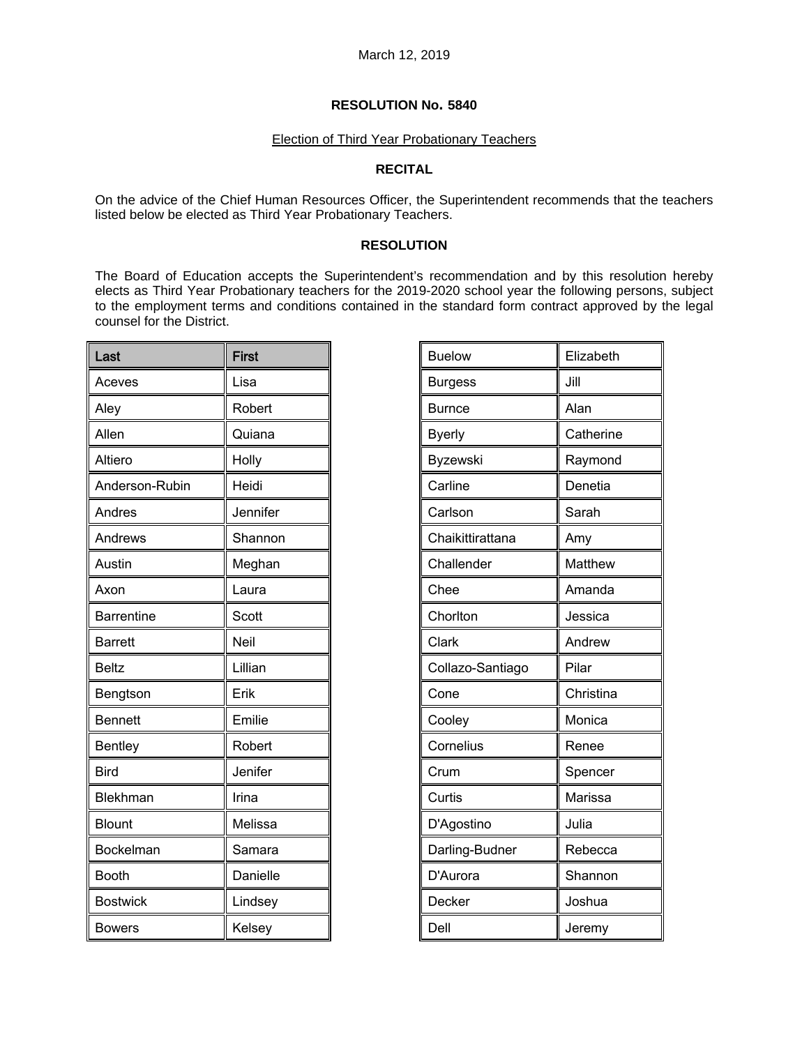# Election of Third Year Probationary Teachers

# **RECITAL**

On the advice of the Chief Human Resources Officer, the Superintendent recommends that the teachers listed below be elected as Third Year Probationary Teachers.

# **RESOLUTION**

The Board of Education accepts the Superintendent's recommendation and by this resolution hereby elects as Third Year Probationary teachers for the 2019-2020 school year the following persons, subject to the employment terms and conditions contained in the standard form contract approved by the legal counsel for the District.

| Last              | <b>First</b> |
|-------------------|--------------|
| Aceves            | Lisa         |
| Aley              | Robert       |
| Allen             | Quiana       |
| Altiero           | Holly        |
| Anderson-Rubin    | Heidi        |
| Andres            | Jennifer     |
| Andrews           | Shannon      |
| Austin            | Meghan       |
| Axon              | Laura        |
| <b>Barrentine</b> | Scott        |
| <b>Barrett</b>    | Neil         |
| <b>Beltz</b>      | Lillian      |
| Bengtson          | Erik         |
| <b>Bennett</b>    | Emilie       |
| Bentley           | Robert       |
| <b>Bird</b>       | Jenifer      |
| Blekhman          | Irina        |
| <b>Blount</b>     | Melissa      |
| Bockelman         | Samara       |
| <b>Booth</b>      | Danielle     |
| <b>Bostwick</b>   | Lindsey      |
| <b>Bowers</b>     | Kelsey       |

| <b>Buelow</b>    | Elizabeth |
|------------------|-----------|
| <b>Burgess</b>   | Jill      |
| <b>Burnce</b>    | Alan      |
| <b>Byerly</b>    | Catherine |
| Byzewski         | Raymond   |
| Carline          | Denetia   |
| Carlson          | Sarah     |
| Chaikittirattana | Amy       |
| Challender       | Matthew   |
| Chee             | Amanda    |
| Chorlton         | Jessica   |
| Clark            | Andrew    |
| Collazo-Santiago | Pilar     |
| Cone             | Christina |
| Cooley           | Monica    |
| Cornelius        | Renee     |
| Crum             | Spencer   |
| Curtis           | Marissa   |
| D'Agostino       | Julia     |
| Darling-Budner   | Rebecca   |
| D'Aurora         | Shannon   |
| Decker           | Joshua    |
| Dell             | Jeremy    |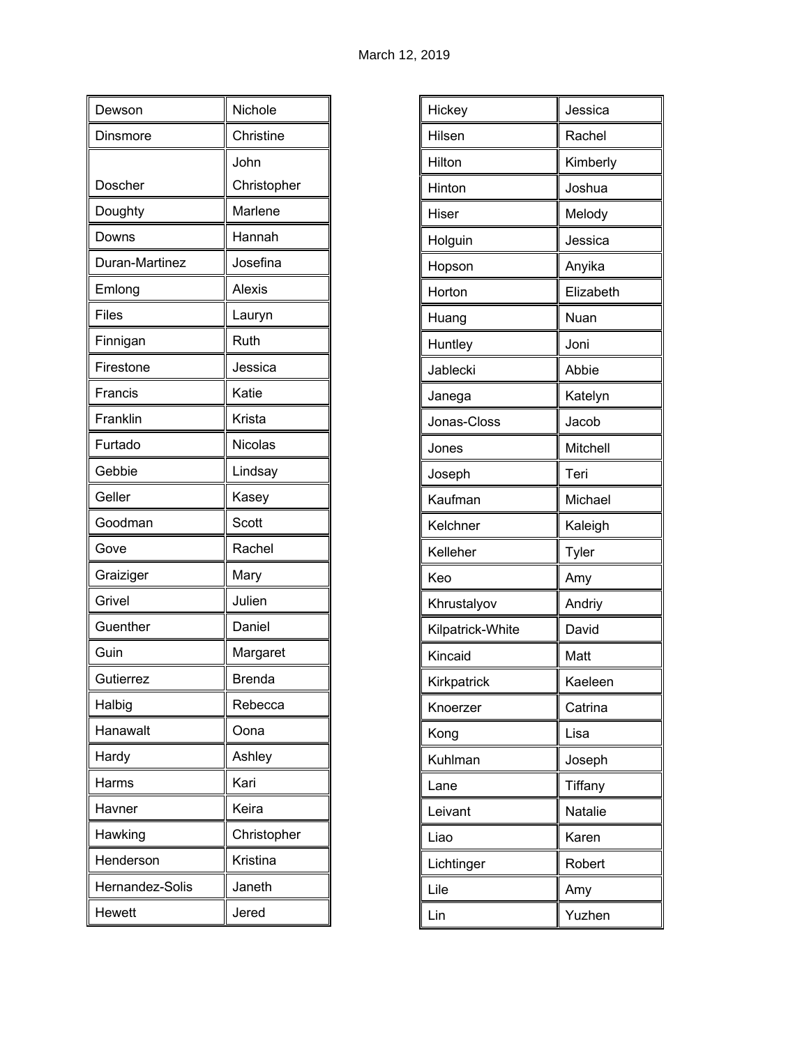| Dewson          | Nichole       |
|-----------------|---------------|
| Dinsmore        | Christine     |
|                 | John          |
| Doscher         | Christopher   |
| Doughty         | Marlene       |
| Downs           | Hannah        |
| Duran-Martinez  | Josefina      |
| Emlong          | <b>Alexis</b> |
| <b>Files</b>    | Lauryn        |
| Finnigan        | Ruth          |
| Firestone       | Jessica       |
| Francis         | Katie         |
| Franklin        | Krista        |
| Furtado         | Nicolas       |
| Gebbie          | Lindsay       |
| Geller          | Kasey         |
| Goodman         | Scott         |
| Gove            | Rachel        |
| Graiziger       | Mary          |
| Grivel          | Julien        |
| Guenther        | Daniel        |
| Guin            | Margaret      |
| Gutierrez       | <b>Brenda</b> |
| Halbig          | Rebecca       |
| Hanawalt        | Oona          |
| Hardy           | Ashley        |
| Harms           | Kari          |
| Havner          | Keira         |
| Hawking         | Christopher   |
| Henderson       | Kristina      |
| Hernandez-Solis | Janeth        |
| Hewett          | Jered         |

| Hickey           | Jessica        |
|------------------|----------------|
| Hilsen           | Rachel         |
| Hilton           | Kimberly       |
| Hinton           | Joshua         |
| Hiser            | Melody         |
| Holguin          | Jessica        |
| Hopson           | Anyika         |
| Horton           | Elizabeth      |
| Huang            | Nuan           |
| Huntley          | Joni           |
| Jablecki         | Abbie          |
| Janega           | Katelyn        |
| Jonas-Closs      | Jacob          |
| Jones            | Mitchell       |
| Joseph           | Teri           |
| Kaufman          | Michael        |
| Kelchner         | Kaleigh        |
| Kelleher         | Tyler          |
| Keo              | Amy            |
| Khrustalyov      | Andriy         |
| Kilpatrick-White | David          |
| Kincaid          | Matt           |
| Kirkpatrick      | Kaeleen        |
| Knoerzer         | Catrina        |
| Kong             | Lisa           |
| Kuhlman          | Joseph         |
| Lane             | Tiffany        |
| Leivant          | <b>Natalie</b> |
| Liao             | Karen          |
| Lichtinger       | Robert         |
| Lile             | Amy            |
| Lin              | Yuzhen         |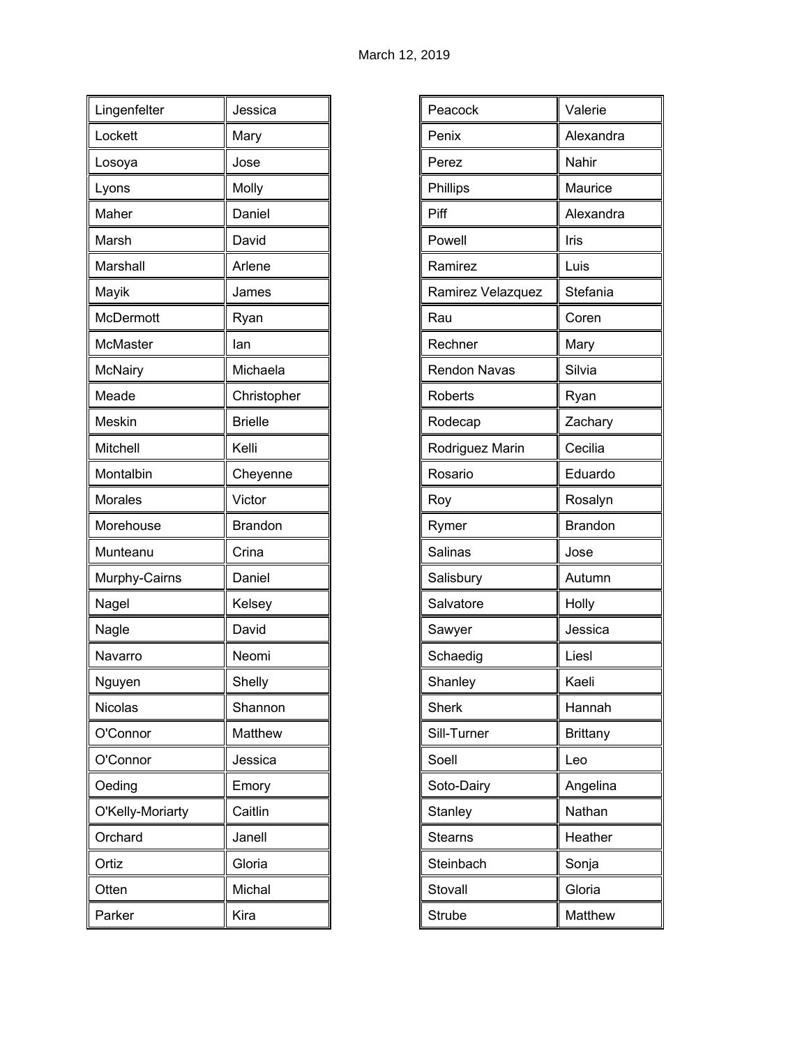| Lingenfelter     | Jessica        |
|------------------|----------------|
| Lockett          | Mary           |
| Losoya           | Jose           |
| Lyons            | Molly          |
| Maher            | Daniel         |
| Marsh            | David          |
| Marshall         | Arlene         |
| Mayik            | James          |
| McDermott        | Ryan           |
| McMaster         | lan            |
| <b>McNairy</b>   | Michaela       |
| Meade            | Christopher    |
| Meskin           | <b>Brielle</b> |
| Mitchell         | Kelli          |
| Montalbin        | Cheyenne       |
| Morales          | Victor         |
| Morehouse        | <b>Brandon</b> |
| Munteanu         | Crina          |
| Murphy-Cairns    | Daniel         |
| Nagel            | Kelsey         |
| Nagle            | David          |
| Navarro          | Neomi          |
| Nguyen           | Shelly         |
| Nicolas          | Shannon        |
| O'Connor         | Matthew        |
| O'Connor         | Jessica        |
| Oeding           | Emory          |
| O'Kelly-Moriarty | Caitlin        |
| Orchard          | Janell         |
| Ortiz            | Gloria         |
| Otten            | Michal         |
| Parker           | Kira           |

| Peacock             | Valerie         |
|---------------------|-----------------|
| Penix               | Alexandra       |
| Perez               | Nahir           |
| Phillips            | Maurice         |
| Piff                | Alexandra       |
| Powell              | Iris            |
| Ramirez             | Luis            |
| Ramirez Velazquez   | Stefania        |
| Rau                 | Coren           |
| Rechner             | Mary            |
| <b>Rendon Navas</b> | Silvia          |
| Roberts             | Ryan            |
| Rodecap             | Zachary         |
| Rodriguez Marin     | Cecilia         |
| Rosario             | Eduardo         |
| Roy                 | Rosalyn         |
| Rymer               | <b>Brandon</b>  |
| Salinas             | Jose            |
| Salisbury           | Autumn          |
| Salvatore           | Holly           |
| Sawyer              | Jessica         |
| Schaedig            | Liesl           |
| Shanley             | Kaeli           |
| <b>Sherk</b>        | Hannah          |
| Sill-Turner         | <b>Brittany</b> |
| Soell               | Leo             |
| Soto-Dairy          | Angelina        |
| Stanley             | Nathan          |
| <b>Stearns</b>      | Heather         |
| Steinbach           | Sonja           |
| Stovall             | Gloria          |
| Strube              | Matthew         |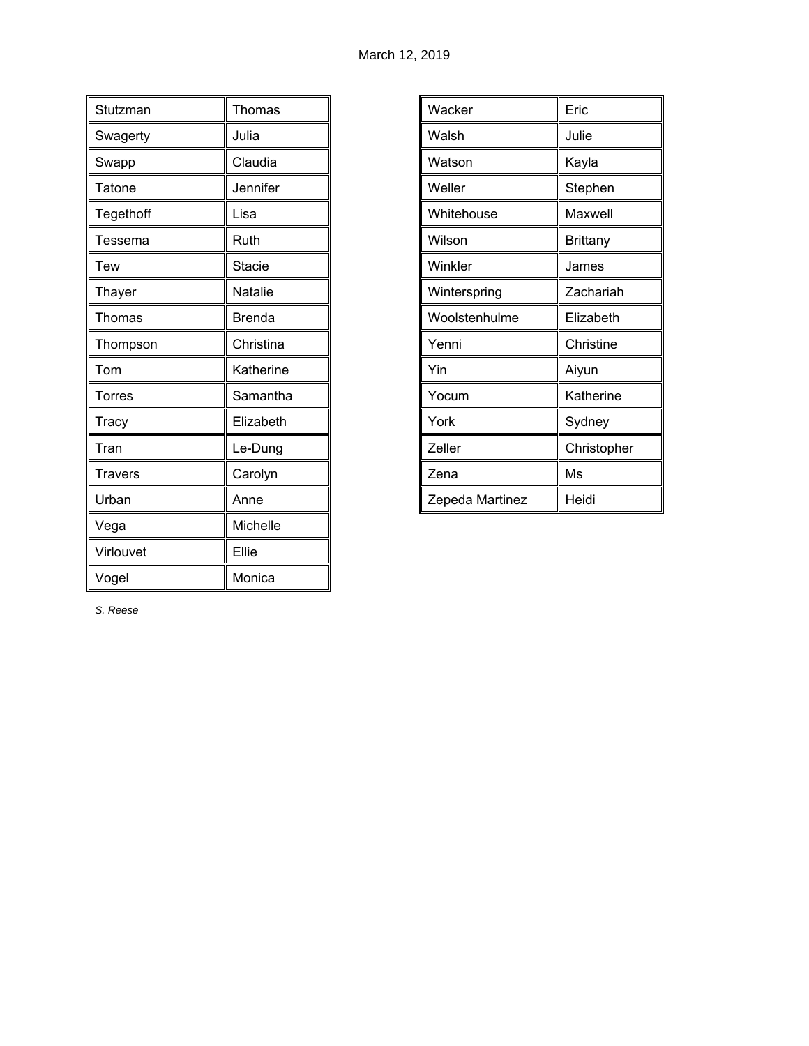| Stutzman       | Thomas        |
|----------------|---------------|
| Swagerty       | Julia         |
| Swapp          | Claudia       |
| Tatone         | Jennifer      |
| Tegethoff      | Lisa          |
| Tessema        | Ruth          |
| <b>Tew</b>     | <b>Stacie</b> |
| Thayer         | Natalie       |
| Thomas         | <b>Brenda</b> |
| Thompson       | Christina     |
| Tom            | Katherine     |
| Torres         | Samantha      |
| Tracy          | Elizabeth     |
| Tran           | Le-Dung       |
| <b>Travers</b> | Carolyn       |
| Urban          | Anne          |
| Vega           | Michelle      |
| Virlouvet      | Ellie         |
| Vogel          | Monica        |

| Wacker          | Eric            |
|-----------------|-----------------|
| Walsh           | Julie           |
| Watson          | Kayla           |
| Weller          | Stephen         |
| Whitehouse      | Maxwell         |
| Wilson          | <b>Brittany</b> |
| Winkler         | James           |
| Winterspring    | Zachariah       |
| Woolstenhulme   | Elizabeth       |
| Yenni           | Christine       |
| Yin             | Aiyun           |
| Yocum           | Katherine       |
| York            | Sydney          |
| Zeller          | Christopher     |
| Zena            | Ms              |
| Zepeda Martinez | Heidi           |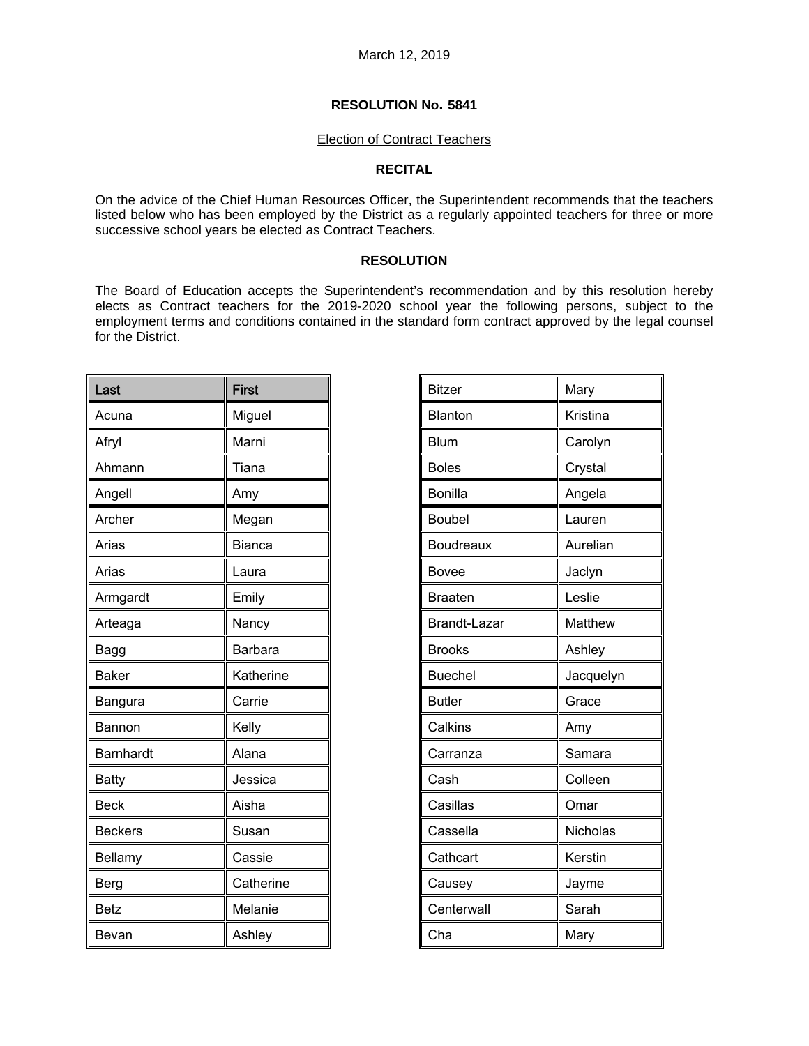### Election of Contract Teachers

### **RECITAL**

On the advice of the Chief Human Resources Officer, the Superintendent recommends that the teachers listed below who has been employed by the District as a regularly appointed teachers for three or more successive school years be elected as Contract Teachers.

## **RESOLUTION**

The Board of Education accepts the Superintendent's recommendation and by this resolution hereby elects as Contract teachers for the 2019-2020 school year the following persons, subject to the employment terms and conditions contained in the standard form contract approved by the legal counsel for the District.

| Last           | First         |
|----------------|---------------|
| Acuna          | Miguel        |
| Afryl          | Marni         |
| Ahmann         | Tiana         |
| Angell         | Amy           |
| Archer         | Megan         |
| Arias          | <b>Bianca</b> |
| Arias          | Laura         |
| Armgardt       | Emily         |
| Arteaga        | Nancy         |
| Bagg           | Barbara       |
| <b>Baker</b>   | Katherine     |
| Bangura        | Carrie        |
| Bannon         | Kelly         |
| Barnhardt      | Alana         |
| <b>Batty</b>   | Jessica       |
| <b>Beck</b>    | Aisha         |
| <b>Beckers</b> | Susan         |
| Bellamy        | Cassie        |
| Berg           | Catherine     |
| <b>Betz</b>    | Melanie       |
| Bevan          | Ashley        |

| <b>Bitzer</b>    | Mary      |
|------------------|-----------|
| Blanton          | Kristina  |
| <b>Blum</b>      | Carolyn   |
| <b>Boles</b>     | Crystal   |
| <b>Bonilla</b>   | Angela    |
| <b>Boubel</b>    | Lauren    |
| <b>Boudreaux</b> | Aurelian  |
| <b>Bovee</b>     | Jaclyn    |
| <b>Braaten</b>   | Leslie    |
| Brandt-Lazar     | Matthew   |
| <b>Brooks</b>    | Ashley    |
| <b>Buechel</b>   | Jacquelyn |
| <b>Butler</b>    | Grace     |
| Calkins          | Amy       |
| Carranza         | Samara    |
| Cash             | Colleen   |
| Casillas         | Omar      |
| Cassella         | Nicholas  |
| Cathcart         | Kerstin   |
| Causey           | Jayme     |
| Centerwall       | Sarah     |
| Cha              | Mary      |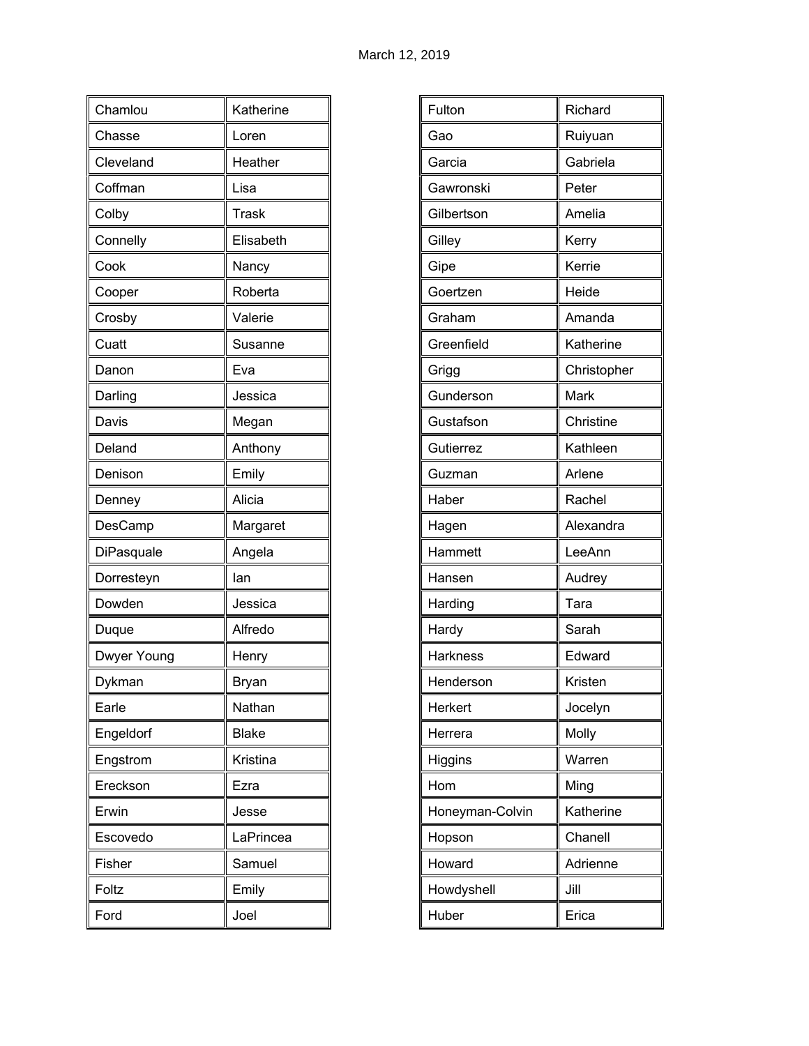| Chamlou     | Katherine    |
|-------------|--------------|
| Chasse      | Loren        |
| Cleveland   | Heather      |
| Coffman     | Lisa         |
| Colby       | <b>Trask</b> |
| Connelly    | Elisabeth    |
| Cook        | Nancy        |
| Cooper      | Roberta      |
| Crosby      | Valerie      |
| Cuatt       | Susanne      |
| Danon       | Eva          |
| Darling     | Jessica      |
| Davis       | Megan        |
| Deland      | Anthony      |
| Denison     | Emily        |
| Denney      | Alicia       |
|             |              |
| DesCamp     | Margaret     |
| DiPasquale  | Angela       |
| Dorresteyn  | lan          |
| Dowden      | Jessica      |
| Duque       | Alfredo      |
| Dwyer Young | Henry        |
| Dykman      | Bryan        |
| Earle       | Nathan       |
| Engeldorf   | <b>Blake</b> |
| Engstrom    | Kristina     |
| Ereckson    | Ezra         |
| Erwin       | Jesse        |
| Escovedo    | LaPrincea    |
| Fisher      | Samuel       |
| Foltz       | Emily        |

| Fulton          | Richard     |
|-----------------|-------------|
| Gao             | Ruiyuan     |
| Garcia          | Gabriela    |
| Gawronski       | Peter       |
| Gilbertson      | Amelia      |
|                 |             |
| Gilley          | Kerry       |
| Gipe            | Kerrie      |
| Goertzen        | Heide       |
| Graham          | Amanda      |
| Greenfield      | Katherine   |
| Grigg           | Christopher |
| Gunderson       | Mark        |
| Gustafson       | Christine   |
| Gutierrez       | Kathleen    |
| Guzman          | Arlene      |
| Haber           | Rachel      |
| Hagen           | Alexandra   |
| Hammett         | LeeAnn      |
| Hansen          | Audrey      |
| Harding         | Tara        |
| Hardy           | Sarah       |
| Harkness        | Edward      |
| Henderson       | Kristen     |
| Herkert         | Jocelyn     |
| Herrera         | Molly       |
| Higgins         | Warren      |
| Hom             | Ming        |
| Honeyman-Colvin | Katherine   |
| Hopson          | Chanell     |
| Howard          | Adrienne    |
| Howdyshell      | Jill        |
| Huber           | Erica       |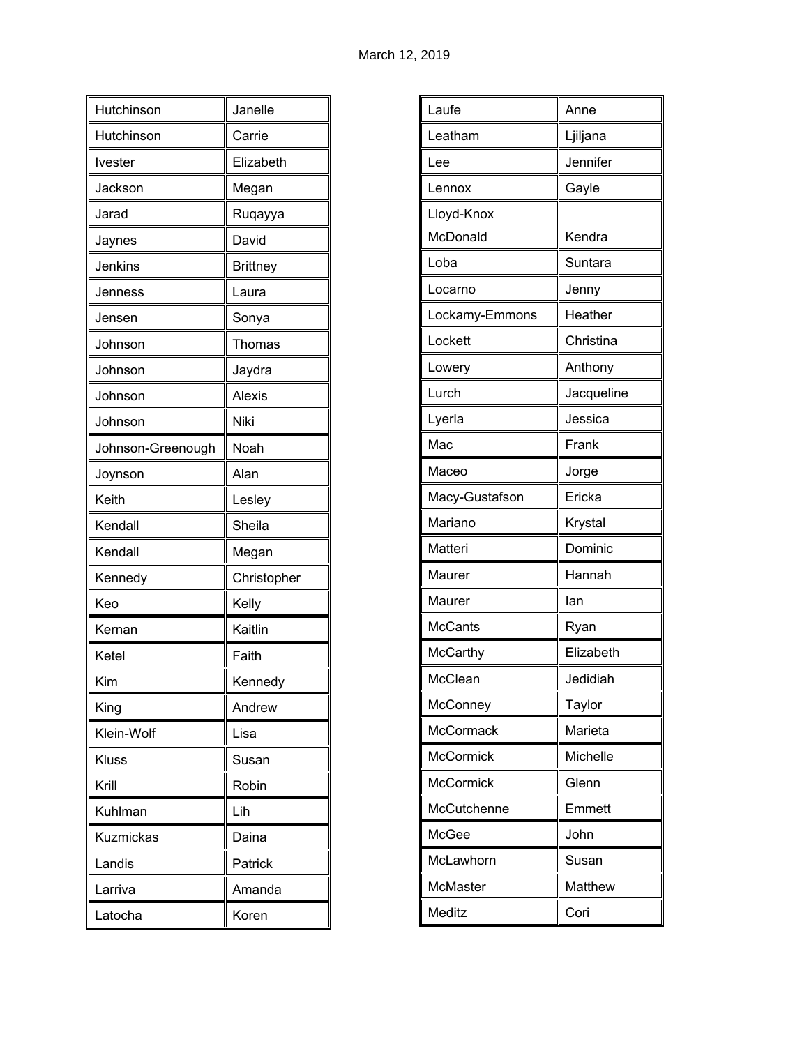| Hutchinson        | Janelle         |
|-------------------|-----------------|
| Hutchinson        | Carrie          |
| <b>Ivester</b>    | Elizabeth       |
| Jackson           | Megan           |
| Jarad             | Ruqayya         |
| Jaynes            | David           |
| Jenkins           | <b>Brittney</b> |
| Jenness           | Laura           |
| Jensen            | Sonya           |
| Johnson           | Thomas          |
| Johnson           | Jaydra          |
| Johnson           | <b>Alexis</b>   |
| Johnson           | Niki            |
| Johnson-Greenough | Noah            |
| Joynson           | Alan            |
| Keith             | Lesley          |
| Kendall           | Sheila          |
| Kendall           | Megan           |
| Kennedy           | Christopher     |
| Keo               | Kelly           |
| Kernan            | Kaitlin         |
| Ketel             | Faith           |
| Kim               | Kennedy         |
| King              | Andrew          |
| Klein-Wolf        | Lisa            |
| Kluss             | Susan           |
| Krill             | Robin           |
| Kuhlman           | Lih             |
| Kuzmickas         | Daina           |
| Landis            | Patrick         |
| Larriva           | Amanda          |
| Latocha           | Koren           |

| Laufe            | Anne       |
|------------------|------------|
| Leatham          | Ljiljana   |
| Lee              | Jennifer   |
| Lennox           | Gayle      |
| Lloyd-Knox       |            |
| McDonald         | Kendra     |
| Loba             | Suntara    |
| Locarno          | Jenny      |
| Lockamy-Emmons   | Heather    |
| Lockett          | Christina  |
| Lowery           | Anthony    |
| Lurch            | Jacqueline |
| Lyerla           | Jessica    |
| Mac              | Frank      |
| Maceo            | Jorge      |
| Macy-Gustafson   | Ericka     |
| Mariano          | Krystal    |
| Matteri          | Dominic    |
| Maurer           | Hannah     |
| Maurer           | lan        |
| <b>McCants</b>   | Ryan       |
| McCarthy         | Elizabeth  |
| McClean          | Jedidiah   |
| McConney         | Taylor     |
| McCormack        | Marieta    |
| <b>McCormick</b> | Michelle   |
| McCormick        | Glenn      |
| McCutchenne      | Emmett     |
| McGee            | John       |
| McLawhorn        | Susan      |
| McMaster         | Matthew    |
| Meditz           | Cori       |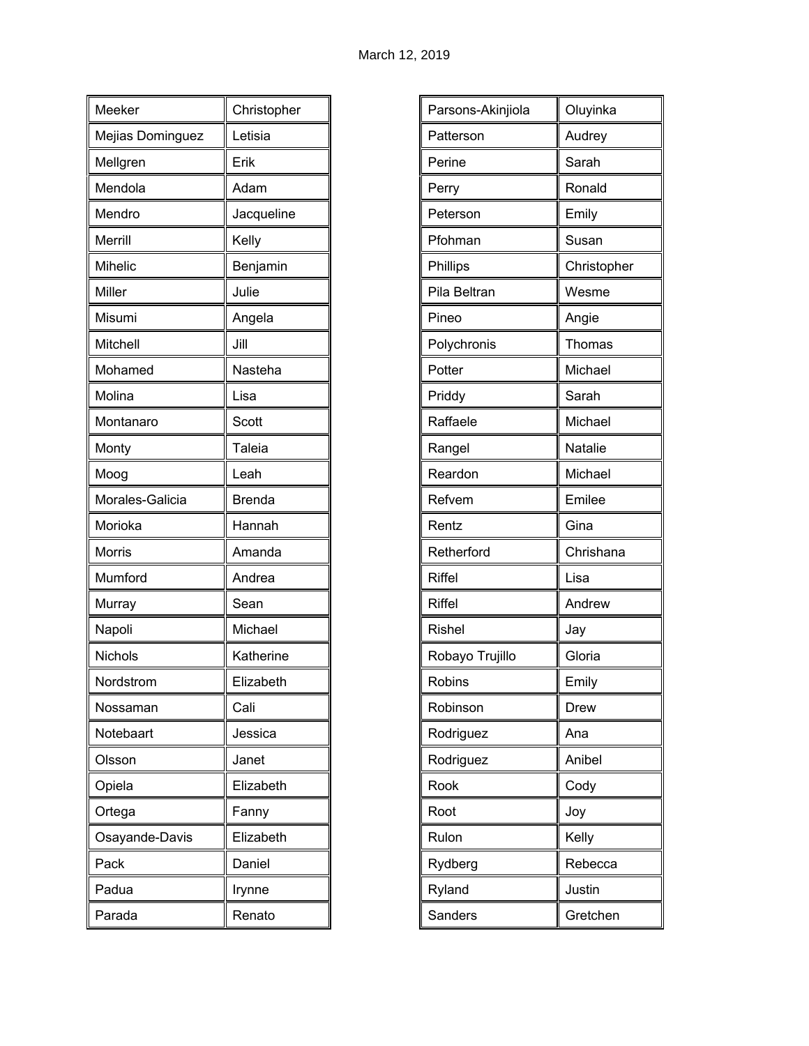| Meeker           | Christopher   |
|------------------|---------------|
| Mejias Dominguez | Letisia       |
| Mellgren         | Erik          |
| Mendola          | Adam          |
| Mendro           | Jacqueline    |
| Merrill          | Kelly         |
| <b>Mihelic</b>   | Benjamin      |
| Miller           | Julie         |
| Misumi           | Angela        |
| Mitchell         | Jill          |
| Mohamed          | Nasteha       |
| Molina           | Lisa          |
| Montanaro        | Scott         |
| Monty            | Taleia        |
| Moog             | Leah          |
| Morales-Galicia  | <b>Brenda</b> |
| Morioka          | Hannah        |
| Morris           | Amanda        |
| Mumford          | Andrea        |
| Murray           | Sean          |
| Napoli           | Michael       |
| Nichols          | Katherine     |
| Nordstrom        | Elizabeth     |
| Nossaman         | Cali          |
| Notebaart        | Jessica       |
| Olsson           | Janet         |
| Opiela           | Elizabeth     |
| Ortega           | Fanny         |
| Osayande-Davis   | Elizabeth     |
| Pack             | Daniel        |
| Padua            | Irynne        |
| Parada           | Renato        |

| Parsons-Akinjiola | Oluyinka    |
|-------------------|-------------|
| Patterson         | Audrey      |
| Perine            | Sarah       |
| Perry             | Ronald      |
| Peterson          | Emily       |
| Pfohman           | Susan       |
| Phillips          | Christopher |
| Pila Beltran      | Wesme       |
| Pineo             | Angie       |
| Polychronis       | Thomas      |
| Potter            | Michael     |
| Priddy            | Sarah       |
| Raffaele          | Michael     |
| Rangel            | Natalie     |
| Reardon           | Michael     |
| Refvem            | Emilee      |
| Rentz             | Gina        |
| Retherford        | Chrishana   |
| <b>Riffel</b>     | Lisa        |
| <b>Riffel</b>     | Andrew      |
| <b>Rishel</b>     | Jay         |
| Robayo Trujillo   | Gloria      |
| Robins            | Emily       |
| Robinson          | Drew        |
| Rodriguez         | Ana         |
| Rodriguez         | Anibel      |
| Rook              | Cody        |
| Root              | Joy         |
| Rulon             | Kelly       |
| Rydberg           | Rebecca     |
| Ryland            | Justin      |
| Sanders           | Gretchen    |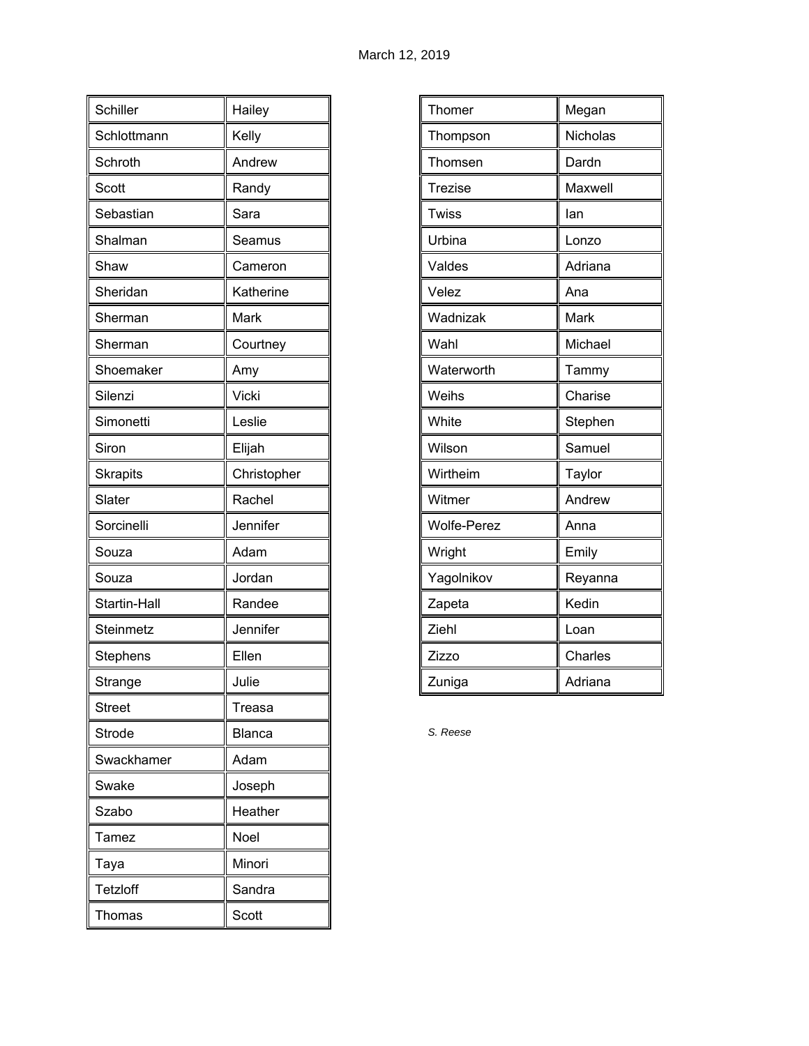| Schiller        | Hailey      |
|-----------------|-------------|
| Schlottmann     | Kelly       |
| Schroth         | Andrew      |
| Scott           | Randy       |
| Sebastian       | Sara        |
| Shalman         | Seamus      |
| Shaw            | Cameron     |
| Sheridan        | Katherine   |
| Sherman         | Mark        |
| Sherman         | Courtney    |
| Shoemaker       | Amy         |
| Silenzi         | Vicki       |
| Simonetti       | Leslie      |
| Siron           | Elijah      |
| <b>Skrapits</b> | Christopher |
| Slater          | Rachel      |
| Sorcinelli      | Jennifer    |
| Souza           | Adam        |
| Souza           | Jordan      |
| Startin-Hall    | Randee      |
| Steinmetz       | Jennifer    |
| Stephens        | Ellen       |
| Strange         | Julie       |
| <b>Street</b>   | Treasa      |
| <b>Strode</b>   | Blanca      |
| Swackhamer      | Adam        |
| Swake           | Joseph      |
| Szabo           | Heather     |
| Tamez           | <b>Noel</b> |
| Taya            | Minori      |
| Tetzloff        | Sandra      |
| Thomas          | Scott       |

| Thomer             | Megan    |
|--------------------|----------|
| Thompson           | Nicholas |
| Thomsen            | Dardn    |
| <b>Trezise</b>     | Maxwell  |
| <b>Twiss</b>       | lan      |
| Urbina             | Lonzo    |
| Valdes             | Adriana  |
| Velez              | Ana      |
| Wadnizak           | Mark     |
| Wahl               | Michael  |
| Waterworth         | Tammy    |
| Weihs              | Charise  |
| White              | Stephen  |
| Wilson             | Samuel   |
| Wirtheim           | Taylor   |
| Witmer             | Andrew   |
| <b>Wolfe-Perez</b> | Anna     |
| Wright             | Emily    |
| Yagolnikov         | Reyanna  |
| Zapeta             | Kedin    |
| Ziehl              | Loan     |
| Zizzo              | Charles  |
| Zuniga             | Adriana  |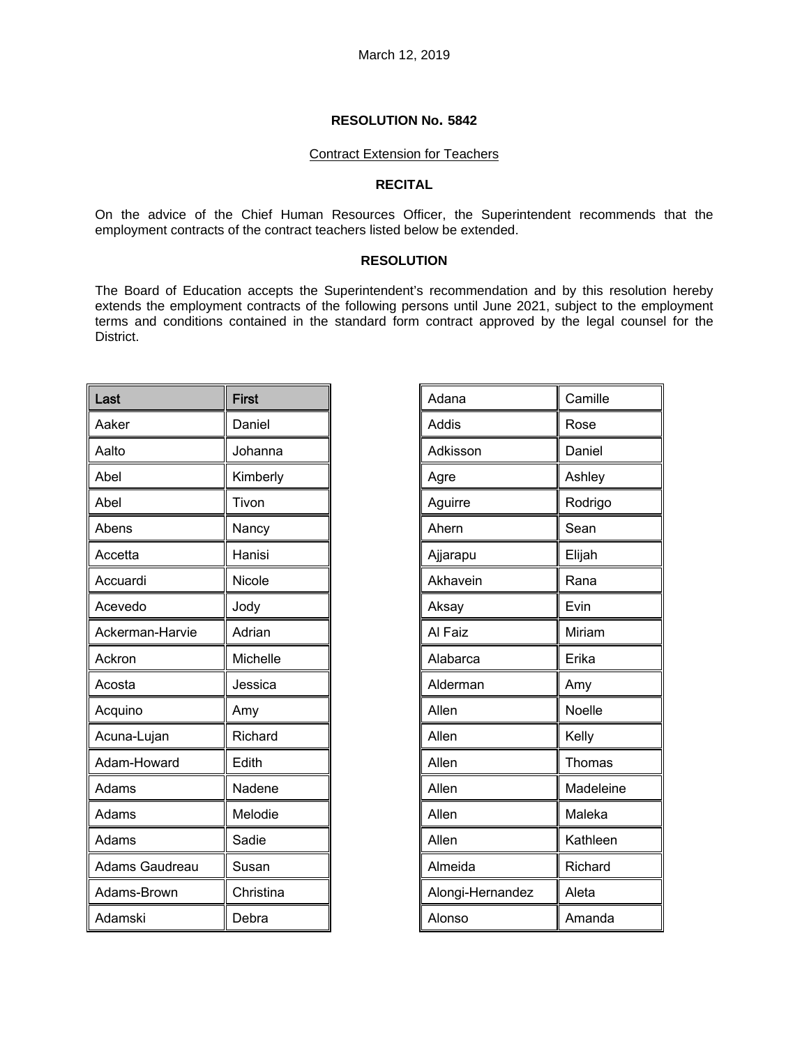## Contract Extension for Teachers

### **RECITAL**

On the advice of the Chief Human Resources Officer, the Superintendent recommends that the employment contracts of the contract teachers listed below be extended.

## **RESOLUTION**

The Board of Education accepts the Superintendent's recommendation and by this resolution hereby extends the employment contracts of the following persons until June 2021, subject to the employment terms and conditions contained in the standard form contract approved by the legal counsel for the District.

| Last            | <b>First</b> |
|-----------------|--------------|
| Aaker           | Daniel       |
| Aalto           | Johanna      |
| Abel            | Kimberly     |
| Abel            | Tivon        |
| Abens           | Nancy        |
| Accetta         | Hanisi       |
| Accuardi        | Nicole       |
| Acevedo         | Jody         |
| Ackerman-Harvie | Adrian       |
| Ackron          | Michelle     |
| Acosta          | Jessica      |
| Acquino         | Amy          |
| Acuna-Lujan     | Richard      |
| Adam-Howard     | Edith        |
| Adams           | Nadene       |
| Adams           | Melodie      |
| Adams           | Sadie        |
| Adams Gaudreau  | Susan        |
| Adams-Brown     | Christina    |
| Adamski         | Debra        |

| Adana            | Camille   |
|------------------|-----------|
| Addis            | Rose      |
| Adkisson         | Daniel    |
| Agre             | Ashley    |
| Aguirre          | Rodrigo   |
| Ahern            | Sean      |
| Ajjarapu         | Elijah    |
| Akhavein         | Rana      |
| Aksay            | Evin      |
| Al Faiz          | Miriam    |
| Alabarca         | Erika     |
| Alderman         | Amy       |
| Allen            | Noelle    |
| Allen            | Kelly     |
| Allen            | Thomas    |
| Allen            | Madeleine |
| Allen            | Maleka    |
| Allen            | Kathleen  |
| Almeida          | Richard   |
| Alongi-Hernandez | Aleta     |
| Alonso           | Amanda    |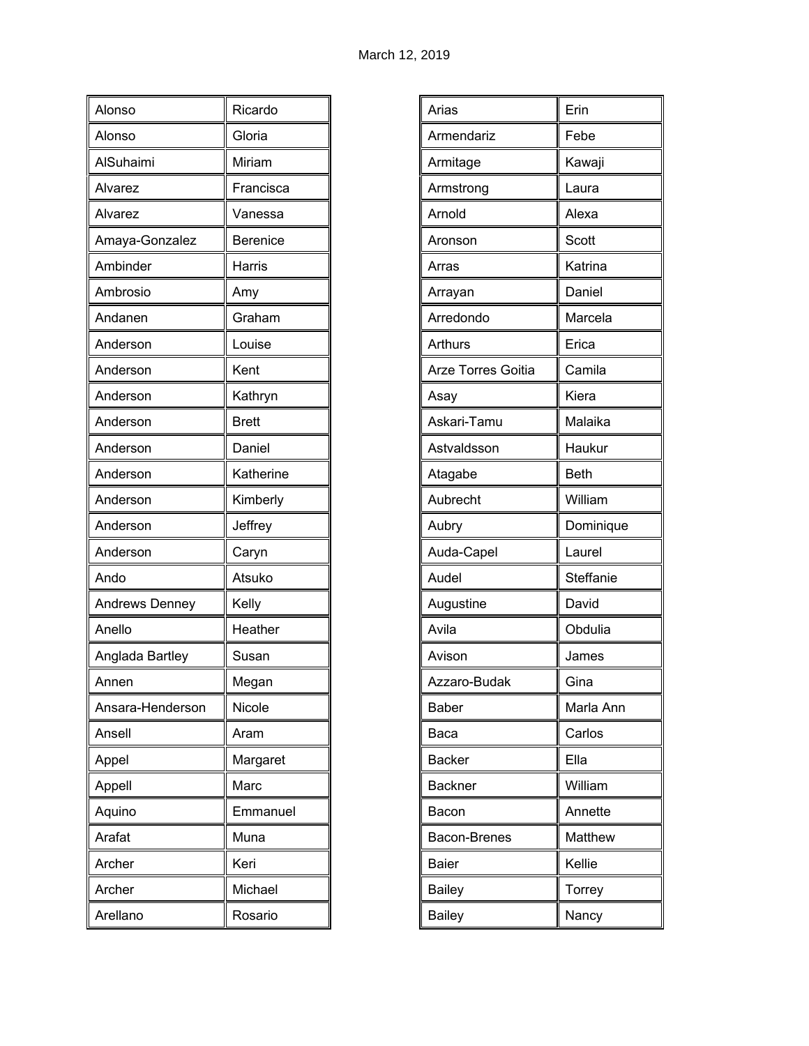| Alonso                | Ricardo      |
|-----------------------|--------------|
| Alonso                | Gloria       |
|                       |              |
| AlSuhaimi             | Miriam       |
| Alvarez               | Francisca    |
| Alvarez               | Vanessa      |
| Amaya-Gonzalez        | Berenice     |
| Ambinder              | Harris       |
| Ambrosio              | Amy          |
| Andanen               | Graham       |
| Anderson              | Louise       |
| Anderson              | Kent         |
| Anderson              | Kathryn      |
| Anderson              | <b>Brett</b> |
| Anderson              | Daniel       |
| Anderson              | Katherine    |
| Anderson              | Kimberly     |
| Anderson              | Jeffrey      |
| Anderson              | Caryn        |
| Ando                  | Atsuko       |
| <b>Andrews Denney</b> | Kelly        |
| Anello                | Heather      |
| Anglada Bartley       | Susan        |
| Annen                 | Megan        |
| Ansara-Henderson      | Nicole       |
| Ansell                | Aram         |
| Appel                 | Margaret     |
| Appell                | Marc         |
| Aquino                | Emmanuel     |
| Arafat                | Muna         |
| Archer                | Keri         |
| Archer                | Michael      |
| Arellano              | Rosario      |

| Arias                     | Erin        |
|---------------------------|-------------|
| Armendariz                | Febe        |
| Armitage                  | Kawaji      |
| Armstrong                 | Laura       |
| Arnold                    | Alexa       |
| Aronson                   | Scott       |
| Arras                     | Katrina     |
| Arrayan                   | Daniel      |
| Arredondo                 | Marcela     |
| Arthurs                   | Erica       |
| <b>Arze Torres Goitia</b> | Camila      |
| Asay                      | Kiera       |
| Askari-Tamu               | Malaika     |
| Astvaldsson               | Haukur      |
| Atagabe                   | <b>Beth</b> |
| Aubrecht                  | William     |
| Aubry                     | Dominique   |
| Auda-Capel                | Laurel      |
| Audel                     | Steffanie   |
| Augustine                 | David       |
| Avila                     | Obdulia     |
| Avison                    | James       |
| Azzaro-Budak              | Gina        |
| <b>Baber</b>              | Marla Ann   |
| Baca                      | Carlos      |
| <b>Backer</b>             | Ella        |
| <b>Backner</b>            | William     |
| Bacon                     | Annette     |
| Bacon-Brenes              | Matthew     |
| <b>Baier</b>              | Kellie      |
| <b>Bailey</b>             | Torrey      |
| <b>Bailey</b>             | Nancy       |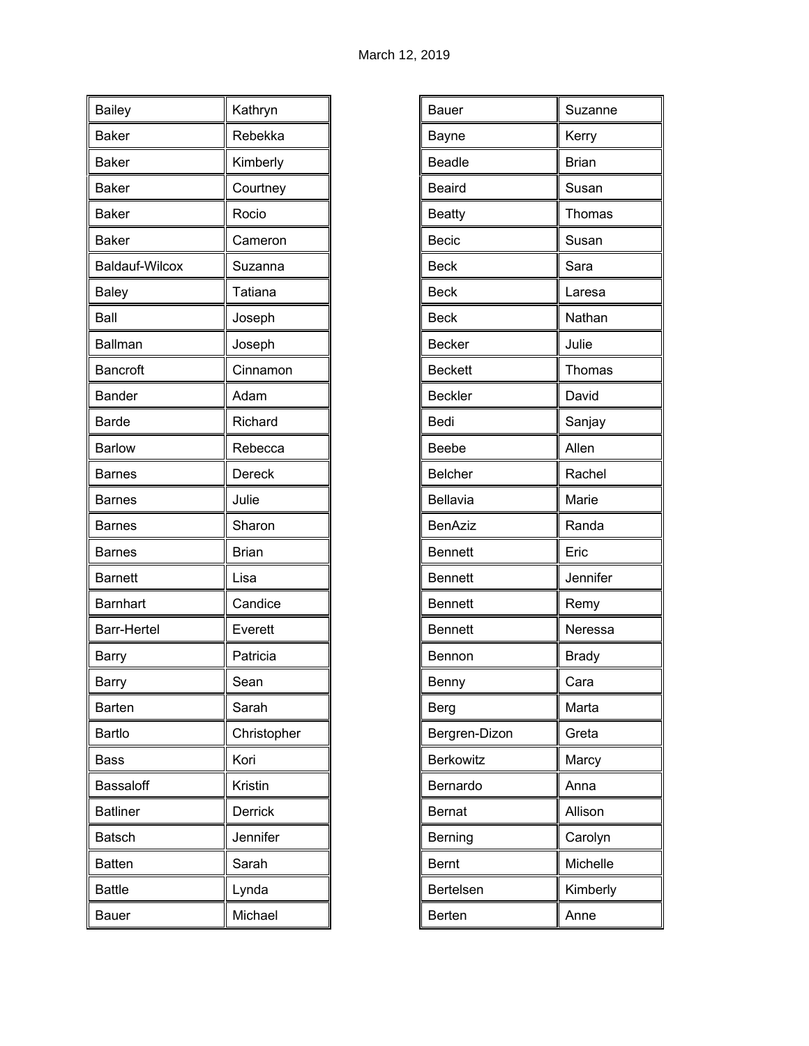| <b>Bailey</b>         | Kathryn      |
|-----------------------|--------------|
| <b>Baker</b>          | Rebekka      |
| <b>Baker</b>          | Kimberly     |
| <b>Baker</b>          | Courtney     |
| <b>Baker</b>          | Rocio        |
| <b>Baker</b>          | Cameron      |
| <b>Baldauf-Wilcox</b> | Suzanna      |
| <b>Baley</b>          | Tatiana      |
| Ball                  | Joseph       |
| Ballman               | Joseph       |
| Bancroft              | Cinnamon     |
| <b>Bander</b>         | Adam         |
| <b>Barde</b>          | Richard      |
| <b>Barlow</b>         | Rebecca      |
| <b>Barnes</b>         | Dereck       |
| Barnes                | Julie        |
| <b>Barnes</b>         | Sharon       |
| <b>Barnes</b>         | <b>Brian</b> |
| <b>Barnett</b>        | Lisa         |
| Barnhart              | Candice      |
| <b>Barr-Hertel</b>    | Everett      |
| Barry                 | Patricia     |
| Barry                 | Sean         |
| Barten                | Sarah        |
| <b>Bartlo</b>         | Christopher  |
| Bass                  | Kori         |
| Bassaloff             | Kristin      |
| <b>Batliner</b>       | Derrick      |
| <b>Batsch</b>         | Jennifer     |
| <b>Batten</b>         | Sarah        |
| <b>Battle</b>         | Lynda        |
| <b>Bauer</b>          | Michael      |

| Suzanne<br>Bauer<br>Kerry<br>Bayne<br><b>Brian</b><br><b>Beadle</b><br><b>Beaird</b><br>Susan<br><b>Beatty</b><br>Thomas |
|--------------------------------------------------------------------------------------------------------------------------|
|                                                                                                                          |
|                                                                                                                          |
|                                                                                                                          |
|                                                                                                                          |
|                                                                                                                          |
| <b>Becic</b><br>Susan                                                                                                    |
| <b>Beck</b><br>Sara                                                                                                      |
| <b>Beck</b><br>Laresa                                                                                                    |
| <b>Beck</b><br>Nathan                                                                                                    |
| Julie<br><b>Becker</b>                                                                                                   |
| <b>Beckett</b><br>Thomas                                                                                                 |
| <b>Beckler</b><br>David                                                                                                  |
| Bedi<br>Sanjay                                                                                                           |
| Allen<br><b>Beebe</b>                                                                                                    |
| <b>Belcher</b><br>Rachel                                                                                                 |
| Bellavia<br>Marie                                                                                                        |
| <b>BenAziz</b><br>Randa                                                                                                  |
| Eric<br><b>Bennett</b>                                                                                                   |
| Jennifer<br><b>Bennett</b>                                                                                               |
| Bennett<br>Remy                                                                                                          |
| Neressa<br><b>Bennett</b>                                                                                                |
| <b>Brady</b><br>Bennon                                                                                                   |
| Cara<br>Benny                                                                                                            |
| Marta<br>Berg                                                                                                            |
| Bergren-Dizon<br>Greta                                                                                                   |
| Berkowitz<br>Marcy                                                                                                       |
| Anna<br>Bernardo                                                                                                         |
| Allison<br><b>Bernat</b>                                                                                                 |
| Berning<br>Carolyn                                                                                                       |
| Bernt<br>Michelle                                                                                                        |
| Kimberly<br>Bertelsen                                                                                                    |
|                                                                                                                          |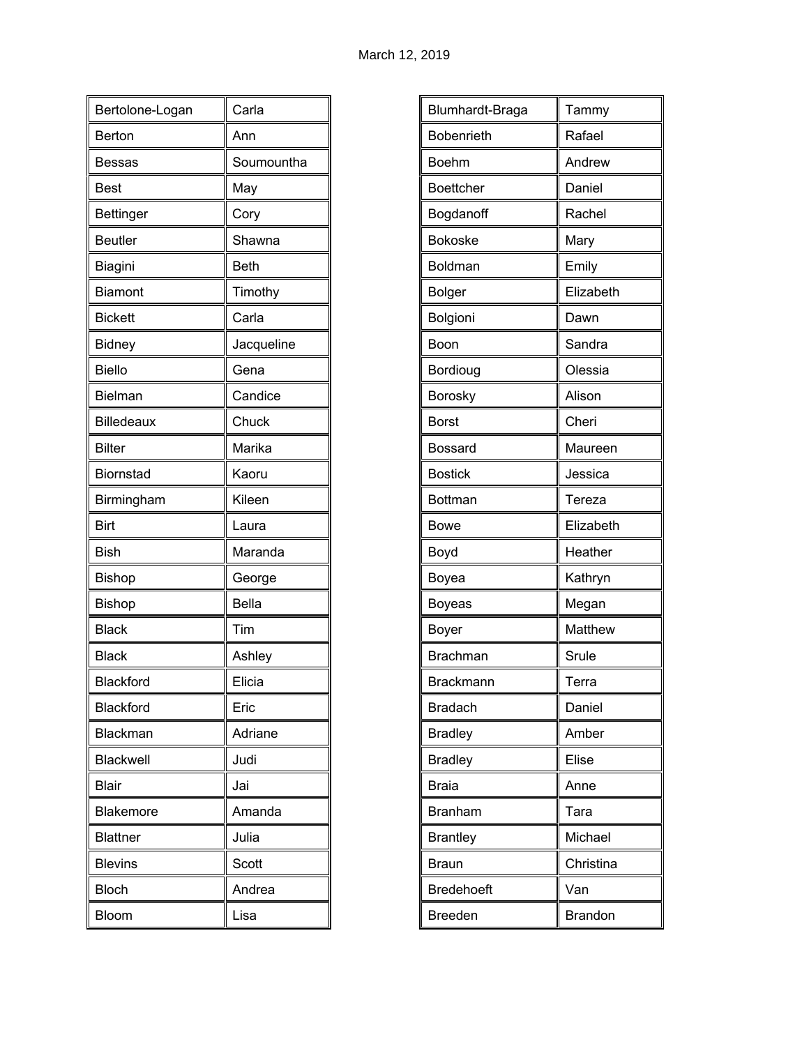| Bertolone-Logan   | Carla        |
|-------------------|--------------|
| Berton            | Ann          |
| <b>Bessas</b>     | Soumountha   |
| <b>Best</b>       | May          |
| <b>Bettinger</b>  | Cory         |
| <b>Beutler</b>    | Shawna       |
| Biagini           | <b>Beth</b>  |
| <b>Biamont</b>    | Timothy      |
| <b>Bickett</b>    | Carla        |
| <b>Bidney</b>     | Jacqueline   |
| <b>Biello</b>     | Gena         |
| Bielman           | Candice      |
| <b>Billedeaux</b> | Chuck        |
| <b>Bilter</b>     | Marika       |
| Biornstad         | Kaoru        |
| Birmingham        | Kileen       |
| Birt              | Laura        |
| <b>Bish</b>       | Maranda      |
| <b>Bishop</b>     | George       |
| Bishop            | <b>Bella</b> |
| <b>Black</b>      | Tim          |
| <b>Black</b>      | Ashley       |
| Blackford         | Elicia       |
| <b>Blackford</b>  | Eric         |
| Blackman          | Adriane      |
| Blackwell         | Judi         |
| <b>Blair</b>      | Jai          |
| Blakemore         | Amanda       |
| <b>Blattner</b>   | Julia        |
| <b>Blevins</b>    | Scott        |
| <b>Bloch</b>      | Andrea       |
| Bloom             | Lisa         |

| Blumhardt-Braga   | Tammy          |
|-------------------|----------------|
| Bobenrieth        | Rafael         |
| <b>Boehm</b>      | Andrew         |
| <b>Boettcher</b>  | Daniel         |
| Bogdanoff         | Rachel         |
| <b>Bokoske</b>    | Mary           |
| Boldman           | Emily          |
| <b>Bolger</b>     | Elizabeth      |
| Bolgioni          | Dawn           |
| Boon              | Sandra         |
| Bordioug          | Olessia        |
| Borosky           | Alison         |
| <b>Borst</b>      | Cheri          |
| Bossard           | Maureen        |
| <b>Bostick</b>    | Jessica        |
| Bottman           | Tereza         |
| <b>Bowe</b>       | Elizabeth      |
| Boyd              | Heather        |
| Boyea             | Kathryn        |
| Boyeas            | Megan          |
| Boyer             | Matthew        |
| <b>Brachman</b>   | Srule          |
| <b>Brackmann</b>  | Terra          |
| <b>Bradach</b>    | Daniel         |
| <b>Bradley</b>    | Amber          |
| <b>Bradley</b>    | Elise          |
| <b>Braia</b>      | Anne           |
| <b>Branham</b>    | Tara           |
| <b>Brantley</b>   | Michael        |
| <b>Braun</b>      | Christina      |
| <b>Bredehoeft</b> | Van            |
| <b>Breeden</b>    | <b>Brandon</b> |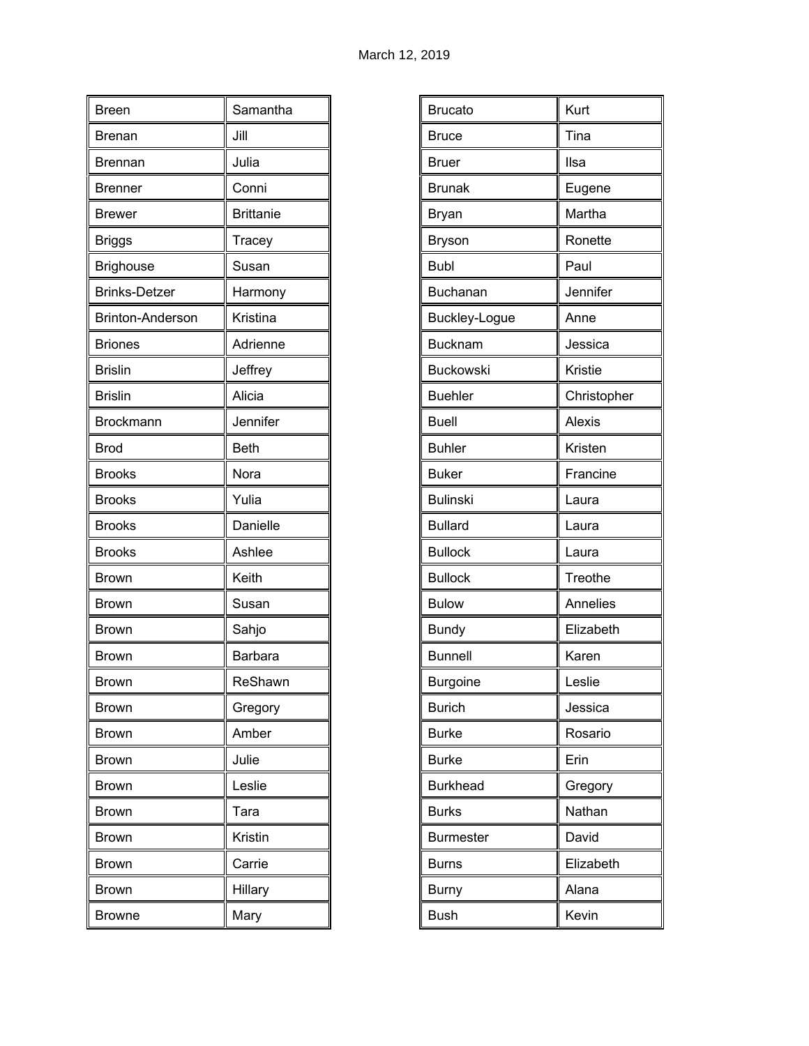| <b>Breen</b>            | Samantha         |
|-------------------------|------------------|
| <b>Brenan</b>           | Jill             |
| <b>Brennan</b>          | Julia            |
| <b>Brenner</b>          | Conni            |
| <b>Brewer</b>           | <b>Brittanie</b> |
| <b>Briggs</b>           | Tracey           |
| <b>Brighouse</b>        | Susan            |
| <b>Brinks-Detzer</b>    | Harmony          |
| <b>Brinton-Anderson</b> | Kristina         |
| <b>Briones</b>          | Adrienne         |
| <b>Brislin</b>          | Jeffrey          |
| <b>Brislin</b>          | Alicia           |
| Brockmann               | Jennifer         |
| <b>Brod</b>             | <b>Beth</b>      |
| <b>Brooks</b>           | Nora             |
| <b>Brooks</b>           | Yulia            |
| <b>Brooks</b>           | Danielle         |
| <b>Brooks</b>           | Ashlee           |
| Brown                   | Keith            |
| <b>Brown</b>            | Susan            |
| <b>Brown</b>            | Sahjo            |
| Brown                   | <b>Barbara</b>   |
| <b>Brown</b>            | ReShawn          |
| <b>Brown</b>            | Gregory          |
| <b>Brown</b>            | Amber            |
| <b>Brown</b>            | Julie            |
| Brown                   | Leslie           |
| <b>Brown</b>            | Tara             |
| <b>Brown</b>            | Kristin          |
| Brown                   | Carrie           |
| <b>Brown</b>            | Hillary          |
| <b>Browne</b>           | Mary             |

| <b>Brucato</b>   | Kurt        |
|------------------|-------------|
| <b>Bruce</b>     | Tina        |
| <b>Bruer</b>     | Ilsa        |
| <b>Brunak</b>    | Eugene      |
| Bryan            | Martha      |
| <b>Bryson</b>    | Ronette     |
| <b>Bubl</b>      | Paul        |
| Buchanan         | Jennifer    |
| Buckley-Logue    | Anne        |
| <b>Bucknam</b>   | Jessica     |
| Buckowski        | Kristie     |
| <b>Buehler</b>   | Christopher |
| <b>Buell</b>     | Alexis      |
| <b>Buhler</b>    | Kristen     |
| <b>Buker</b>     | Francine    |
| <b>Bulinski</b>  | Laura       |
| <b>Bullard</b>   | Laura       |
| <b>Bullock</b>   | Laura       |
| <b>Bullock</b>   | Treothe     |
| <b>Bulow</b>     | Annelies    |
| <b>Bundy</b>     | Elizabeth   |
| <b>Bunnell</b>   | Karen       |
| Burgoine         | Leslie      |
| <b>Burich</b>    | Jessica     |
| <b>Burke</b>     | Rosario     |
| <b>Burke</b>     | Erin        |
| <b>Burkhead</b>  | Gregory     |
| <b>Burks</b>     | Nathan      |
| <b>Burmester</b> | David       |
| <b>Burns</b>     | Elizabeth   |
| <b>Burny</b>     | Alana       |
| <b>Bush</b>      | Kevin       |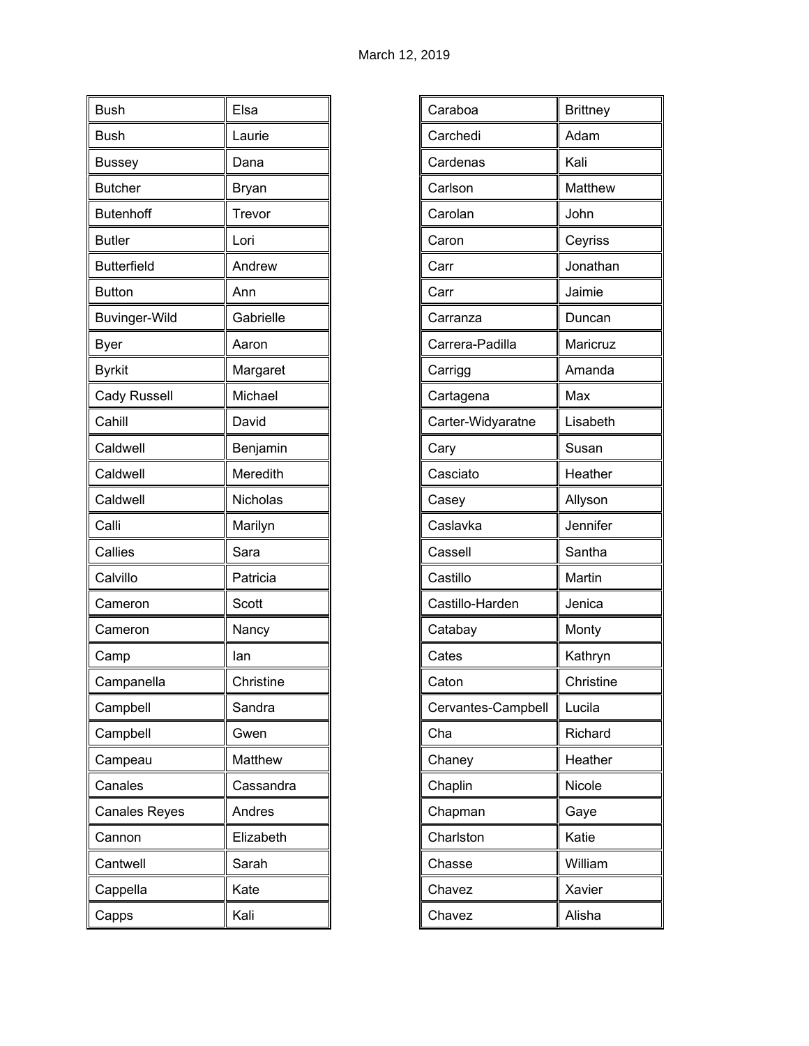| <b>Bush</b>          | Elsa         |
|----------------------|--------------|
| <b>Bush</b>          | Laurie       |
| <b>Bussey</b>        | Dana         |
| <b>Butcher</b>       | <b>Bryan</b> |
| <b>Butenhoff</b>     | Trevor       |
| <b>Butler</b>        | Lori         |
| <b>Butterfield</b>   | Andrew       |
| <b>Button</b>        | Ann          |
| <b>Buvinger-Wild</b> | Gabrielle    |
| <b>Byer</b>          | Aaron        |
| <b>Byrkit</b>        | Margaret     |
| <b>Cady Russell</b>  | Michael      |
| Cahill               | David        |
| Caldwell             | Benjamin     |
| Caldwell             | Meredith     |
| Caldwell             | Nicholas     |
| Calli                | Marilyn      |
| Callies              | Sara         |
| Calvillo             | Patricia     |
| Cameron              | Scott        |
| Cameron              | Nancy        |
| Camp                 | lan          |
| Campanella           | Christine    |
| Campbell             | Sandra       |
| Campbell             | Gwen         |
| Campeau              | Matthew      |
| Canales              | Cassandra    |
| <b>Canales Reyes</b> | Andres       |
| Cannon               | Elizabeth    |
| Cantwell             | Sarah        |
| Cappella             | Kate         |
| Capps                | Kali         |

| <b>Brittney</b> |
|-----------------|
| Adam            |
| Kali            |
| <b>Matthew</b>  |
| John            |
| Ceyriss         |
| Jonathan        |
| Jaimie          |
| Duncan          |
| Maricruz        |
| Amanda          |
| Max             |
| Lisabeth        |
| Susan           |
| Heather         |
| Allyson         |
| Jennifer        |
| Santha          |
| Martin          |
| Jenica          |
| Monty           |
| Kathryn         |
| Christine       |
| Lucila          |
| Richard         |
| Heather         |
| Nicole          |
| Gaye            |
| Katie           |
| William         |
| Xavier          |
| Alisha          |
|                 |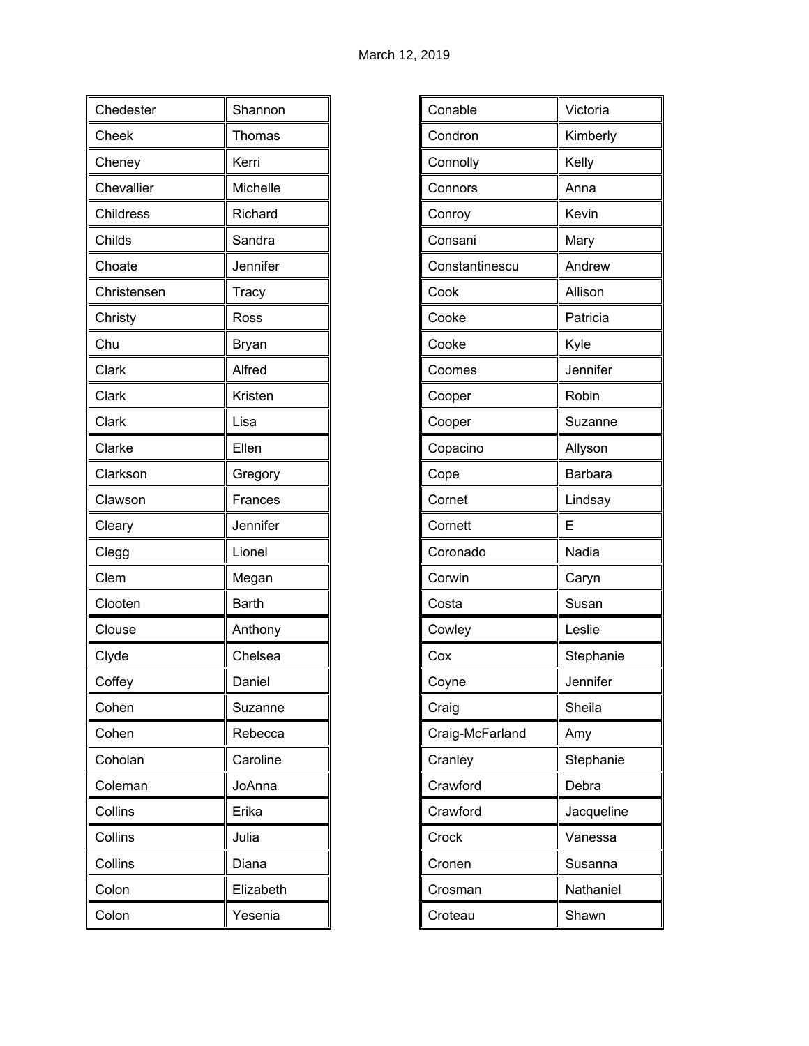| Chedester   | Shannon      |
|-------------|--------------|
| Cheek       | Thomas       |
| Cheney      | Kerri        |
| Chevallier  | Michelle     |
| Childress   | Richard      |
| Childs      | Sandra       |
| Choate      | Jennifer     |
| Christensen | Tracy        |
| Christy     | Ross         |
| Chu         | Bryan        |
| Clark       | Alfred       |
| Clark       | Kristen      |
| Clark       | Lisa         |
| Clarke      | Ellen        |
| Clarkson    | Gregory      |
| Clawson     | Frances      |
| Cleary      | Jennifer     |
| Clegg       | Lionel       |
| Clem        | Megan        |
| Clooten     | <b>Barth</b> |
| Clouse      | Anthony      |
| Clyde       | Chelsea      |
| Coffey      | Daniel       |
| Cohen       | Suzanne      |
| Cohen       | Rebecca      |
| Coholan     | Caroline     |
| Coleman     | JoAnna       |
| Collins     | Erika        |
| Collins     | Julia        |
| Collins     | Diana        |
| Colon       | Elizabeth    |
| Colon       | Yesenia      |

| Conable<br>Victoria<br>Condron<br>Kimberly<br>Kelly<br>Connolly<br>Anna<br>Connors<br>Kevin<br>Conroy<br>Mary<br>Consani<br>Andrew<br>Constantinescu<br>Allison<br>Cook<br>Patricia<br>Cooke<br>Cooke<br>Kyle<br>Jennifer<br>Coomes<br>Robin<br>Cooper<br>Suzanne<br>Cooper<br>Copacino<br>Allyson<br><b>Barbara</b><br>Cope<br>Cornet<br>Lindsay<br>E<br>Cornett<br>Nadia<br>Coronado<br>Corwin<br>Caryn<br>Costa<br>Susan<br>Leslie<br>Cowley<br>Stephanie<br>Cox<br>Coyne<br>Jennifer<br>Sheila<br>Craig<br>Craig-McFarland<br>Amy<br>Stephanie<br>Cranley<br>Crawford<br>Debra<br>Crawford<br>Jacqueline<br>Crock<br>Vanessa<br>Cronen<br>Susanna<br>Nathaniel<br>Crosman<br>Shawn<br>Croteau |  |
|---------------------------------------------------------------------------------------------------------------------------------------------------------------------------------------------------------------------------------------------------------------------------------------------------------------------------------------------------------------------------------------------------------------------------------------------------------------------------------------------------------------------------------------------------------------------------------------------------------------------------------------------------------------------------------------------------|--|
|                                                                                                                                                                                                                                                                                                                                                                                                                                                                                                                                                                                                                                                                                                   |  |
|                                                                                                                                                                                                                                                                                                                                                                                                                                                                                                                                                                                                                                                                                                   |  |
|                                                                                                                                                                                                                                                                                                                                                                                                                                                                                                                                                                                                                                                                                                   |  |
|                                                                                                                                                                                                                                                                                                                                                                                                                                                                                                                                                                                                                                                                                                   |  |
|                                                                                                                                                                                                                                                                                                                                                                                                                                                                                                                                                                                                                                                                                                   |  |
|                                                                                                                                                                                                                                                                                                                                                                                                                                                                                                                                                                                                                                                                                                   |  |
|                                                                                                                                                                                                                                                                                                                                                                                                                                                                                                                                                                                                                                                                                                   |  |
|                                                                                                                                                                                                                                                                                                                                                                                                                                                                                                                                                                                                                                                                                                   |  |
|                                                                                                                                                                                                                                                                                                                                                                                                                                                                                                                                                                                                                                                                                                   |  |
|                                                                                                                                                                                                                                                                                                                                                                                                                                                                                                                                                                                                                                                                                                   |  |
|                                                                                                                                                                                                                                                                                                                                                                                                                                                                                                                                                                                                                                                                                                   |  |
|                                                                                                                                                                                                                                                                                                                                                                                                                                                                                                                                                                                                                                                                                                   |  |
|                                                                                                                                                                                                                                                                                                                                                                                                                                                                                                                                                                                                                                                                                                   |  |
|                                                                                                                                                                                                                                                                                                                                                                                                                                                                                                                                                                                                                                                                                                   |  |
|                                                                                                                                                                                                                                                                                                                                                                                                                                                                                                                                                                                                                                                                                                   |  |
|                                                                                                                                                                                                                                                                                                                                                                                                                                                                                                                                                                                                                                                                                                   |  |
|                                                                                                                                                                                                                                                                                                                                                                                                                                                                                                                                                                                                                                                                                                   |  |
|                                                                                                                                                                                                                                                                                                                                                                                                                                                                                                                                                                                                                                                                                                   |  |
|                                                                                                                                                                                                                                                                                                                                                                                                                                                                                                                                                                                                                                                                                                   |  |
|                                                                                                                                                                                                                                                                                                                                                                                                                                                                                                                                                                                                                                                                                                   |  |
|                                                                                                                                                                                                                                                                                                                                                                                                                                                                                                                                                                                                                                                                                                   |  |
|                                                                                                                                                                                                                                                                                                                                                                                                                                                                                                                                                                                                                                                                                                   |  |
|                                                                                                                                                                                                                                                                                                                                                                                                                                                                                                                                                                                                                                                                                                   |  |
|                                                                                                                                                                                                                                                                                                                                                                                                                                                                                                                                                                                                                                                                                                   |  |
|                                                                                                                                                                                                                                                                                                                                                                                                                                                                                                                                                                                                                                                                                                   |  |
|                                                                                                                                                                                                                                                                                                                                                                                                                                                                                                                                                                                                                                                                                                   |  |
|                                                                                                                                                                                                                                                                                                                                                                                                                                                                                                                                                                                                                                                                                                   |  |
|                                                                                                                                                                                                                                                                                                                                                                                                                                                                                                                                                                                                                                                                                                   |  |
|                                                                                                                                                                                                                                                                                                                                                                                                                                                                                                                                                                                                                                                                                                   |  |
|                                                                                                                                                                                                                                                                                                                                                                                                                                                                                                                                                                                                                                                                                                   |  |
|                                                                                                                                                                                                                                                                                                                                                                                                                                                                                                                                                                                                                                                                                                   |  |
|                                                                                                                                                                                                                                                                                                                                                                                                                                                                                                                                                                                                                                                                                                   |  |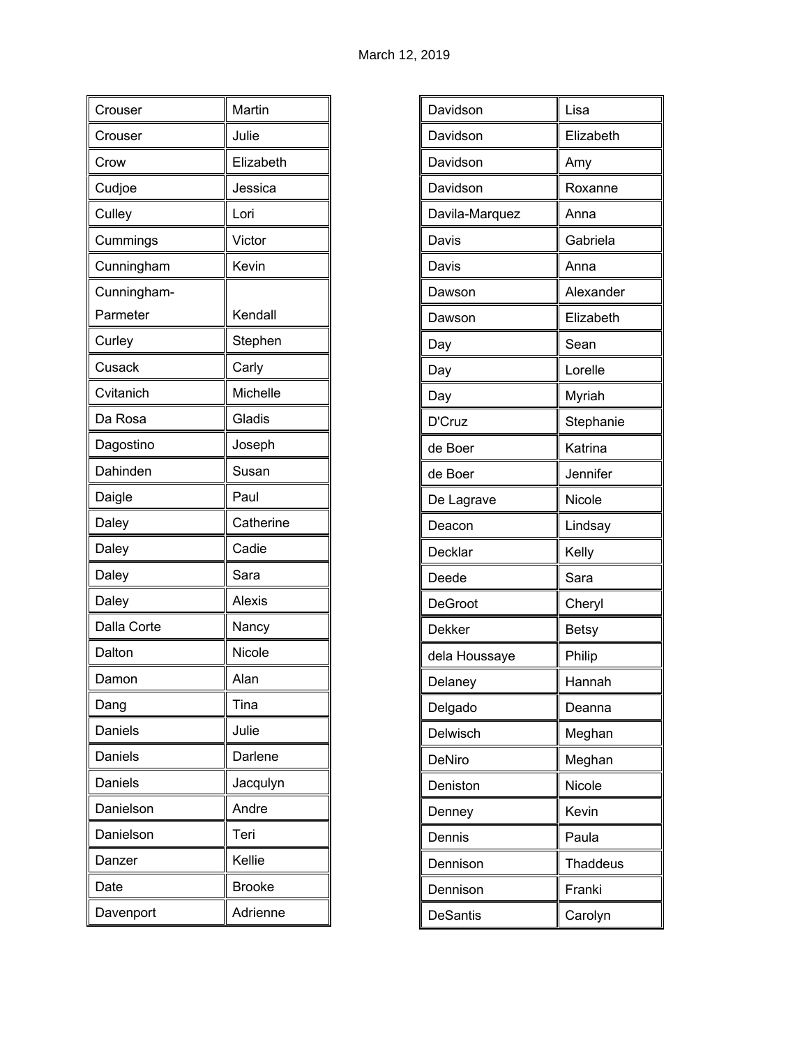| Crouser     | Martin        |
|-------------|---------------|
| Crouser     | Julie         |
| Crow        | Elizabeth     |
| Cudjoe      | Jessica       |
| Culley      | Lori          |
| Cummings    | Victor        |
| Cunningham  | Kevin         |
| Cunningham- |               |
| Parmeter    | Kendall       |
| Curley      | Stephen       |
| Cusack      | Carly         |
| Cvitanich   | Michelle      |
| Da Rosa     | Gladis        |
| Dagostino   | Joseph        |
| Dahinden    | Susan         |
| Daigle      | Paul          |
| Daley       | Catherine     |
| Daley       | Cadie         |
| Daley       | Sara          |
| Daley       | <b>Alexis</b> |
| Dalla Corte | Nancy         |
| Dalton      | Nicole        |
| Damon       | Alan          |
| Dang        | Tina          |
| Daniels     | Julie         |
| Daniels     | Darlene       |
| Daniels     | Jacqulyn      |
| Danielson   | Andre         |
| Danielson   | Teri          |
| Danzer      | Kellie        |
| Date        | <b>Brooke</b> |
| Davenport   | Adrienne      |

| Elizabeth<br>Davidson<br>Davidson<br>Amy<br>Davidson<br>Roxanne<br>Davila-Marquez<br>Anna<br>Davis<br>Gabriela<br>Davis<br>Anna<br>Alexander<br>Dawson<br>Elizabeth<br>Dawson<br>Sean<br>Day<br>Lorelle<br>Day<br>Myriah<br>Day<br>D'Cruz<br>Stephanie<br>Katrina<br>de Boer<br>Jennifer<br>de Boer<br>Nicole<br>De Lagrave<br>Lindsay<br>Deacon<br>Decklar<br>Kelly<br>Deede<br>Sara<br>DeGroot<br>Cheryl<br><b>Dekker</b><br><b>Betsy</b><br>Philip<br>dela Houssaye<br>Hannah<br>Delaney<br>Delgado<br>Deanna<br>Delwisch<br>Meghan<br>DeNiro<br>Meghan<br>Deniston<br>Nicole<br>Kevin<br>Denney<br>Dennis<br>Paula<br>Dennison<br><b>Thaddeus</b><br>Dennison<br>Franki<br><b>DeSantis</b><br>Carolyn |          |      |
|-----------------------------------------------------------------------------------------------------------------------------------------------------------------------------------------------------------------------------------------------------------------------------------------------------------------------------------------------------------------------------------------------------------------------------------------------------------------------------------------------------------------------------------------------------------------------------------------------------------------------------------------------------------------------------------------------------------|----------|------|
|                                                                                                                                                                                                                                                                                                                                                                                                                                                                                                                                                                                                                                                                                                           | Davidson | Lisa |
|                                                                                                                                                                                                                                                                                                                                                                                                                                                                                                                                                                                                                                                                                                           |          |      |
|                                                                                                                                                                                                                                                                                                                                                                                                                                                                                                                                                                                                                                                                                                           |          |      |
|                                                                                                                                                                                                                                                                                                                                                                                                                                                                                                                                                                                                                                                                                                           |          |      |
|                                                                                                                                                                                                                                                                                                                                                                                                                                                                                                                                                                                                                                                                                                           |          |      |
|                                                                                                                                                                                                                                                                                                                                                                                                                                                                                                                                                                                                                                                                                                           |          |      |
|                                                                                                                                                                                                                                                                                                                                                                                                                                                                                                                                                                                                                                                                                                           |          |      |
|                                                                                                                                                                                                                                                                                                                                                                                                                                                                                                                                                                                                                                                                                                           |          |      |
|                                                                                                                                                                                                                                                                                                                                                                                                                                                                                                                                                                                                                                                                                                           |          |      |
|                                                                                                                                                                                                                                                                                                                                                                                                                                                                                                                                                                                                                                                                                                           |          |      |
|                                                                                                                                                                                                                                                                                                                                                                                                                                                                                                                                                                                                                                                                                                           |          |      |
|                                                                                                                                                                                                                                                                                                                                                                                                                                                                                                                                                                                                                                                                                                           |          |      |
|                                                                                                                                                                                                                                                                                                                                                                                                                                                                                                                                                                                                                                                                                                           |          |      |
|                                                                                                                                                                                                                                                                                                                                                                                                                                                                                                                                                                                                                                                                                                           |          |      |
|                                                                                                                                                                                                                                                                                                                                                                                                                                                                                                                                                                                                                                                                                                           |          |      |
|                                                                                                                                                                                                                                                                                                                                                                                                                                                                                                                                                                                                                                                                                                           |          |      |
|                                                                                                                                                                                                                                                                                                                                                                                                                                                                                                                                                                                                                                                                                                           |          |      |
|                                                                                                                                                                                                                                                                                                                                                                                                                                                                                                                                                                                                                                                                                                           |          |      |
|                                                                                                                                                                                                                                                                                                                                                                                                                                                                                                                                                                                                                                                                                                           |          |      |
|                                                                                                                                                                                                                                                                                                                                                                                                                                                                                                                                                                                                                                                                                                           |          |      |
|                                                                                                                                                                                                                                                                                                                                                                                                                                                                                                                                                                                                                                                                                                           |          |      |
|                                                                                                                                                                                                                                                                                                                                                                                                                                                                                                                                                                                                                                                                                                           |          |      |
|                                                                                                                                                                                                                                                                                                                                                                                                                                                                                                                                                                                                                                                                                                           |          |      |
|                                                                                                                                                                                                                                                                                                                                                                                                                                                                                                                                                                                                                                                                                                           |          |      |
|                                                                                                                                                                                                                                                                                                                                                                                                                                                                                                                                                                                                                                                                                                           |          |      |
|                                                                                                                                                                                                                                                                                                                                                                                                                                                                                                                                                                                                                                                                                                           |          |      |
|                                                                                                                                                                                                                                                                                                                                                                                                                                                                                                                                                                                                                                                                                                           |          |      |
|                                                                                                                                                                                                                                                                                                                                                                                                                                                                                                                                                                                                                                                                                                           |          |      |
|                                                                                                                                                                                                                                                                                                                                                                                                                                                                                                                                                                                                                                                                                                           |          |      |
|                                                                                                                                                                                                                                                                                                                                                                                                                                                                                                                                                                                                                                                                                                           |          |      |
|                                                                                                                                                                                                                                                                                                                                                                                                                                                                                                                                                                                                                                                                                                           |          |      |
|                                                                                                                                                                                                                                                                                                                                                                                                                                                                                                                                                                                                                                                                                                           |          |      |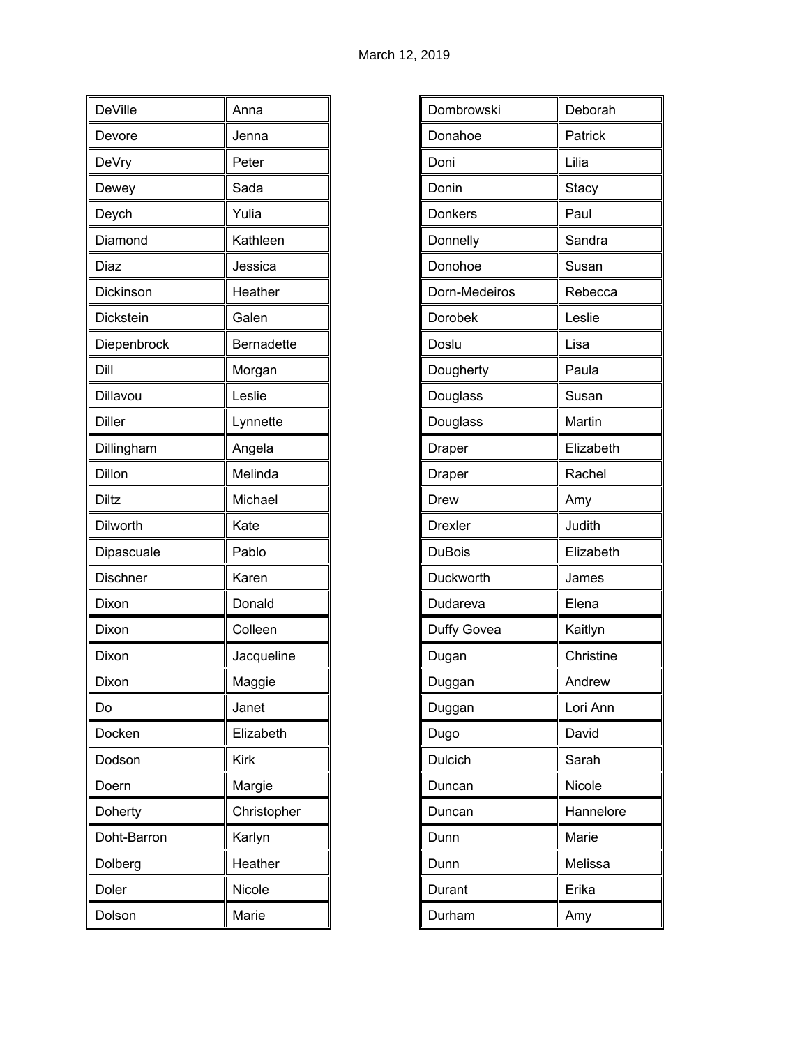| <b>DeVille</b> | Anna              |
|----------------|-------------------|
| Devore         | Jenna             |
| DeVry          | Peter             |
| Dewey          | Sada              |
| Deych          | Yulia             |
| Diamond        | Kathleen          |
| Diaz           | Jessica           |
| Dickinson      | Heather           |
| Dickstein      | Galen             |
| Diepenbrock    | <b>Bernadette</b> |
| Dill           | Morgan            |
| Dillavou       | Leslie            |
| <b>Diller</b>  | Lynnette          |
| Dillingham     | Angela            |
| Dillon         | Melinda           |
| Diltz          | Michael           |
| Dilworth       | Kate              |
| Dipascuale     | Pablo             |
| Dischner       | Karen             |
| Dixon          | Donald            |
| Dixon          | Colleen           |
| Dixon          | Jacqueline        |
| Dixon          | Maggie            |
| Do             | Janet             |
| Docken         | Elizabeth         |
| Dodson         | <b>Kirk</b>       |
| Doern          | Margie            |
| Doherty        | Christopher       |
| Doht-Barron    | Karlyn            |
| Dolberg        | Heather           |
| Doler          | Nicole            |
| Dolson         | Marie             |

| Dombrowski     | Deborah   |
|----------------|-----------|
| Donahoe        | Patrick   |
| Doni           | Lilia     |
| Donin          | Stacy     |
| Donkers        | Paul      |
| Donnelly       | Sandra    |
| Donohoe        | Susan     |
| Dorn-Medeiros  | Rebecca   |
| Dorobek        | Leslie    |
| Doslu          | Lisa      |
| Dougherty      | Paula     |
| Douglass       | Susan     |
| Douglass       | Martin    |
| Draper         | Elizabeth |
| Draper         | Rachel    |
| Drew           | Amy       |
| <b>Drexler</b> | Judith    |
| <b>DuBois</b>  | Elizabeth |
| Duckworth      | James     |
| Dudareva       | Elena     |
| Duffy Govea    | Kaitlyn   |
| Dugan          | Christine |
| Duggan         | Andrew    |
| Duggan         | Lori Ann  |
| Dugo           | David     |
| Dulcich        | Sarah     |
| Duncan         | Nicole    |
| Duncan         | Hannelore |
| Dunn           | Marie     |
| Dunn           | Melissa   |
| Durant         | Erika     |
| Durham         | Amy       |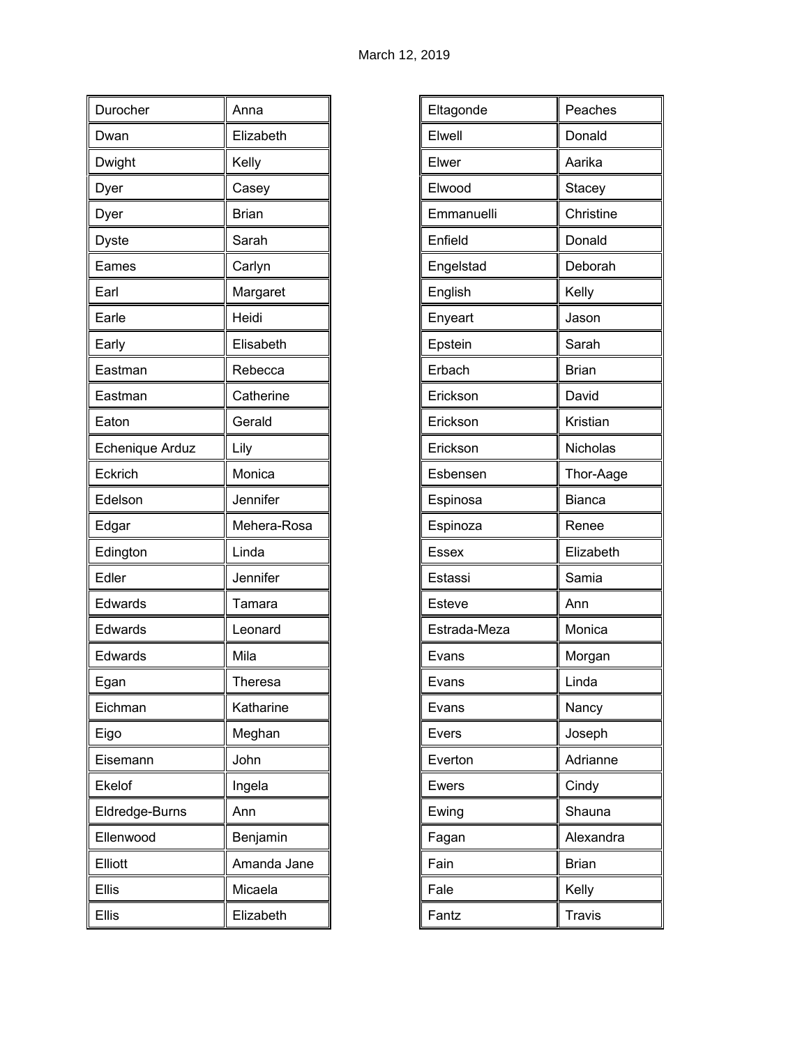| Durocher        | Anna         |
|-----------------|--------------|
| Dwan            | Elizabeth    |
| Dwight          | Kelly        |
| Dyer            | Casey        |
| Dyer            | <b>Brian</b> |
| Dyste           | Sarah        |
| Eames           | Carlyn       |
| Earl            | Margaret     |
| Earle           | Heidi        |
| Early           | Elisabeth    |
| Eastman         | Rebecca      |
| Eastman         | Catherine    |
| Eaton           | Gerald       |
| Echenique Arduz | Lily         |
| Eckrich         | Monica       |
| Edelson         | Jennifer     |
| Edgar           | Mehera-Rosa  |
| Edington        | Linda        |
| Edler           | Jennifer     |
| Edwards         | Tamara       |
| Edwards         | Leonard      |
| Edwards         | Mila         |
| Egan            | Theresa      |
| Eichman         | Katharine    |
| Eigo            | Meghan       |
| Eisemann        | John         |
| Ekelof          | Ingela       |
| Eldredge-Burns  | Ann          |
| Ellenwood       | Benjamin     |
| Elliott         | Amanda Jane  |
| <b>Ellis</b>    | Micaela      |
| Ellis           | Elizabeth    |

| Eltagonde    | Peaches       |
|--------------|---------------|
| Elwell       | Donald        |
| Elwer        | Aarika        |
| Elwood       | Stacey        |
| Emmanuelli   | Christine     |
| Enfield      | Donald        |
| Engelstad    | Deborah       |
| English      | Kelly         |
| Enyeart      | Jason         |
| Epstein      | Sarah         |
| Erbach       | <b>Brian</b>  |
| Erickson     | David         |
| Erickson     | Kristian      |
| Erickson     | Nicholas      |
| Esbensen     | Thor-Aage     |
| Espinosa     | <b>Bianca</b> |
| Espinoza     | Renee         |
| <b>Essex</b> | Elizabeth     |
| Estassi      | Samia         |
| Esteve       | Ann           |
| Estrada-Meza | Monica        |
| Evans        | Morgan        |
| Evans        | Linda         |
| Evans        | Nancy         |
| Evers        | Joseph        |
| Everton      | Adrianne      |
| Ewers        | Cindy         |
| Ewing        | Shauna        |
| Fagan        | Alexandra     |
| Fain         | <b>Brian</b>  |
| Fale         | Kelly         |
| Fantz        | <b>Travis</b> |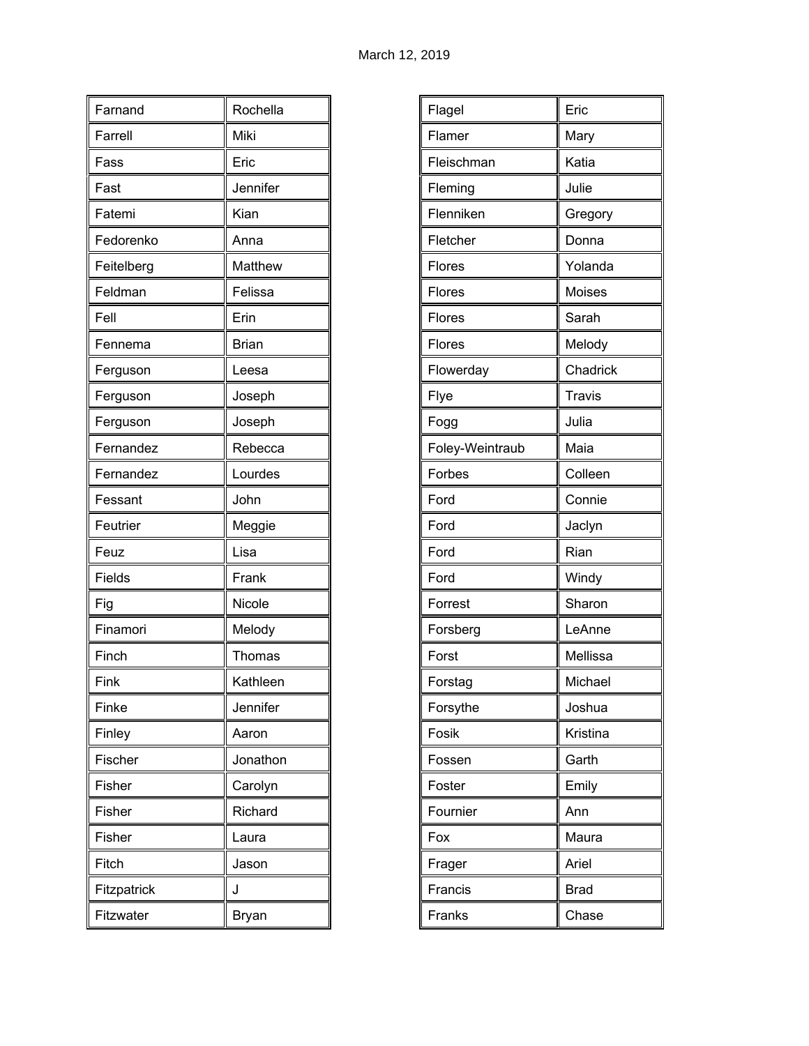| Farnand     | Rochella     |
|-------------|--------------|
| Farrell     | Miki         |
| Fass        | Eric         |
| Fast        | Jennifer     |
| Fatemi      | Kian         |
| Fedorenko   | Anna         |
| Feitelberg  | Matthew      |
| Feldman     | Felissa      |
| Fell        | Erin         |
| Fennema     | <b>Brian</b> |
| Ferguson    | Leesa        |
| Ferguson    | Joseph       |
| Ferguson    | Joseph       |
| Fernandez   | Rebecca      |
| Fernandez   | Lourdes      |
| Fessant     | John         |
| Feutrier    | Meggie       |
| Feuz        | Lisa         |
| Fields      | Frank        |
| Fig         | Nicole       |
| Finamori    | Melody       |
| Finch       | Thomas       |
| Fink        | Kathleen     |
| Finke       | Jennifer     |
| Finley      | Aaron        |
| Fischer     | Jonathon     |
| Fisher      | Carolyn      |
| Fisher      | Richard      |
| Fisher      | Laura        |
| Fitch       | Jason        |
| Fitzpatrick | J            |
| Fitzwater   | <b>Bryan</b> |

| Flagel          | Eric          |
|-----------------|---------------|
| Flamer          | Mary          |
| Fleischman      | Katia         |
| Fleming         | Julie         |
| Flenniken       | Gregory       |
| Fletcher        | Donna         |
| Flores          | Yolanda       |
| Flores          | Moises        |
| Flores          | Sarah         |
| Flores          | Melody        |
| Flowerday       | Chadrick      |
| Flye            | <b>Travis</b> |
| Fogg            | Julia         |
| Foley-Weintraub | Maia          |
| Forbes          | Colleen       |
| Ford            | Connie        |
| Ford            | Jaclyn        |
| Ford            | Rian          |
| Ford            | Windy         |
| Forrest         | Sharon        |
| Forsberg        | LeAnne        |
| Forst           | Mellissa      |
| Forstag         | Michael       |
| Forsythe        | Joshua        |
| Fosik           | Kristina      |
| Fossen          | Garth         |
| Foster          | Emily         |
| Fournier        | Ann           |
| Fox             | Maura         |
| Frager          | Ariel         |
| Francis         | <b>Brad</b>   |
| Franks          | Chase         |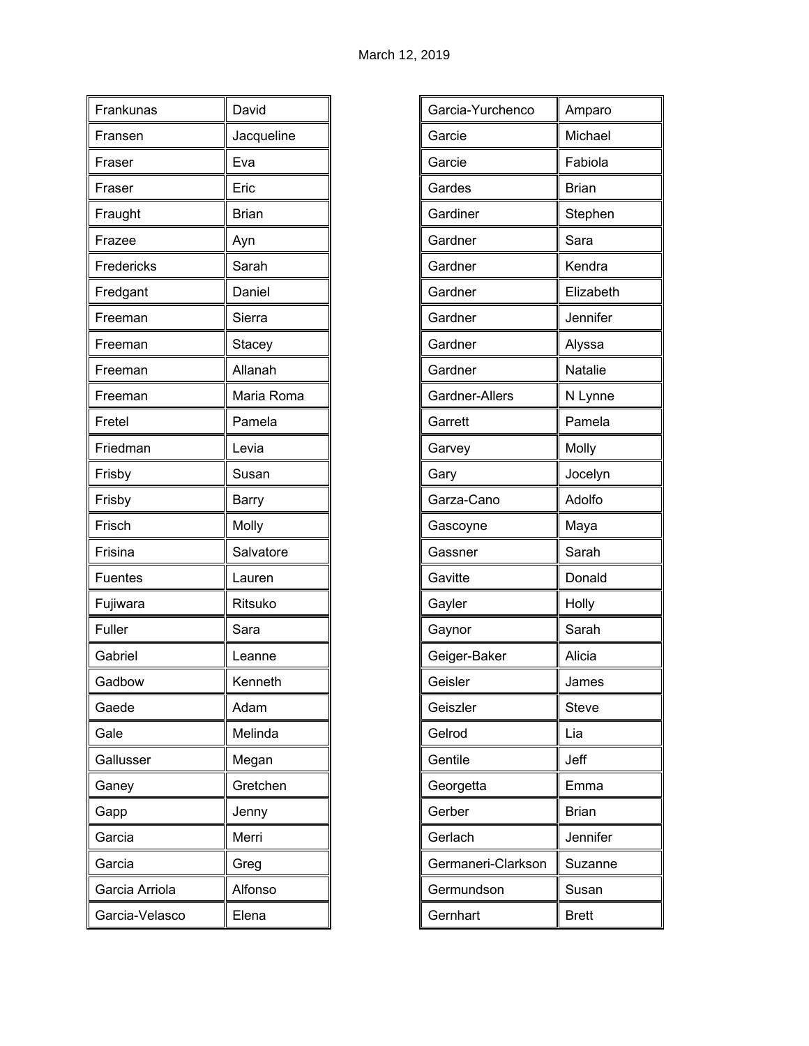| Frankunas      | David        |
|----------------|--------------|
| Fransen        | Jacqueline   |
| Fraser         | Eva          |
| Fraser         | Eric         |
| Fraught        | <b>Brian</b> |
| Frazee         | Ayn          |
| Fredericks     | Sarah        |
| Fredgant       | Daniel       |
| Freeman        | Sierra       |
| Freeman        | Stacey       |
| Freeman        | Allanah      |
| Freeman        | Maria Roma   |
| Fretel         | Pamela       |
| Friedman       | Levia        |
| Frisby         | Susan        |
| Frisby         | Barry        |
| Frisch         | Molly        |
| Frisina        | Salvatore    |
| Fuentes        | Lauren       |
| Fujiwara       | Ritsuko      |
| Fuller         | Sara         |
| Gabriel        | Leanne       |
| Gadbow         | Kenneth      |
| Gaede          | Adam         |
| Gale           | Melinda      |
| Gallusser      | Megan        |
| Ganey          | Gretchen     |
| Gapp           | Jenny        |
| Garcia         | Merri        |
| Garcia         | Greg         |
| Garcia Arriola | Alfonso      |
| Garcia-Velasco | Elena        |

| Garcia-Yurchenco   | Amparo         |
|--------------------|----------------|
| Garcie             | Michael        |
| Garcie             | Fabiola        |
| Gardes             | <b>Brian</b>   |
| Gardiner           | Stephen        |
| Gardner            | Sara           |
| Gardner            | Kendra         |
| Gardner            | Elizabeth      |
| Gardner            | Jennifer       |
| Gardner            | Alyssa         |
| Gardner            | <b>Natalie</b> |
| Gardner-Allers     | N Lynne        |
| Garrett            | Pamela         |
| Garvey             | Molly          |
| Gary               | Jocelyn        |
| Garza-Cano         | Adolfo         |
| Gascoyne           | Maya           |
| Gassner            | Sarah          |
| Gavitte            | Donald         |
| Gayler             | Holly          |
| Gaynor             | Sarah          |
| Geiger-Baker       | Alicia         |
| Geisler            | James          |
| Geiszler           | <b>Steve</b>   |
| Gelrod             | Lia            |
| Gentile            | Jeff           |
| Georgetta          | Emma           |
| Gerber             | <b>Brian</b>   |
| Gerlach            | Jennifer       |
| Germaneri-Clarkson | Suzanne        |
| Germundson         | Susan          |
| Gernhart           | <b>Brett</b>   |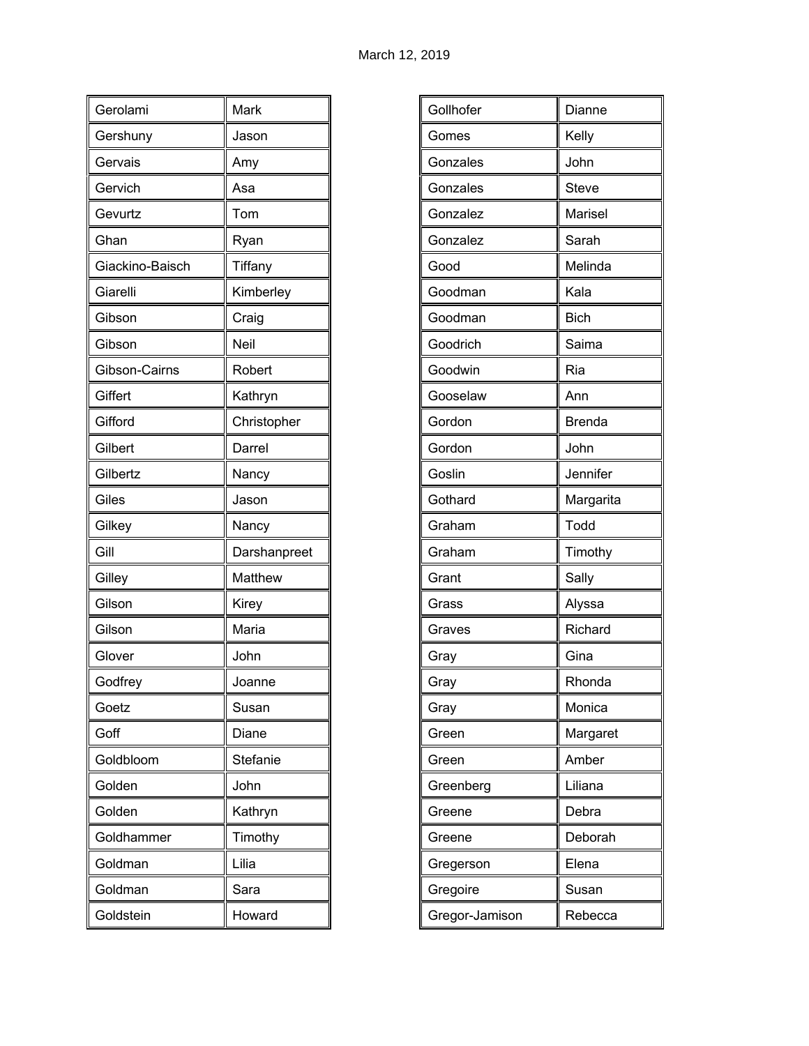| Gerolami        | Mark         |
|-----------------|--------------|
| Gershuny        | Jason        |
| Gervais         | Amy          |
| Gervich         | Asa          |
| Gevurtz         | Tom          |
| Ghan            | Ryan         |
| Giackino-Baisch | Tiffany      |
| Giarelli        | Kimberley    |
| Gibson          | Craig        |
| Gibson          | <b>Neil</b>  |
| Gibson-Cairns   | Robert       |
| Giffert         | Kathryn      |
| Gifford         | Christopher  |
| Gilbert         | Darrel       |
| Gilbertz        | Nancy        |
| Giles           | Jason        |
| Gilkey          | Nancy        |
| Gill            | Darshanpreet |
| Gilley          | Matthew      |
| Gilson          | Kirey        |
| Gilson          | Maria        |
| Glover          | John         |
| Godfrey         | Joanne       |
| Goetz           | Susan        |
| Goff            | Diane        |
| Goldbloom       | Stefanie     |
| Golden          | John         |
| Golden          | Kathryn      |
| Goldhammer      | Timothy      |
| Goldman         | Lilia        |
| Goldman         | Sara         |
| Goldstein       | Howard       |

| Gollhofer      | Dianne        |
|----------------|---------------|
| Gomes          | Kelly         |
| Gonzales       | John          |
| Gonzales       | <b>Steve</b>  |
| Gonzalez       | Marisel       |
| Gonzalez       | Sarah         |
| Good           | Melinda       |
| Goodman        | Kala          |
| Goodman        | <b>Bich</b>   |
| Goodrich       | Saima         |
| Goodwin        | Ria           |
| Gooselaw       | Ann           |
| Gordon         | <b>Brenda</b> |
| Gordon         | John          |
| Goslin         | Jennifer      |
| Gothard        | Margarita     |
| Graham         | Todd          |
| Graham         | Timothy       |
| Grant          | Sally         |
| Grass          | Alyssa        |
| Graves         | Richard       |
| Gray           | Gina          |
| Gray           | Rhonda        |
| Gray           | Monica        |
| Green          | Margaret      |
| Green          | Amber         |
| Greenberg      | Liliana       |
| Greene         | Debra         |
| Greene         | Deborah       |
| Gregerson      | Elena         |
| Gregoire       | Susan         |
| Gregor-Jamison | Rebecca       |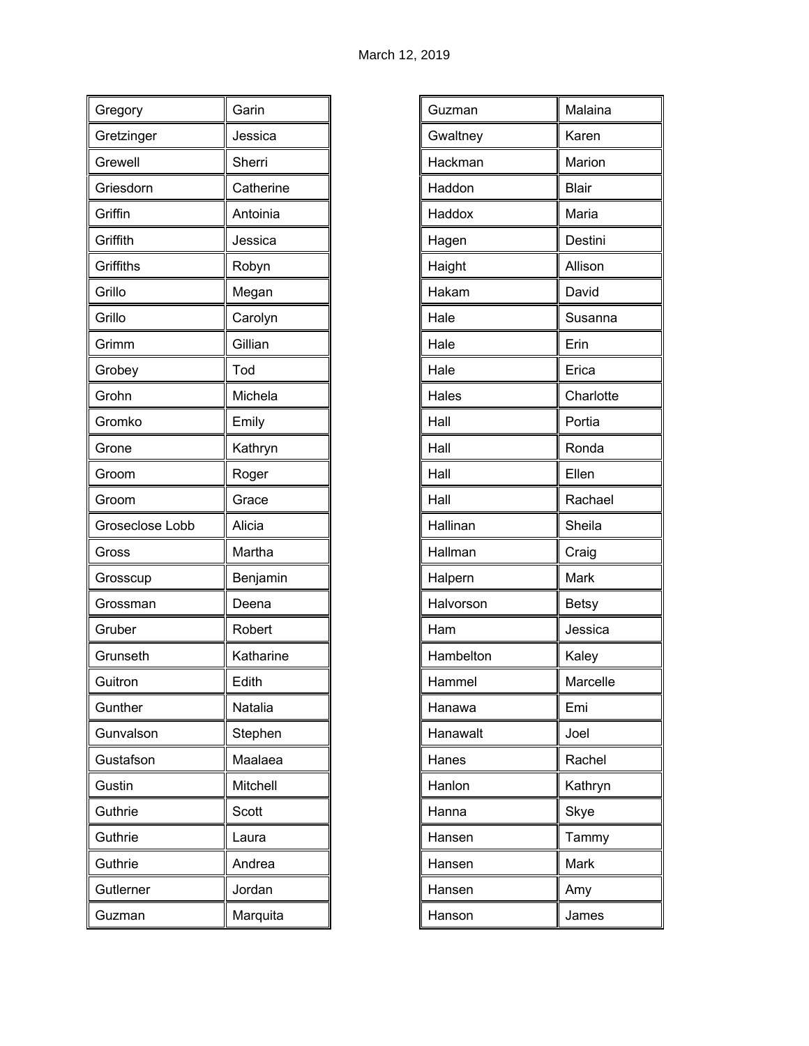| Gregory         | Garin     |
|-----------------|-----------|
| Gretzinger      | Jessica   |
| Grewell         | Sherri    |
| Griesdorn       | Catherine |
| Griffin         | Antoinia  |
| Griffith        | Jessica   |
| Griffiths       | Robyn     |
| Grillo          | Megan     |
| Grillo          | Carolyn   |
| Grimm           | Gillian   |
| Grobey          | Tod       |
| Grohn           | Michela   |
| Gromko          | Emily     |
| Grone           | Kathryn   |
| Groom           | Roger     |
|                 |           |
| Groom           | Grace     |
| Groseclose Lobb | Alicia    |
| Gross           | Martha    |
| Grosscup        | Benjamin  |
| Grossman        | Deena     |
| Gruber          | Robert    |
| Grunseth        | Katharine |
| Guitron         | Edith     |
| Gunther         | Natalia   |
| Gunvalson       | Stephen   |
| Gustafson       | Maalaea   |
| Gustin          | Mitchell  |
| Guthrie         | Scott     |
| Guthrie         | Laura     |
| Guthrie         | Andrea    |
| Gutlerner       | Jordan    |

| Guzman    | Malaina      |
|-----------|--------------|
| Gwaltney  | Karen        |
| Hackman   | Marion       |
| Haddon    | <b>Blair</b> |
| Haddox    | Maria        |
| Hagen     | Destini      |
| Haight    | Allison      |
| Hakam     | David        |
| Hale      | Susanna      |
| Hale      | Erin         |
| Hale      | Erica        |
| Hales     | Charlotte    |
| Hall      | Portia       |
| Hall      | Ronda        |
| Hall      | Ellen        |
| Hall      | Rachael      |
| Hallinan  | Sheila       |
| Hallman   | Craig        |
| Halpern   | Mark         |
| Halvorson | <b>Betsy</b> |
| Ham       | Jessica      |
| Hambelton | Kaley        |
| Hammel    | Marcelle     |
| Hanawa    | Emi          |
| Hanawalt  | Joel         |
| Hanes     | Rachel       |
| Hanlon    | Kathryn      |
| Hanna     | Skye         |
| Hansen    | Tammy        |
| Hansen    | Mark         |
| Hansen    | Amy          |
| Hanson    | James        |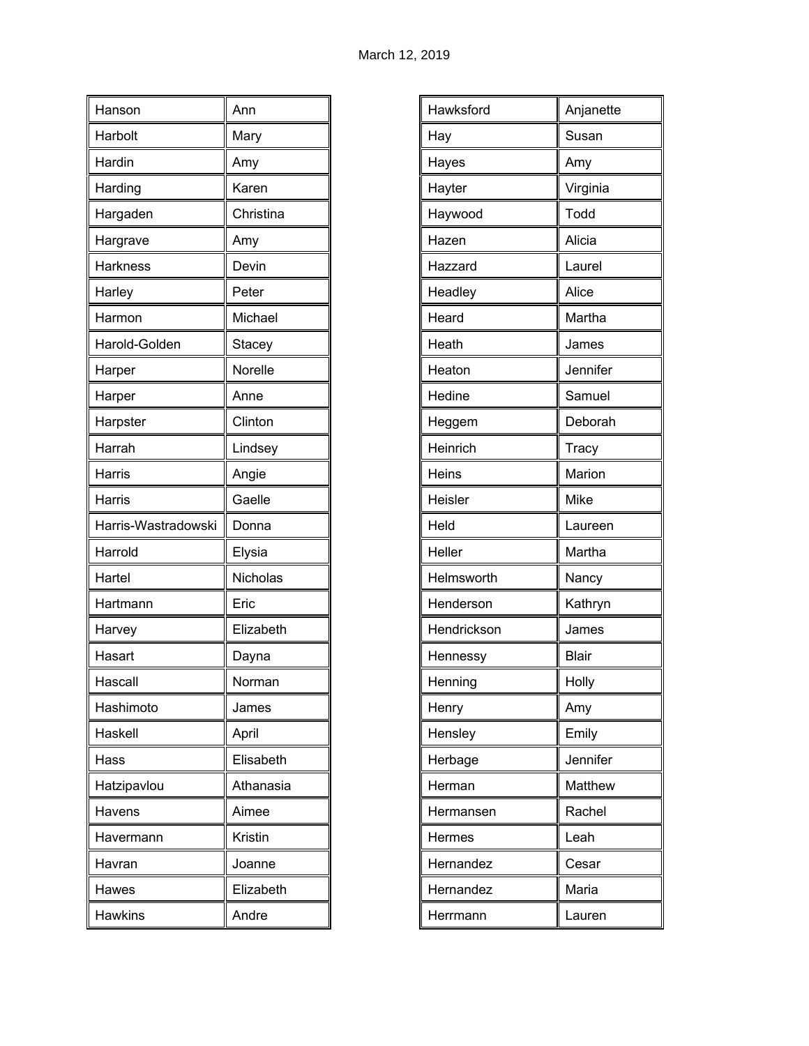| Hanson              | Ann       |
|---------------------|-----------|
| Harbolt             | Mary      |
| Hardin              | Amy       |
| Harding             | Karen     |
| Hargaden            | Christina |
| Hargrave            | Amy       |
| Harkness            | Devin     |
| Harley              | Peter     |
| Harmon              | Michael   |
| Harold-Golden       | Stacey    |
| Harper              | Norelle   |
| Harper              | Anne      |
| Harpster            | Clinton   |
| Harrah              | Lindsey   |
| Harris              | Angie     |
| Harris              | Gaelle    |
| Harris-Wastradowski | Donna     |
| Harrold             | Elysia    |
| Hartel              | Nicholas  |
|                     |           |
| Hartmann            | Eric      |
| Harvey              | Elizabeth |
| Hasart              | Dayna     |
| Hascall             | Norman    |
| Hashimoto           | James     |
| Haskell             | April     |
| Hass                | Elisabeth |
| Hatzipavlou         | Athanasia |
| Havens              | Aimee     |
| Havermann           | Kristin   |
| Havran              | Joanne    |
| Hawes               | Elizabeth |

| Hawksford   | Anjanette    |
|-------------|--------------|
| Hay         | Susan        |
| Hayes       | Amy          |
| Hayter      | Virginia     |
| Haywood     | Todd         |
| Hazen       | Alicia       |
| Hazzard     | Laurel       |
| Headley     | Alice        |
| Heard       | Martha       |
| Heath       | James        |
| Heaton      | Jennifer     |
| Hedine      | Samuel       |
| Heggem      | Deborah      |
| Heinrich    | Tracy        |
| Heins       | Marion       |
| Heisler     | Mike         |
| Held        | Laureen      |
| Heller      | Martha       |
| Helmsworth  | Nancy        |
| Henderson   | Kathryn      |
| Hendrickson | James        |
| Hennessy    | <b>Blair</b> |
| Henning     | Holly        |
| Henry       | Amy          |
| Hensley     | Emily        |
| Herbage     | Jennifer     |
| Herman      | Matthew      |
| Hermansen   | Rachel       |
| Hermes      | Leah         |
| Hernandez   | Cesar        |
| Hernandez   | Maria        |
| Herrmann    | Lauren       |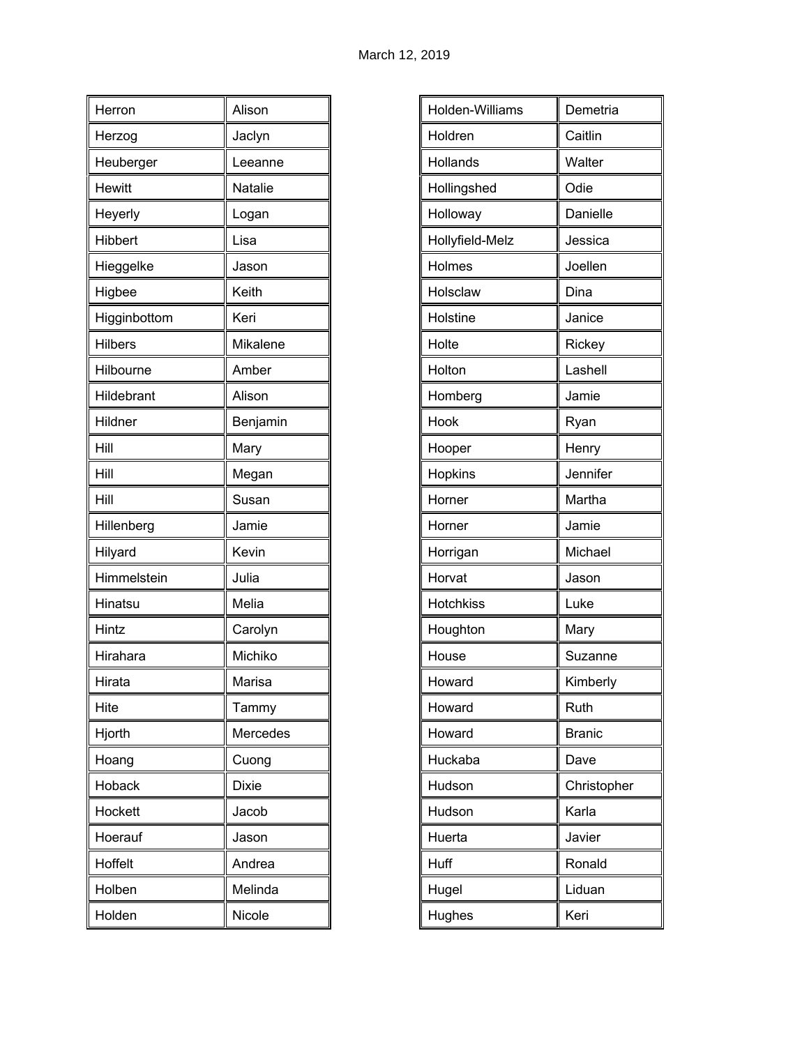| Herron         | Alison       |
|----------------|--------------|
| Herzog         | Jaclyn       |
| Heuberger      | Leeanne      |
| <b>Hewitt</b>  | Natalie      |
| Heyerly        | Logan        |
| Hibbert        | Lisa         |
| Hieggelke      | Jason        |
| Higbee         | Keith        |
| Higginbottom   | Keri         |
| <b>Hilbers</b> | Mikalene     |
| Hilbourne      | Amber        |
| Hildebrant     | Alison       |
| Hildner        | Benjamin     |
| Hill           | Mary         |
| Hill           | Megan        |
| Hill           | Susan        |
| Hillenberg     | Jamie        |
| Hilyard        | Kevin        |
| Himmelstein    | Julia        |
| Hinatsu        | Melia        |
| Hintz          | Carolyn      |
| Hirahara       | Michiko      |
| Hirata         | Marisa       |
| Hite           | Tammy        |
| Hjorth         | Mercedes     |
| Hoang          | Cuong        |
| Hoback         | <b>Dixie</b> |
| Hockett        | Jacob        |
| Hoerauf        | Jason        |
| Hoffelt        | Andrea       |
| Holben         | Melinda      |
| Holden         | Nicole       |

| Holden-Williams  | Demetria      |
|------------------|---------------|
| Holdren          | Caitlin       |
| Hollands         | Walter        |
| Hollingshed      | Odie          |
| Holloway         | Danielle      |
| Hollyfield-Melz  | Jessica       |
| Holmes           | Joellen       |
| Holsclaw         | Dina          |
| Holstine         | Janice        |
| Holte            | Rickey        |
| Holton           | Lashell       |
| Homberg          | Jamie         |
| Hook             | Ryan          |
| Hooper           | Henry         |
| Hopkins          | Jennifer      |
| Horner           | Martha        |
| Horner           | Jamie         |
| Horrigan         | Michael       |
| Horvat           | Jason         |
| <b>Hotchkiss</b> | Luke          |
| Houghton         | Mary          |
| House            | Suzanne       |
| Howard           | Kimberly      |
| Howard           | Ruth          |
| Howard           | <b>Branic</b> |
| Huckaba          | Dave          |
| Hudson           | Christopher   |
| Hudson           | Karla         |
| Huerta           | Javier        |
| Huff             | Ronald        |
| Hugel            | Liduan        |
| Hughes           | Keri          |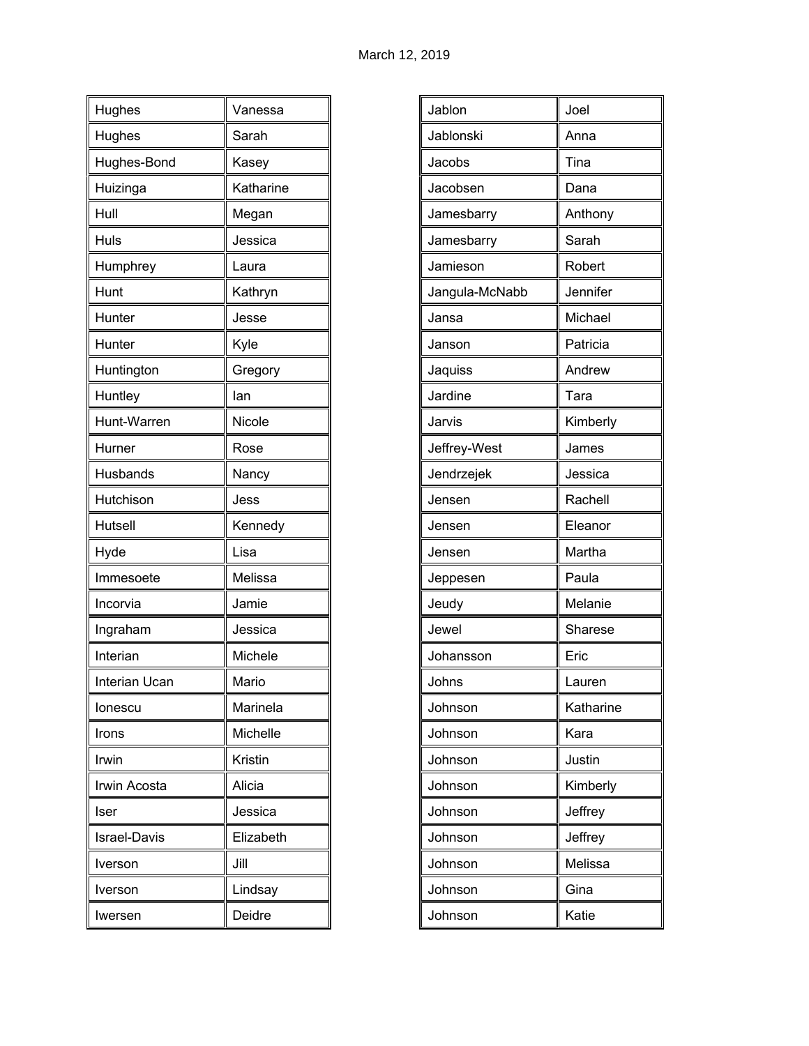| Hughes              | Vanessa   |
|---------------------|-----------|
| Hughes              | Sarah     |
| Hughes-Bond         | Kasey     |
| Huizinga            | Katharine |
| Hull                | Megan     |
| Huls                | Jessica   |
| Humphrey            | Laura     |
| Hunt                | Kathryn   |
| Hunter              | Jesse     |
| Hunter              | Kyle      |
| Huntington          | Gregory   |
| Huntley             | lan       |
| Hunt-Warren         | Nicole    |
| Hurner              | Rose      |
| Husbands            | Nancy     |
| Hutchison           | Jess      |
| Hutsell             | Kennedy   |
| Hyde                | Lisa      |
| Immesoete           | Melissa   |
| Incorvia            | Jamie     |
| Ingraham            | Jessica   |
| Interian            | Michele   |
| Interian Ucan       | Mario     |
| lonescu             | Marinela  |
| Irons               | Michelle  |
| Irwin               | Kristin   |
| Irwin Acosta        | Alicia    |
| Iser                | Jessica   |
| <b>Israel-Davis</b> | Elizabeth |
| Iverson             | Jill      |
| Iverson             | Lindsay   |
| Iwersen             | Deidre    |

| Jablon         | Joel      |
|----------------|-----------|
| Jablonski      | Anna      |
| Jacobs         | Tina      |
| Jacobsen       | Dana      |
| Jamesbarry     | Anthony   |
| Jamesbarry     | Sarah     |
| Jamieson       | Robert    |
| Jangula-McNabb | Jennifer  |
| Jansa          | Michael   |
| Janson         | Patricia  |
| Jaquiss        | Andrew    |
| Jardine        | Tara      |
| Jarvis         | Kimberly  |
| Jeffrey-West   | James     |
| Jendrzejek     | Jessica   |
| Jensen         | Rachell   |
| Jensen         | Eleanor   |
| Jensen         | Martha    |
| Jeppesen       | Paula     |
| Jeudy          | Melanie   |
| Jewel          | Sharese   |
| Johansson      | Eric      |
| Johns          | Lauren    |
| Johnson        | Katharine |
| Johnson        | Kara      |
| Johnson        | Justin    |
| Johnson        | Kimberly  |
| Johnson        | Jeffrey   |
| Johnson        | Jeffrey   |
| Johnson        | Melissa   |
| Johnson        | Gina      |
| Johnson        | Katie     |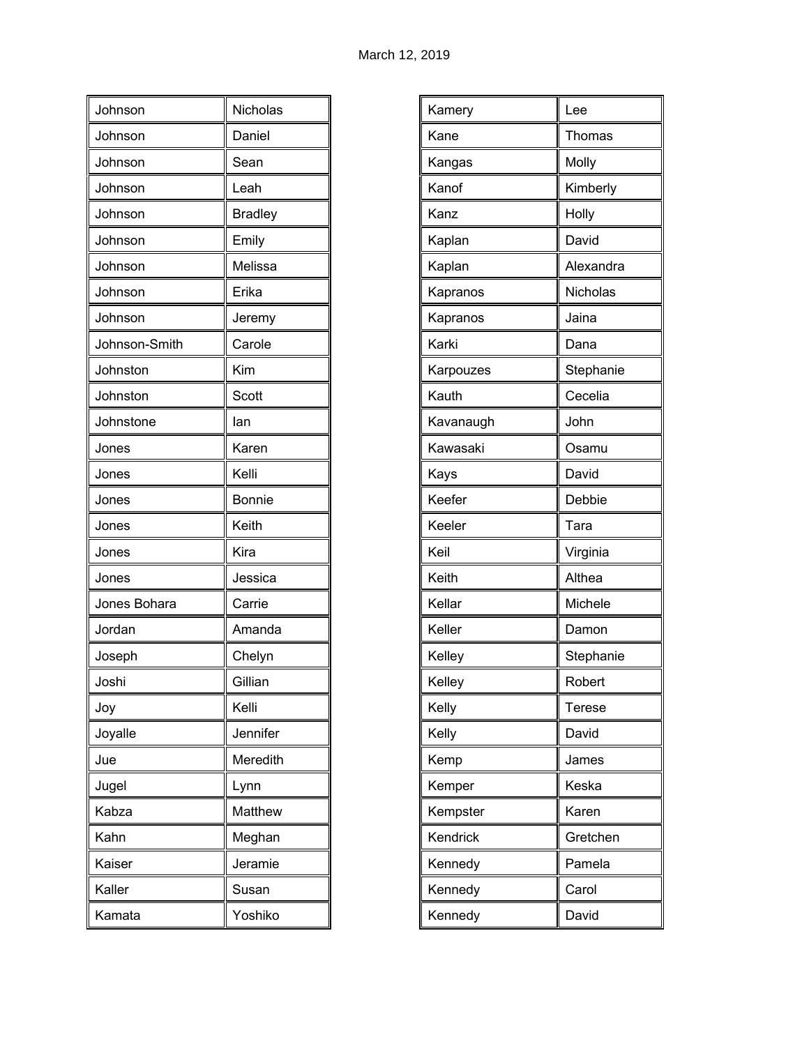| Johnson       | Nicholas       |
|---------------|----------------|
| Johnson       | Daniel         |
| Johnson       | Sean           |
| Johnson       | Leah           |
| Johnson       | <b>Bradley</b> |
| Johnson       | Emily          |
| Johnson       | Melissa        |
| Johnson       | Erika          |
| Johnson       | Jeremy         |
| Johnson-Smith | Carole         |
| Johnston      | Kim            |
| Johnston      | <b>Scott</b>   |
| Johnstone     | lan            |
| Jones         | Karen          |
| Jones         | Kelli          |
| Jones         | Bonnie         |
| Jones         | Keith          |
| Jones         | Kira           |
| Jones         | Jessica        |
| Jones Bohara  | Carrie         |
| Jordan        | Amanda         |
| Joseph        | Chelyn         |
| Joshi         | Gillian        |
| Joy           | Kelli          |
| Joyalle       | Jennifer       |
| Jue           | Meredith       |
| Jugel         | Lynn           |
| Kabza         | Matthew        |
| Kahn          | Meghan         |
| Kaiser        | Jeramie        |
| Kaller        | Susan          |
| Kamata        | Yoshiko        |

| Kamery    | Lee       |
|-----------|-----------|
|           |           |
| Kane      | Thomas    |
| Kangas    | Molly     |
| Kanof     | Kimberly  |
| Kanz      | Holly     |
| Kaplan    | David     |
| Kaplan    | Alexandra |
| Kapranos  | Nicholas  |
| Kapranos  | Jaina     |
| Karki     | Dana      |
| Karpouzes | Stephanie |
| Kauth     | Cecelia   |
| Kavanaugh | John      |
| Kawasaki  | Osamu     |
| Kays      | David     |
| Keefer    | Debbie    |
| Keeler    | Tara      |
| Keil      | Virginia  |
| Keith     | Althea    |
| Kellar    | Michele   |
| Keller    | Damon     |
| Kelley    | Stephanie |
| Kelley    | Robert    |
| Kelly     | Terese    |
| Kelly     | David     |
| Kemp      | James     |
| Kemper    | Keska     |
| Kempster  | Karen     |
| Kendrick  | Gretchen  |
| Kennedy   | Pamela    |
| Kennedy   | Carol     |
| Kennedy   | David     |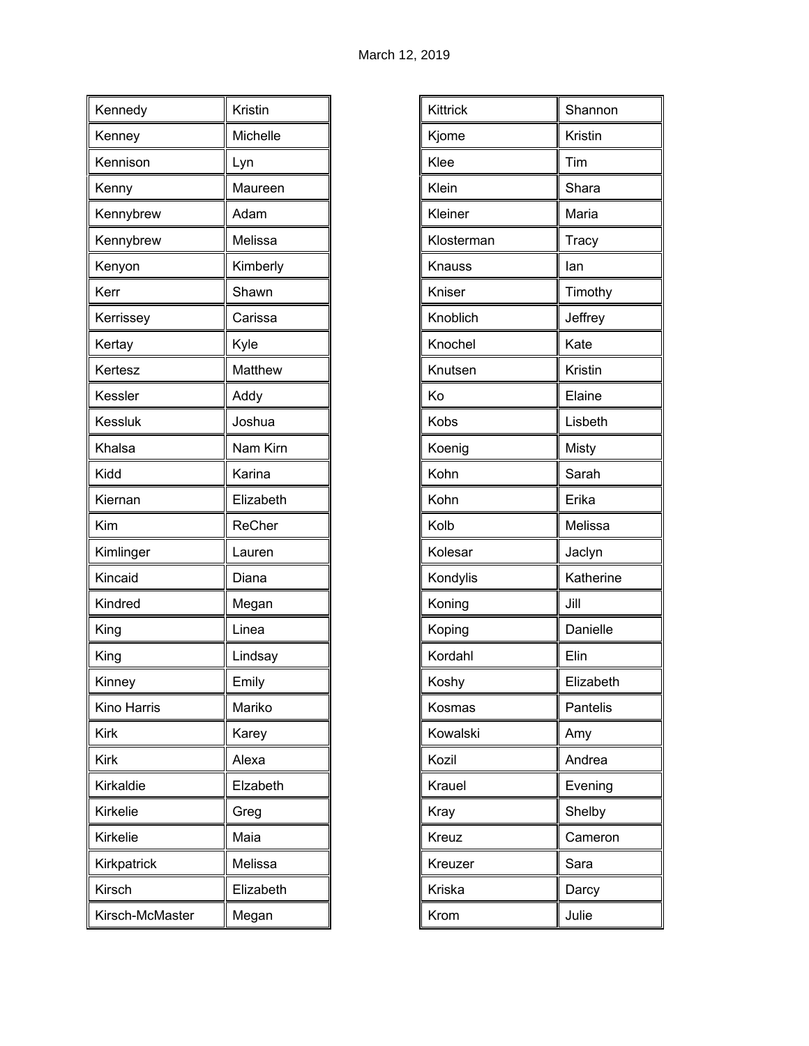| Kennedy         | Kristin   |
|-----------------|-----------|
| Kenney          | Michelle  |
| Kennison        | Lyn       |
| Kenny           | Maureen   |
| Kennybrew       | Adam      |
| Kennybrew       | Melissa   |
| Kenyon          | Kimberly  |
| Kerr            | Shawn     |
| Kerrissey       | Carissa   |
| Kertay          | Kyle      |
| Kertesz         | Matthew   |
| Kessler         | Addy      |
| <b>Kessluk</b>  | Joshua    |
| Khalsa          | Nam Kirn  |
| Kidd            | Karina    |
| Kiernan         | Elizabeth |
| Kim             | ReCher    |
| Kimlinger       | Lauren    |
| Kincaid         | Diana     |
| Kindred         | Megan     |
| King            | Linea     |
| King            | Lindsay   |
| Kinney          | Emily     |
| Kino Harris     | Mariko    |
| Kirk            | Karey     |
| <b>Kirk</b>     | Alexa     |
| Kirkaldie       | Elzabeth  |
| Kirkelie        | Greg      |
| Kirkelie        | Maia      |
| Kirkpatrick     | Melissa   |
| Kirsch          | Elizabeth |
| Kirsch-McMaster | Megan     |

| Kittrick<br>Shannon<br>Kristin<br>Kjome<br>Klee<br>Tim<br>Klein<br>Shara<br>Maria<br>Kleiner<br>Klosterman<br>Tracy<br>lan<br>Knauss<br>Kniser<br>Timothy<br>Knoblich<br>Jeffrey<br>Knochel<br>Kate<br>Kristin<br>Knutsen<br>Elaine<br>Ko<br>Kobs<br>Lisbeth<br>Koenig<br>Misty<br>Kohn<br>Sarah<br>Kohn<br>Erika<br>Kolb<br>Melissa<br>Kolesar<br>Jaclyn<br>Kondylis<br>Katherine<br>Koning<br>Jill<br>Danielle<br>Koping<br>Kordahl<br>Elin<br>Elizabeth<br>Koshy<br>Pantelis<br>Kosmas<br>Kowalski<br>Amy<br>Kozil<br>Andrea<br>Krauel<br>Evening<br>Shelby<br>Kray<br>Kreuz<br>Cameron<br>Kreuzer<br>Sara<br>Kriska<br>Darcy<br>Julie<br>Krom |  |
|---------------------------------------------------------------------------------------------------------------------------------------------------------------------------------------------------------------------------------------------------------------------------------------------------------------------------------------------------------------------------------------------------------------------------------------------------------------------------------------------------------------------------------------------------------------------------------------------------------------------------------------------------|--|
|                                                                                                                                                                                                                                                                                                                                                                                                                                                                                                                                                                                                                                                   |  |
|                                                                                                                                                                                                                                                                                                                                                                                                                                                                                                                                                                                                                                                   |  |
|                                                                                                                                                                                                                                                                                                                                                                                                                                                                                                                                                                                                                                                   |  |
|                                                                                                                                                                                                                                                                                                                                                                                                                                                                                                                                                                                                                                                   |  |
|                                                                                                                                                                                                                                                                                                                                                                                                                                                                                                                                                                                                                                                   |  |
|                                                                                                                                                                                                                                                                                                                                                                                                                                                                                                                                                                                                                                                   |  |
|                                                                                                                                                                                                                                                                                                                                                                                                                                                                                                                                                                                                                                                   |  |
|                                                                                                                                                                                                                                                                                                                                                                                                                                                                                                                                                                                                                                                   |  |
|                                                                                                                                                                                                                                                                                                                                                                                                                                                                                                                                                                                                                                                   |  |
|                                                                                                                                                                                                                                                                                                                                                                                                                                                                                                                                                                                                                                                   |  |
|                                                                                                                                                                                                                                                                                                                                                                                                                                                                                                                                                                                                                                                   |  |
|                                                                                                                                                                                                                                                                                                                                                                                                                                                                                                                                                                                                                                                   |  |
|                                                                                                                                                                                                                                                                                                                                                                                                                                                                                                                                                                                                                                                   |  |
|                                                                                                                                                                                                                                                                                                                                                                                                                                                                                                                                                                                                                                                   |  |
|                                                                                                                                                                                                                                                                                                                                                                                                                                                                                                                                                                                                                                                   |  |
|                                                                                                                                                                                                                                                                                                                                                                                                                                                                                                                                                                                                                                                   |  |
|                                                                                                                                                                                                                                                                                                                                                                                                                                                                                                                                                                                                                                                   |  |
|                                                                                                                                                                                                                                                                                                                                                                                                                                                                                                                                                                                                                                                   |  |
|                                                                                                                                                                                                                                                                                                                                                                                                                                                                                                                                                                                                                                                   |  |
|                                                                                                                                                                                                                                                                                                                                                                                                                                                                                                                                                                                                                                                   |  |
|                                                                                                                                                                                                                                                                                                                                                                                                                                                                                                                                                                                                                                                   |  |
|                                                                                                                                                                                                                                                                                                                                                                                                                                                                                                                                                                                                                                                   |  |
|                                                                                                                                                                                                                                                                                                                                                                                                                                                                                                                                                                                                                                                   |  |
|                                                                                                                                                                                                                                                                                                                                                                                                                                                                                                                                                                                                                                                   |  |
|                                                                                                                                                                                                                                                                                                                                                                                                                                                                                                                                                                                                                                                   |  |
|                                                                                                                                                                                                                                                                                                                                                                                                                                                                                                                                                                                                                                                   |  |
|                                                                                                                                                                                                                                                                                                                                                                                                                                                                                                                                                                                                                                                   |  |
|                                                                                                                                                                                                                                                                                                                                                                                                                                                                                                                                                                                                                                                   |  |
|                                                                                                                                                                                                                                                                                                                                                                                                                                                                                                                                                                                                                                                   |  |
|                                                                                                                                                                                                                                                                                                                                                                                                                                                                                                                                                                                                                                                   |  |
|                                                                                                                                                                                                                                                                                                                                                                                                                                                                                                                                                                                                                                                   |  |
|                                                                                                                                                                                                                                                                                                                                                                                                                                                                                                                                                                                                                                                   |  |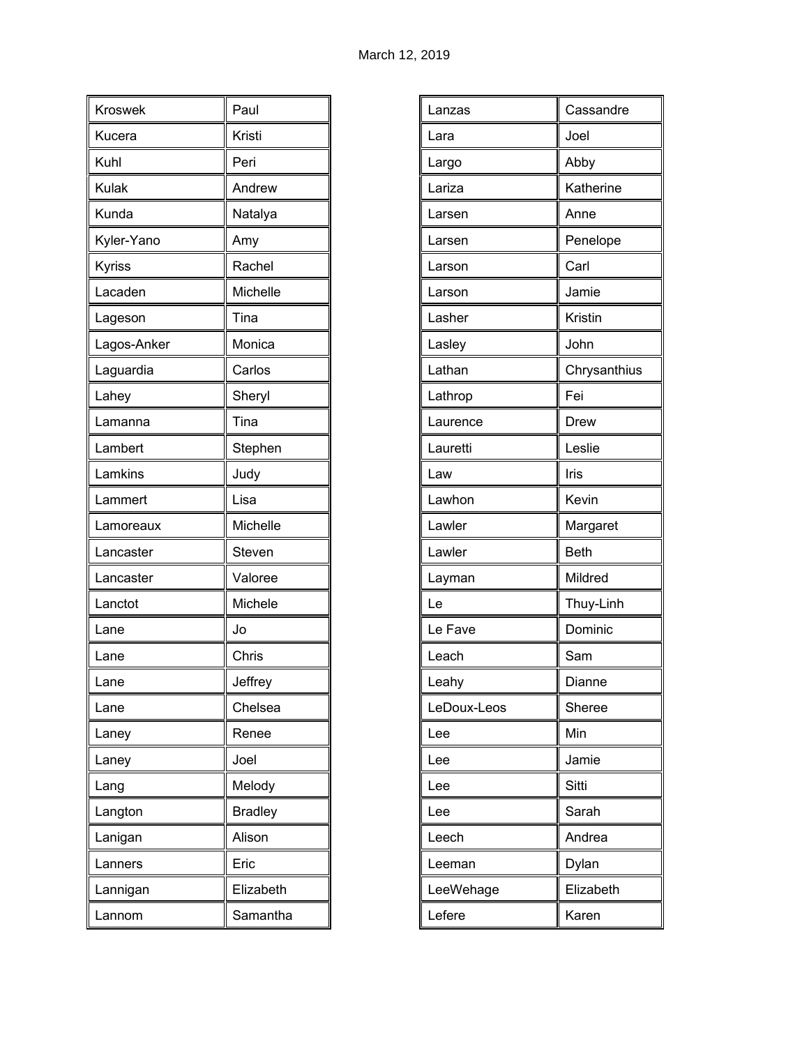| Kroswek      | Paul           |
|--------------|----------------|
| Kucera       | Kristi         |
| Kuhl         | Peri           |
| <b>Kulak</b> | Andrew         |
| Kunda        | Natalya        |
| Kyler-Yano   | Amy            |
| Kyriss       | Rachel         |
| Lacaden      | Michelle       |
| Lageson      | Tina           |
| Lagos-Anker  | Monica         |
| Laguardia    | Carlos         |
| Lahey        | Sheryl         |
| Lamanna      | Tina           |
| Lambert      | Stephen        |
| Lamkins      | Judy           |
| Lammert      | Lisa           |
| Lamoreaux    | Michelle       |
| Lancaster    | Steven         |
| Lancaster    | Valoree        |
| Lanctot      | Michele        |
| Lane         | Jo             |
| Lane         | Chris          |
| Lane         | Jeffrey        |
| Lane         | Chelsea        |
| Laney        | Renee          |
| Laney        | Joel           |
| Lang         | Melody         |
| Langton      | <b>Bradley</b> |
| Lanigan      | Alison         |
| Lanners      | Eric           |
| Lannigan     | Elizabeth      |
| Lannom       | Samantha       |

| Lanzas      | Cassandre    |
|-------------|--------------|
| Lara        | Joel         |
| Largo       | Abby         |
| Lariza      | Katherine    |
| Larsen      | Anne         |
| Larsen      | Penelope     |
| Larson      | Carl         |
| Larson      | Jamie        |
| Lasher      | Kristin      |
| Lasley      | John         |
| Lathan      | Chrysanthius |
| Lathrop     | Fei          |
| Laurence    | <b>Drew</b>  |
| Lauretti    | Leslie       |
| Law         | Iris         |
| Lawhon      | Kevin        |
| Lawler      | Margaret     |
| Lawler      | <b>Beth</b>  |
| Layman      | Mildred      |
| Le          | Thuy-Linh    |
| Le Fave     | Dominic      |
| Leach       | Sam          |
| Leahy       | Dianne       |
| LeDoux-Leos | Sheree       |
| Lee         | Min          |
| Lee         | Jamie        |
| Lee         | Sitti        |
| Lee         | Sarah        |
| Leech       | Andrea       |
| Leeman      | Dylan        |
| LeeWehage   | Elizabeth    |
|             |              |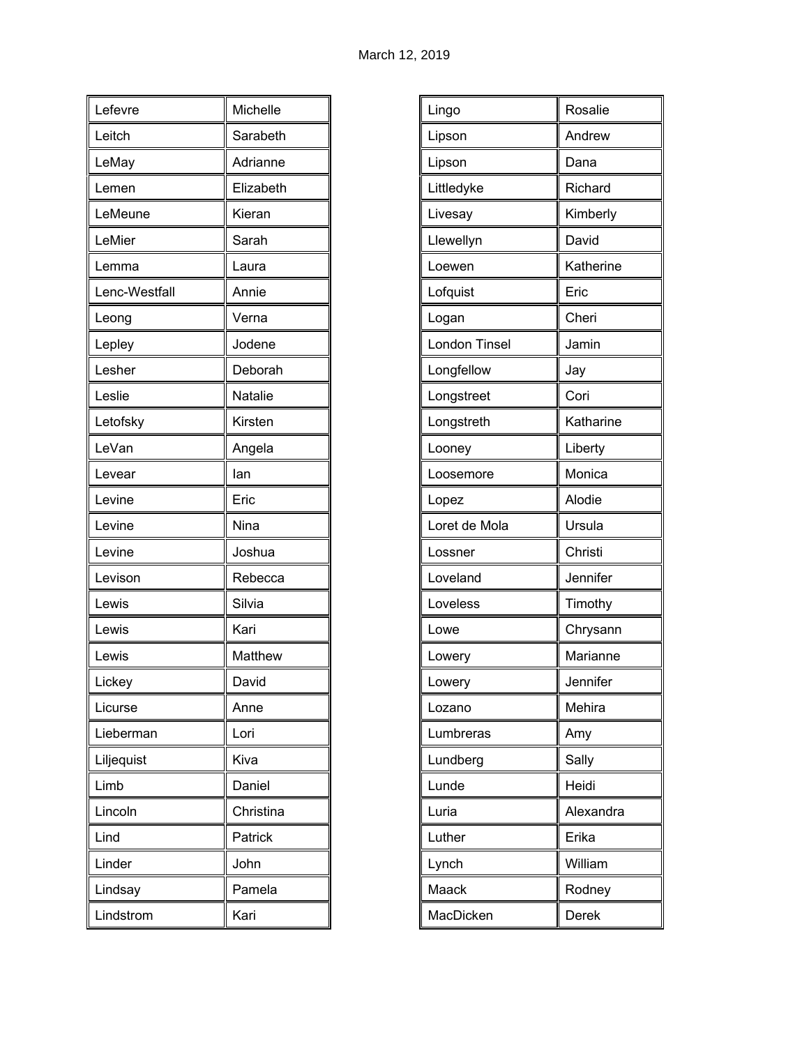| Lefevre       | Michelle  |
|---------------|-----------|
| Leitch        | Sarabeth  |
| LeMay         | Adrianne  |
| Lemen         | Elizabeth |
| LeMeune       | Kieran    |
| LeMier        | Sarah     |
| Lemma         | Laura     |
| Lenc-Westfall | Annie     |
| Leong         | Verna     |
| Lepley        | Jodene    |
| Lesher        | Deborah   |
| Leslie        | Natalie   |
| Letofsky      | Kirsten   |
| LeVan         | Angela    |
| Levear        | lan       |
| Levine        | Eric      |
| Levine        | Nina      |
| Levine        | Joshua    |
| Levison       | Rebecca   |
| Lewis         | Silvia    |
| Lewis         | Kari      |
| Lewis         | Matthew   |
| Lickey        | David     |
| Licurse       | Anne      |
| Lieberman     | Lori      |
| Liljequist    | Kiva      |
| Limb          | Daniel    |
| Lincoln       | Christina |
| Lind          | Patrick   |
| Linder        | John      |
| Lindsay       | Pamela    |
| Lindstrom     | Kari      |

| Rosalie      |
|--------------|
| Andrew       |
| Dana         |
| Richard      |
| Kimberly     |
| David        |
| Katherine    |
| Eric         |
| Cheri        |
| Jamin        |
| Jay          |
| Cori         |
| Katharine    |
| Liberty      |
| Monica       |
| Alodie       |
| Ursula       |
| Christi      |
| Jennifer     |
| Timothy      |
| Chrysann     |
| Marianne     |
| Jennifer     |
| Mehira       |
| Amy          |
| Sally        |
| Heidi        |
| Alexandra    |
| Erika        |
| William      |
| Rodney       |
| <b>Derek</b> |
|              |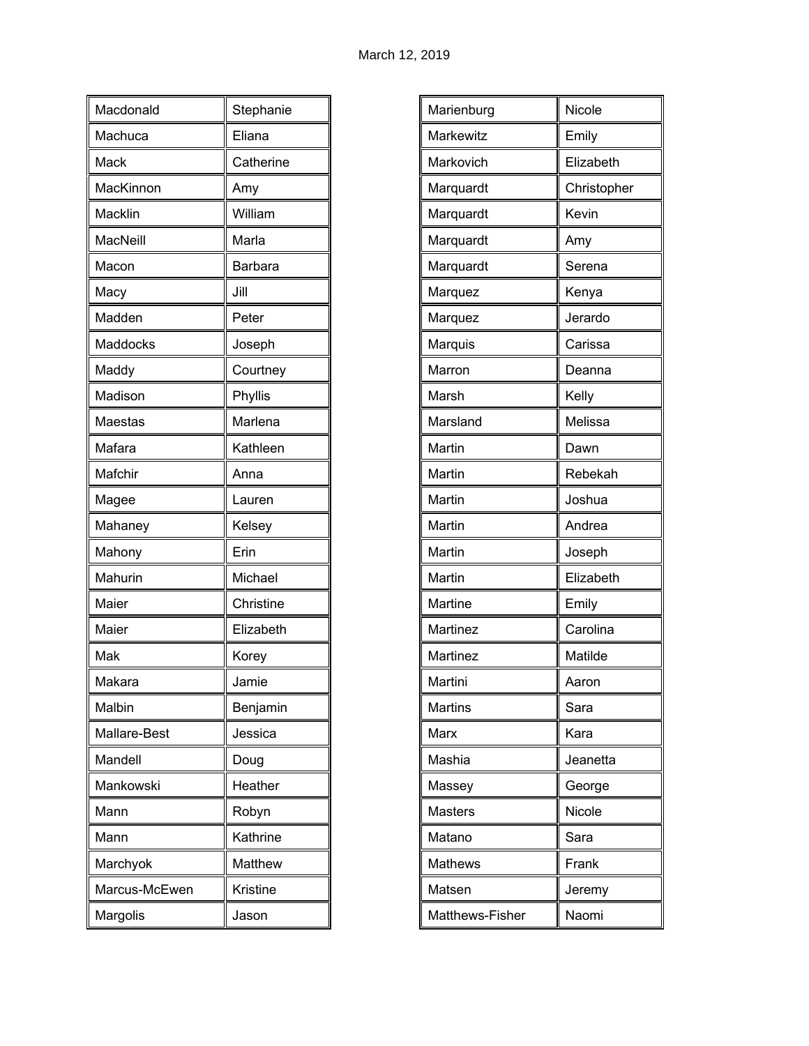| Macdonald     | Stephanie |
|---------------|-----------|
| Machuca       | Eliana    |
| Mack          | Catherine |
| MacKinnon     | Amy       |
| Macklin       | William   |
| MacNeill      | Marla     |
| Macon         | Barbara   |
| Macy          | Jill      |
| Madden        | Peter     |
| Maddocks      | Joseph    |
| Maddy         | Courtney  |
| Madison       | Phyllis   |
| Maestas       | Marlena   |
| Mafara        | Kathleen  |
| Mafchir       | Anna      |
| Magee         | Lauren    |
| Mahaney       | Kelsey    |
| Mahony        | Erin      |
| Mahurin       | Michael   |
| Maier         | Christine |
| Maier         | Elizabeth |
| Mak           | Korey     |
| Makara        | Jamie     |
| Malbin        | Benjamin  |
| Mallare-Best  | Jessica   |
| Mandell       | Doug      |
| Mankowski     | Heather   |
| Mann          | Robyn     |
| Mann          | Kathrine  |
| Marchyok      | Matthew   |
| Marcus-McEwen | Kristine  |
| Margolis      | Jason     |

| Marienburg      | Nicole      |
|-----------------|-------------|
| Markewitz       | Emily       |
| Markovich       | Elizabeth   |
| Marquardt       | Christopher |
| Marquardt       | Kevin       |
| Marquardt       | Amy         |
| Marquardt       | Serena      |
| Marquez         | Kenya       |
| Marquez         | Jerardo     |
| Marquis         | Carissa     |
| Marron          | Deanna      |
| Marsh           | Kelly       |
| Marsland        | Melissa     |
| Martin          | Dawn        |
| Martin          | Rebekah     |
| Martin          | Joshua      |
| Martin          | Andrea      |
| Martin          | Joseph      |
| Martin          | Elizabeth   |
| Martine         | Emily       |
| Martinez        | Carolina    |
| Martinez        | Matilde     |
| Martini         | Aaron       |
| Martins         | Sara        |
| Marx            | Kara        |
| Mashia          | Jeanetta    |
| Massey          | George      |
| <b>Masters</b>  | Nicole      |
| Matano          | Sara        |
| <b>Mathews</b>  | Frank       |
| Matsen          | Jeremy      |
| Matthews-Fisher | Naomi       |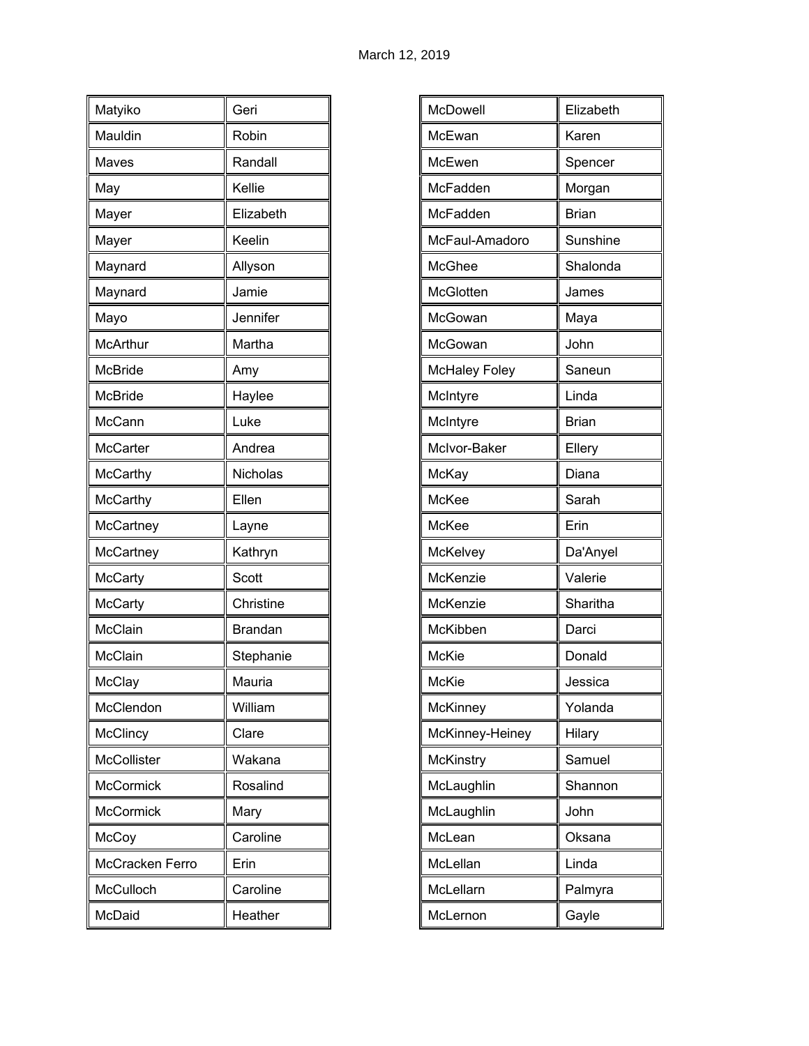| Matyiko          | Geri           |
|------------------|----------------|
| Mauldin          | Robin          |
| Maves            | Randall        |
| May              | Kellie         |
| Mayer            | Elizabeth      |
| Mayer            | Keelin         |
| Maynard          | Allyson        |
| Maynard          | Jamie          |
| Mayo             | Jennifer       |
| <b>McArthur</b>  | Martha         |
| <b>McBride</b>   | Amy            |
| <b>McBride</b>   | Haylee         |
| McCann           | Luke           |
| <b>McCarter</b>  | Andrea         |
| <b>McCarthy</b>  | Nicholas       |
| <b>McCarthy</b>  | Ellen          |
| McCartney        | Layne          |
| McCartney        | Kathryn        |
| <b>McCarty</b>   | Scott          |
| <b>McCarty</b>   | Christine      |
| McClain          | <b>Brandan</b> |
| McClain          | Stephanie      |
| McClay           | Mauria         |
| McClendon        | William        |
| <b>McClincy</b>  | Clare          |
| McCollister      | Wakana         |
| <b>McCormick</b> | Rosalind       |
| <b>McCormick</b> | Mary           |
| McCoy            | Caroline       |
| McCracken Ferro  | Erin           |
| McCulloch        | Caroline       |
| McDaid           | Heather        |

| McDowell             | Elizabeth    |
|----------------------|--------------|
| McEwan               | Karen        |
|                      |              |
| McEwen               | Spencer      |
| McFadden             | Morgan       |
| McFadden             | <b>Brian</b> |
| McFaul-Amadoro       | Sunshine     |
| McGhee               | Shalonda     |
| McGlotten            | James        |
| McGowan              | Maya         |
| McGowan              | John         |
| <b>McHaley Foley</b> | Saneun       |
| McIntyre             | Linda        |
| McIntyre             | <b>Brian</b> |
| McIvor-Baker         | Ellery       |
| McKay                | Diana        |
| McKee                | Sarah        |
| McKee                | Erin         |
| McKelvey             | Da'Anyel     |
| McKenzie             | Valerie      |
| McKenzie             | Sharitha     |
| McKibben             | Darci        |
| McKie                | Donald       |
| McKie                | Jessica      |
| McKinney             | Yolanda      |
| McKinney-Heiney      | Hilary       |
| <b>McKinstry</b>     | Samuel       |
| McLaughlin           | Shannon      |
| McLaughlin           | John         |
| McLean               | Oksana       |
| McLellan             | Linda        |
| McLellarn            | Palmyra      |
| McLernon             | Gayle        |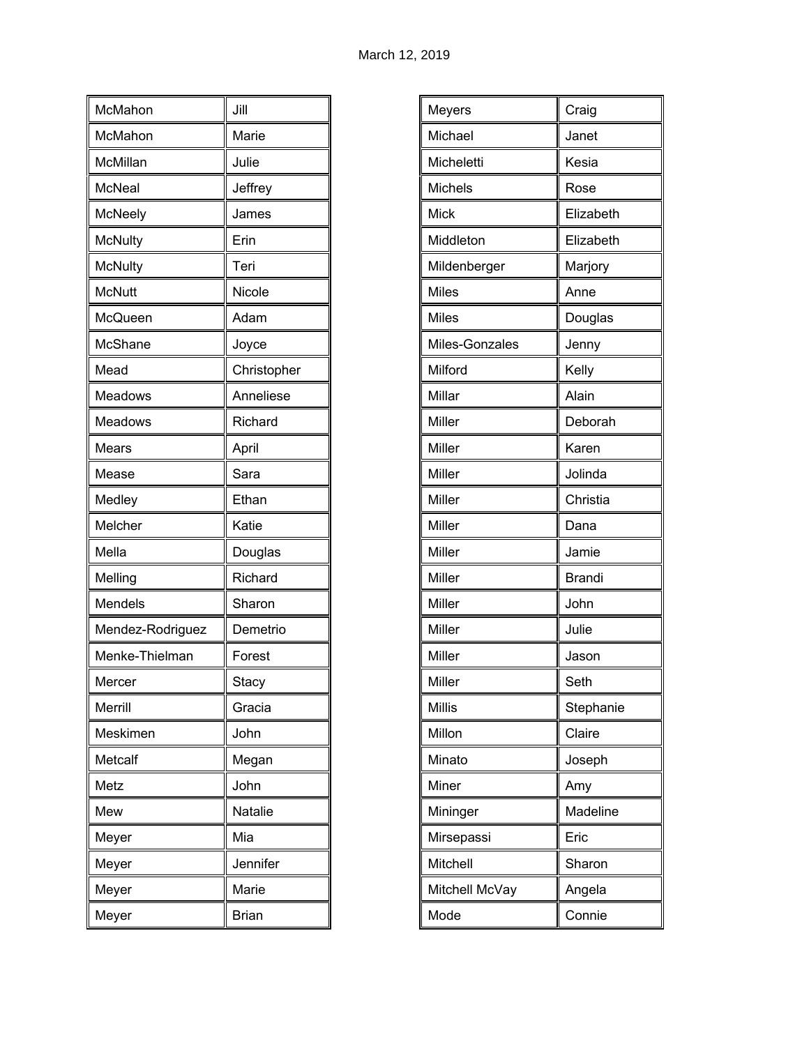| McMahon          | Jill         |
|------------------|--------------|
| McMahon          | Marie        |
| McMillan         | Julie        |
| <b>McNeal</b>    | Jeffrey      |
| McNeely          | James        |
| <b>McNulty</b>   | Erin         |
| <b>McNulty</b>   | Teri         |
| <b>McNutt</b>    | Nicole       |
| McQueen          | Adam         |
| McShane          | Joyce        |
| Mead             | Christopher  |
| Meadows          | Anneliese    |
| Meadows          | Richard      |
| Mears            | April        |
| Mease            | Sara         |
| Medley           | Ethan        |
| Melcher          | Katie        |
| Mella            | Douglas      |
| Melling          | Richard      |
| Mendels          | Sharon       |
| Mendez-Rodriguez | Demetrio     |
| Menke-Thielman   | Forest       |
| Mercer           | Stacy        |
| Merrill          | Gracia       |
| Meskimen         | John         |
| Metcalf          | Megan        |
| Metz             | John         |
| Mew              | Natalie      |
| Meyer            | Mia          |
| Meyer            | Jennifer     |
| Meyer            | Marie        |
| Meyer            | <b>Brian</b> |

| Meyers         | Craig         |
|----------------|---------------|
| Michael        | Janet         |
| Micheletti     | Kesia         |
| Michels        | Rose          |
| <b>Mick</b>    | Elizabeth     |
| Middleton      | Elizabeth     |
| Mildenberger   | Marjory       |
| <b>Miles</b>   | Anne          |
| Miles          | Douglas       |
| Miles-Gonzales | Jenny         |
| Milford        | Kelly         |
| Millar         | Alain         |
| Miller         | Deborah       |
| Miller         | Karen         |
| Miller         | Jolinda       |
| Miller         | Christia      |
| Miller         | Dana          |
| Miller         | Jamie         |
| Miller         | <b>Brandi</b> |
| Miller         | John          |
| Miller         | Julie         |
| Miller         | Jason         |
| Miller         | Seth          |
| <b>Millis</b>  | Stephanie     |
| Millon         | Claire        |
| Minato         | Joseph        |
| Miner          | Amy           |
| Mininger       | Madeline      |
| Mirsepassi     | Eric          |
| Mitchell       | Sharon        |
| Mitchell McVay | Angela        |
| Mode           | Connie        |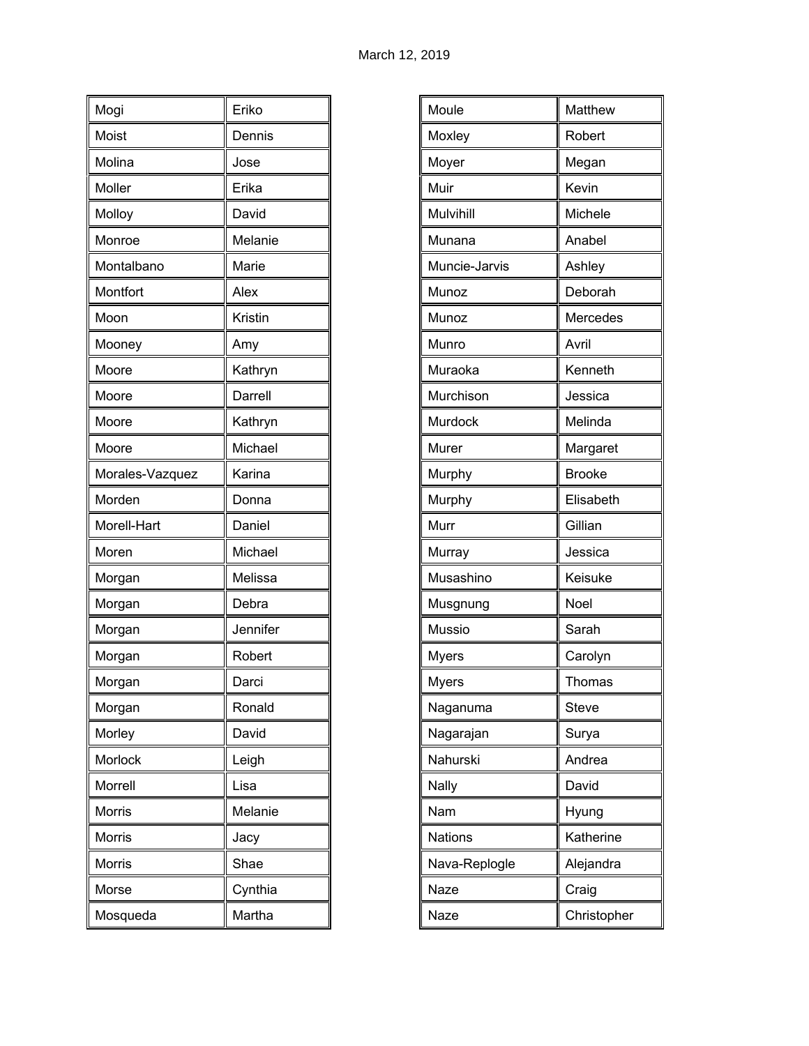| Mogi            | Eriko    |
|-----------------|----------|
| Moist           | Dennis   |
| Molina          | Jose     |
| Moller          | Erika    |
| Molloy          | David    |
| Monroe          | Melanie  |
| Montalbano      | Marie    |
| Montfort        | Alex     |
| Moon            | Kristin  |
| Mooney          | Amy      |
| Moore           | Kathryn  |
| Moore           | Darrell  |
| Moore           | Kathryn  |
| Moore           | Michael  |
| Morales-Vazquez | Karina   |
| Morden          | Donna    |
| Morell-Hart     | Daniel   |
| Moren           | Michael  |
| Morgan          | Melissa  |
| Morgan          | Debra    |
| Morgan          | Jennifer |
| Morgan          | Robert   |
| Morgan          | Darci    |
| Morgan          | Ronald   |
| Morley          | David    |
| Morlock         | Leigh    |
| Morrell         | Lisa     |
| Morris          | Melanie  |
| Morris          | Jacy     |
| Morris          | Shae     |
| Morse           | Cynthia  |
| Mosqueda        | Martha   |

| Moule          | Matthew       |
|----------------|---------------|
| Moxley         | Robert        |
| Moyer          | Megan         |
| Muir           | Kevin         |
| Mulvihill      | Michele       |
| Munana         | Anabel        |
| Muncie-Jarvis  | Ashley        |
| Munoz          | Deborah       |
| Munoz          | Mercedes      |
| Munro          | Avril         |
| Muraoka        | Kenneth       |
| Murchison      | Jessica       |
| Murdock        | Melinda       |
| Murer          | Margaret      |
| Murphy         | <b>Brooke</b> |
| Murphy         | Elisabeth     |
| Murr           | Gillian       |
| Murray         | Jessica       |
| Musashino      | Keisuke       |
| Musgnung       | Noel          |
| <b>Mussio</b>  | Sarah         |
| <b>Myers</b>   | Carolyn       |
| <b>Myers</b>   | Thomas        |
| Naganuma       | Steve         |
| Nagarajan      | Surya         |
| Nahurski       | Andrea        |
| <b>Nally</b>   | David         |
| Nam            | Hyung         |
| <b>Nations</b> | Katherine     |
| Nava-Replogle  | Alejandra     |
| Naze           | Craig         |
| Naze           | Christopher   |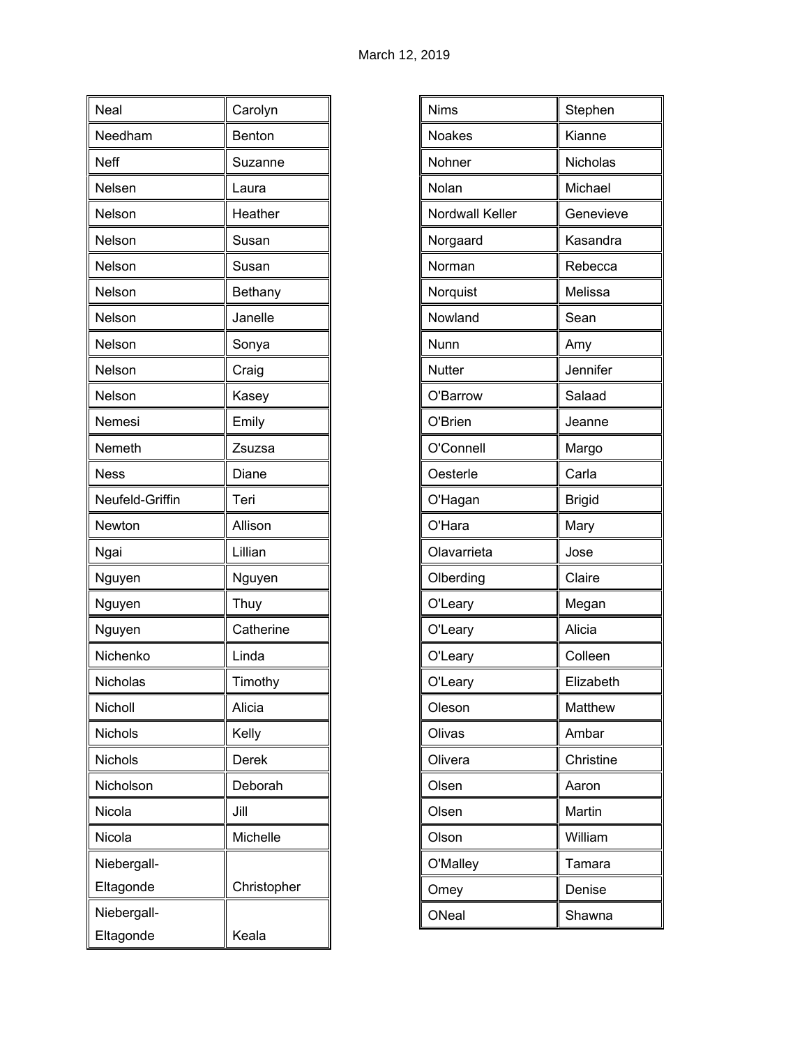| Neal            | Carolyn     |
|-----------------|-------------|
| Needham         | Benton      |
| Neff            | Suzanne     |
| Nelsen          | Laura       |
| Nelson          | Heather     |
| Nelson          | Susan       |
| Nelson          | Susan       |
| Nelson          | Bethany     |
| Nelson          | Janelle     |
| Nelson          | Sonya       |
| Nelson          | Craig       |
| Nelson          | Kasey       |
| Nemesi          | Emily       |
| Nemeth          | Zsuzsa      |
| <b>Ness</b>     | Diane       |
| Neufeld-Griffin | Teri        |
| Newton          | Allison     |
| Ngai            | Lillian     |
| Nguyen          | Nguyen      |
| Nguyen          | Thuy        |
| Nguyen          | Catherine   |
| Nichenko        | Linda       |
| Nicholas        | Timothy     |
| Nicholl         | Alicia      |
| Nichols         | Kelly       |
| Nichols         | Derek       |
| Nicholson       | Deborah     |
| Nicola          | Jill        |
| Nicola          | Michelle    |
| Niebergall-     |             |
| Eltagonde       | Christopher |
| Niebergall-     |             |
| Eltagonde       | Keala       |

| <b>Nims</b>     | Stephen       |
|-----------------|---------------|
| <b>Noakes</b>   | Kianne        |
| Nohner          | Nicholas      |
| Nolan           | Michael       |
| Nordwall Keller | Genevieve     |
| Norgaard        | Kasandra      |
| Norman          | Rebecca       |
| Norquist        | Melissa       |
| Nowland         | Sean          |
| Nunn            | Amy           |
| Nutter          | Jennifer      |
| O'Barrow        | Salaad        |
| O'Brien         | Jeanne        |
| O'Connell       | Margo         |
| Oesterle        | Carla         |
| O'Hagan         | <b>Brigid</b> |
| O'Hara          | Mary          |
| Olavarrieta     | Jose          |
| Olberding       | Claire        |
| O'Leary         | Megan         |
| O'Leary         | Alicia        |
| O'Leary         | Colleen       |
| O'Leary         | Elizabeth     |
| Oleson          | Matthew       |
| Olivas          | Ambar         |
| Olivera         | Christine     |
| Olsen           | Aaron         |
| Olsen           | Martin        |
| Olson           | William       |
| O'Malley        | Tamara        |
| Omey            | Denise        |
| ONeal           | Shawna        |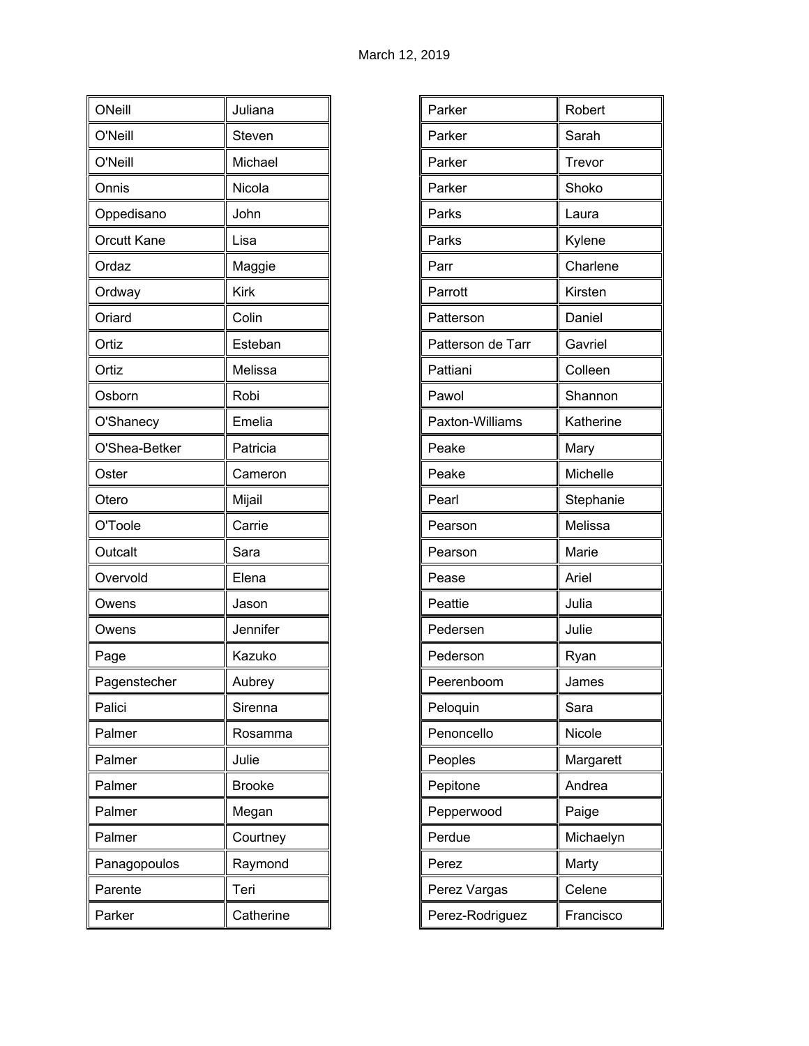| ONeill        | Juliana       |
|---------------|---------------|
| O'Neill       | Steven        |
| O'Neill       | Michael       |
| Onnis         | Nicola        |
| Oppedisano    | John          |
| Orcutt Kane   | Lisa          |
| Ordaz         | Maggie        |
| Ordway        | <b>Kirk</b>   |
| Oriard        | Colin         |
| Ortiz         | Esteban       |
| Ortiz         | Melissa       |
| Osborn        | Robi          |
| O'Shanecy     | Emelia        |
| O'Shea-Betker | Patricia      |
| Oster         | Cameron       |
| Otero         | Mijail        |
| O'Toole       | Carrie        |
| Outcalt       | Sara          |
| Overvold      | Elena         |
| Owens         | Jason         |
| Owens         | Jennifer      |
| Page          | Kazuko        |
| Pagenstecher  | Aubrey        |
| Palici        | Sirenna       |
| Palmer        | Rosamma       |
| Palmer        | Julie         |
| Palmer        | <b>Brooke</b> |
| Palmer        | Megan         |
| Palmer        | Courtney      |
| Panagopoulos  | Raymond       |
| Parente       | Teri          |
| Parker        | Catherine     |

| Parker            | Robert    |
|-------------------|-----------|
| Parker            | Sarah     |
| Parker            | Trevor    |
| Parker            | Shoko     |
| Parks             | Laura     |
| Parks             | Kylene    |
| Parr              | Charlene  |
| Parrott           | Kirsten   |
| Patterson         | Daniel    |
| Patterson de Tarr | Gavriel   |
| Pattiani          | Colleen   |
| Pawol             | Shannon   |
| Paxton-Williams   | Katherine |
| Peake             | Mary      |
| Peake             | Michelle  |
| Pearl             | Stephanie |
| Pearson           | Melissa   |
| Pearson           | Marie     |
| Pease             | Ariel     |
| Peattie           | Julia     |
| Pedersen          | Julie     |
| Pederson          | Ryan      |
| Peerenboom        | James     |
| Peloquin          | Sara      |
| Penoncello        | Nicole    |
| Peoples           | Margarett |
| Pepitone          | Andrea    |
| Pepperwood        | Paige     |
| Perdue            | Michaelyn |
| Perez             | Marty     |
|                   |           |
| Perez Vargas      | Celene    |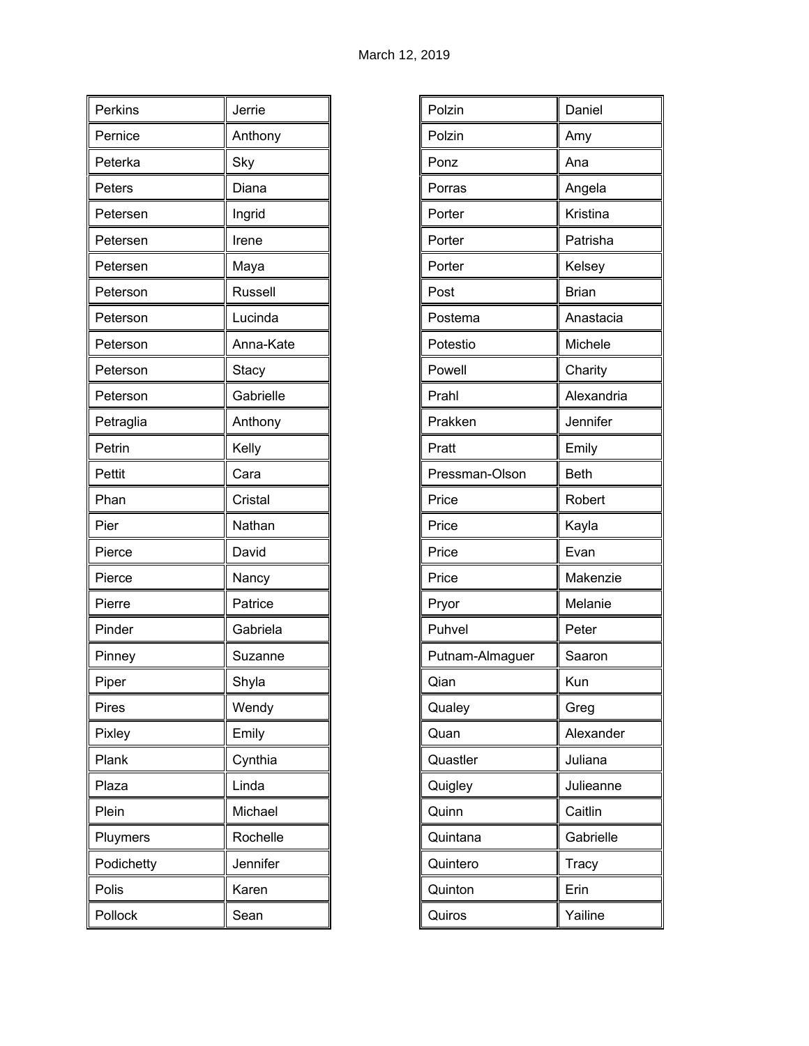| Perkins    | Jerrie    |
|------------|-----------|
| Pernice    | Anthony   |
| Peterka    | Sky       |
| Peters     | Diana     |
| Petersen   | Ingrid    |
| Petersen   | Irene     |
| Petersen   | Maya      |
| Peterson   | Russell   |
| Peterson   | Lucinda   |
| Peterson   | Anna-Kate |
| Peterson   | Stacy     |
| Peterson   | Gabrielle |
| Petraglia  | Anthony   |
| Petrin     | Kelly     |
| Pettit     | Cara      |
| Phan       | Cristal   |
| Pier       | Nathan    |
| Pierce     | David     |
| Pierce     | Nancy     |
| Pierre     | Patrice   |
| Pinder     | Gabriela  |
| Pinney     | Suzanne   |
| Piper      | Shyla     |
| Pires      | Wendy     |
| Pixley     | Emily     |
| Plank      | Cynthia   |
| Plaza      | Linda     |
| Plein      | Michael   |
| Pluymers   | Rochelle  |
| Podichetty | Jennifer  |
| Polis      | Karen     |
| Pollock    | Sean      |

| Polzin          | Daniel       |
|-----------------|--------------|
| Polzin          | Amy          |
| Ponz            | Ana          |
| Porras          | Angela       |
| Porter          | Kristina     |
| Porter          | Patrisha     |
| Porter          | Kelsey       |
| Post            | <b>Brian</b> |
| Postema         | Anastacia    |
| Potestio        | Michele      |
| Powell          | Charity      |
| Prahl           | Alexandria   |
| Prakken         | Jennifer     |
| Pratt           | Emily        |
| Pressman-Olson  | <b>Beth</b>  |
| Price           | Robert       |
| Price           | Kayla        |
| Price           | Evan         |
| Price           | Makenzie     |
| Pryor           | Melanie      |
| Puhvel          | Peter        |
| Putnam-Almaguer | Saaron       |
| Oian            | Kun          |
| Qualey          | Greg         |
| Quan            | Alexander    |
| Quastler        | Juliana      |
| Quigley         | Julieanne    |
| Quinn           | Caitlin      |
| Quintana        | Gabrielle    |
| Quintero        | Tracy        |
| Quinton         | Erin         |
| Quiros          | Yailine      |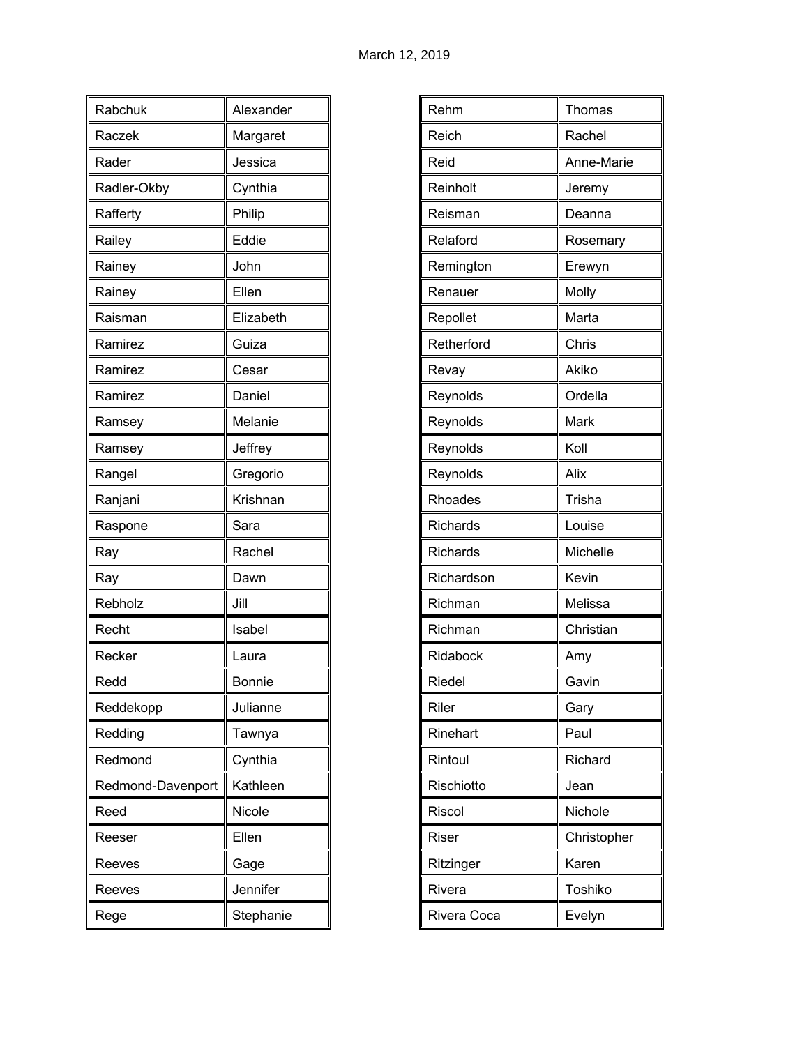| Rabchuk           | Alexander     |
|-------------------|---------------|
| Raczek            | Margaret      |
| Rader             | Jessica       |
| Radler-Okby       | Cynthia       |
| Rafferty          | Philip        |
| Railey            | Eddie         |
| Rainey            | John          |
| Rainey            | Ellen         |
| Raisman           | Elizabeth     |
| Ramirez           | Guiza         |
| Ramirez           | Cesar         |
| Ramirez           | Daniel        |
| Ramsey            | Melanie       |
| Ramsey            | Jeffrey       |
| Rangel            | Gregorio      |
| Ranjani           | Krishnan      |
| Raspone           | Sara          |
| Ray               | Rachel        |
| Ray               | Dawn          |
| Rebholz           | Jill          |
| Recht             | Isabel        |
| Recker            | Laura         |
| Redd              | <b>Bonnie</b> |
| Reddekopp         | Julianne      |
| Redding           | Tawnya        |
| Redmond           | Cynthia       |
| Redmond-Davenport | Kathleen      |
| Reed              | Nicole        |
| Reeser            | Ellen         |
| Reeves            | Gage          |
| Reeves            | Jennifer      |
| Rege              | Stephanie     |

| Rehm<br>Thomas<br>Reich<br>Rachel<br>Reid<br>Anne-Marie<br>Reinholt<br>Jeremy<br>Reisman<br>Deanna<br>Relaford<br>Rosemary<br>Remington<br>Erewyn<br>Molly<br>Renauer<br>Marta<br>Repollet<br>Retherford<br>Chris<br>Akiko<br>Revay<br>Ordella<br>Reynolds<br>Mark<br>Reynolds<br>Koll<br>Reynolds<br>Alix<br>Reynolds<br>Trisha<br>Rhoades<br>Louise<br>Richards<br><b>Richards</b><br>Michelle<br>Richardson<br>Kevin<br>Melissa<br>Richman<br>Richman<br>Christian<br>Ridabock<br>Amy<br>Riedel<br>Gavin<br>Riler<br>Gary<br>Rinehart<br>Paul<br>Richard<br>Rintoul<br>Rischiotto<br>Jean<br>Riscol<br>Nichole<br>Riser<br>Christopher<br>Ritzinger<br>Karen<br>Toshiko<br>Rivera<br>Evelyn<br>Rivera Coca |  |
|---------------------------------------------------------------------------------------------------------------------------------------------------------------------------------------------------------------------------------------------------------------------------------------------------------------------------------------------------------------------------------------------------------------------------------------------------------------------------------------------------------------------------------------------------------------------------------------------------------------------------------------------------------------------------------------------------------------|--|
|                                                                                                                                                                                                                                                                                                                                                                                                                                                                                                                                                                                                                                                                                                               |  |
|                                                                                                                                                                                                                                                                                                                                                                                                                                                                                                                                                                                                                                                                                                               |  |
|                                                                                                                                                                                                                                                                                                                                                                                                                                                                                                                                                                                                                                                                                                               |  |
|                                                                                                                                                                                                                                                                                                                                                                                                                                                                                                                                                                                                                                                                                                               |  |
|                                                                                                                                                                                                                                                                                                                                                                                                                                                                                                                                                                                                                                                                                                               |  |
|                                                                                                                                                                                                                                                                                                                                                                                                                                                                                                                                                                                                                                                                                                               |  |
|                                                                                                                                                                                                                                                                                                                                                                                                                                                                                                                                                                                                                                                                                                               |  |
|                                                                                                                                                                                                                                                                                                                                                                                                                                                                                                                                                                                                                                                                                                               |  |
|                                                                                                                                                                                                                                                                                                                                                                                                                                                                                                                                                                                                                                                                                                               |  |
|                                                                                                                                                                                                                                                                                                                                                                                                                                                                                                                                                                                                                                                                                                               |  |
|                                                                                                                                                                                                                                                                                                                                                                                                                                                                                                                                                                                                                                                                                                               |  |
|                                                                                                                                                                                                                                                                                                                                                                                                                                                                                                                                                                                                                                                                                                               |  |
|                                                                                                                                                                                                                                                                                                                                                                                                                                                                                                                                                                                                                                                                                                               |  |
|                                                                                                                                                                                                                                                                                                                                                                                                                                                                                                                                                                                                                                                                                                               |  |
|                                                                                                                                                                                                                                                                                                                                                                                                                                                                                                                                                                                                                                                                                                               |  |
|                                                                                                                                                                                                                                                                                                                                                                                                                                                                                                                                                                                                                                                                                                               |  |
|                                                                                                                                                                                                                                                                                                                                                                                                                                                                                                                                                                                                                                                                                                               |  |
|                                                                                                                                                                                                                                                                                                                                                                                                                                                                                                                                                                                                                                                                                                               |  |
|                                                                                                                                                                                                                                                                                                                                                                                                                                                                                                                                                                                                                                                                                                               |  |
|                                                                                                                                                                                                                                                                                                                                                                                                                                                                                                                                                                                                                                                                                                               |  |
|                                                                                                                                                                                                                                                                                                                                                                                                                                                                                                                                                                                                                                                                                                               |  |
|                                                                                                                                                                                                                                                                                                                                                                                                                                                                                                                                                                                                                                                                                                               |  |
|                                                                                                                                                                                                                                                                                                                                                                                                                                                                                                                                                                                                                                                                                                               |  |
|                                                                                                                                                                                                                                                                                                                                                                                                                                                                                                                                                                                                                                                                                                               |  |
|                                                                                                                                                                                                                                                                                                                                                                                                                                                                                                                                                                                                                                                                                                               |  |
|                                                                                                                                                                                                                                                                                                                                                                                                                                                                                                                                                                                                                                                                                                               |  |
|                                                                                                                                                                                                                                                                                                                                                                                                                                                                                                                                                                                                                                                                                                               |  |
|                                                                                                                                                                                                                                                                                                                                                                                                                                                                                                                                                                                                                                                                                                               |  |
|                                                                                                                                                                                                                                                                                                                                                                                                                                                                                                                                                                                                                                                                                                               |  |
|                                                                                                                                                                                                                                                                                                                                                                                                                                                                                                                                                                                                                                                                                                               |  |
|                                                                                                                                                                                                                                                                                                                                                                                                                                                                                                                                                                                                                                                                                                               |  |
|                                                                                                                                                                                                                                                                                                                                                                                                                                                                                                                                                                                                                                                                                                               |  |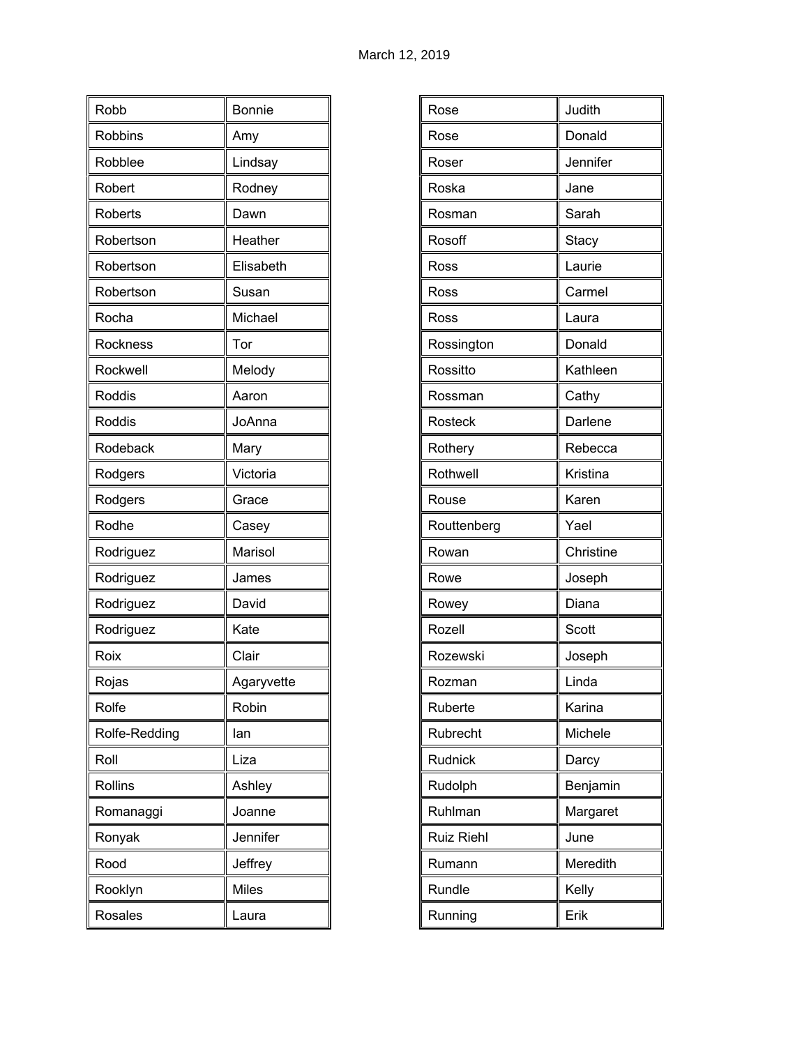| Robb           | <b>Bonnie</b> |
|----------------|---------------|
| <b>Robbins</b> |               |
|                | Amy           |
| Robblee        | Lindsay       |
| Robert         | Rodney        |
| <b>Roberts</b> | Dawn          |
| Robertson      | Heather       |
| Robertson      | Elisabeth     |
| Robertson      | Susan         |
| Rocha          | Michael       |
| Rockness       | Tor           |
| Rockwell       | Melody        |
| Roddis         | Aaron         |
| Roddis         | JoAnna        |
| Rodeback       | Mary          |
| Rodgers        | Victoria      |
| Rodgers        | Grace         |
| Rodhe          | Casey         |
| Rodriguez      | Marisol       |
| Rodriguez      | James         |
| Rodriguez      | David         |
| Rodriguez      | Kate          |
| Roix           | Clair         |
| Rojas          | Agaryvette    |
| Rolfe          | Robin         |
| Rolfe-Redding  | lan           |
| Roll           | Liza          |
| Rollins        | Ashley        |
| Romanaggi      | Joanne        |
| Ronyak         | Jennifer      |
| Rood           | Jeffrey       |
| Rooklyn        | Miles         |
| Rosales        | Laura         |

| Rose              | Judith    |
|-------------------|-----------|
| Rose              | Donald    |
| Roser             | Jennifer  |
| Roska             | Jane      |
| Rosman            | Sarah     |
| Rosoff            | Stacy     |
| Ross              | Laurie    |
| Ross              | Carmel    |
| Ross              | Laura     |
| Rossington        | Donald    |
| Rossitto          | Kathleen  |
| Rossman           | Cathy     |
| Rosteck           | Darlene   |
| Rothery           | Rebecca   |
| Rothwell          | Kristina  |
| Rouse             | Karen     |
| Routtenberg       | Yael      |
| Rowan             | Christine |
| Rowe              | Joseph    |
| Rowey             | Diana     |
| Rozell            | Scott     |
| Rozewski          | Joseph    |
| Rozman            | Linda     |
| Ruberte           | Karina    |
| Rubrecht          | Michele   |
| Rudnick           | Darcy     |
| Rudolph           | Benjamin  |
| Ruhlman           | Margaret  |
| <b>Ruiz Riehl</b> | June      |
| Rumann            | Meredith  |
| Rundle            | Kelly     |
| Running           | Erik      |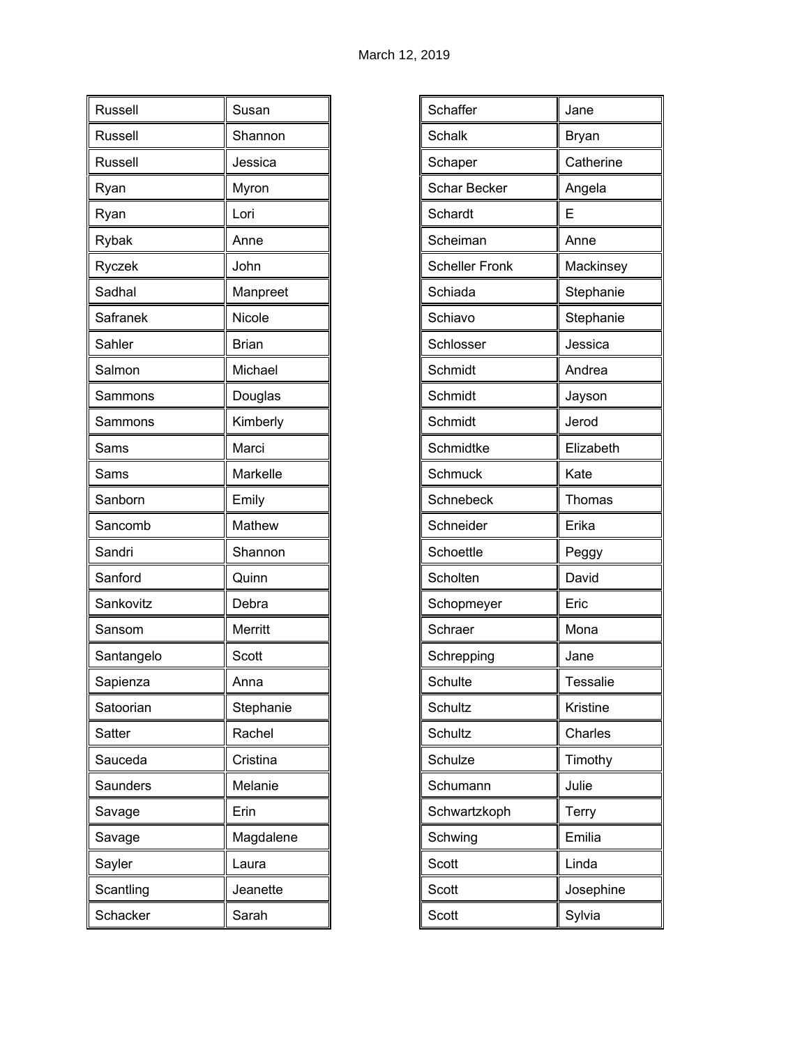| Russell    | Susan        |
|------------|--------------|
| Russell    | Shannon      |
| Russell    | Jessica      |
| Ryan       | Myron        |
| Ryan       | Lori         |
| Rybak      | Anne         |
| Ryczek     | John         |
| Sadhal     | Manpreet     |
| Safranek   | Nicole       |
| Sahler     | <b>Brian</b> |
| Salmon     | Michael      |
| Sammons    | Douglas      |
| Sammons    | Kimberly     |
| Sams       | Marci        |
| Sams       | Markelle     |
| Sanborn    | Emily        |
| Sancomb    | Mathew       |
| Sandri     | Shannon      |
| Sanford    | Quinn        |
| Sankovitz  | Debra        |
| Sansom     | Merritt      |
| Santangelo | Scott        |
| Sapienza   | Anna         |
| Satoorian  | Stephanie    |
| Satter     | Rachel       |
| Sauceda    | Cristina     |
| Saunders   | Melanie      |
| Savage     | Erin         |
| Savage     | Magdalene    |
| Sayler     | Laura        |
| Scantling  | Jeanette     |
| Schacker   | Sarah        |

| Jane            |
|-----------------|
| Bryan           |
| Catherine       |
| Angela          |
| Е               |
| Anne            |
| Mackinsey       |
| Stephanie       |
| Stephanie       |
| Jessica         |
| Andrea          |
| Jayson          |
| Jerod           |
| Elizabeth       |
| Kate            |
| Thomas          |
| Erika           |
| Peggy           |
| David           |
| Eric            |
| Mona            |
| Jane            |
| <b>Tessalie</b> |
| Kristine        |
| Charles         |
| Timothy         |
| Julie           |
| Terry           |
| Emilia          |
| Linda           |
| Josephine       |
| Sylvia          |
|                 |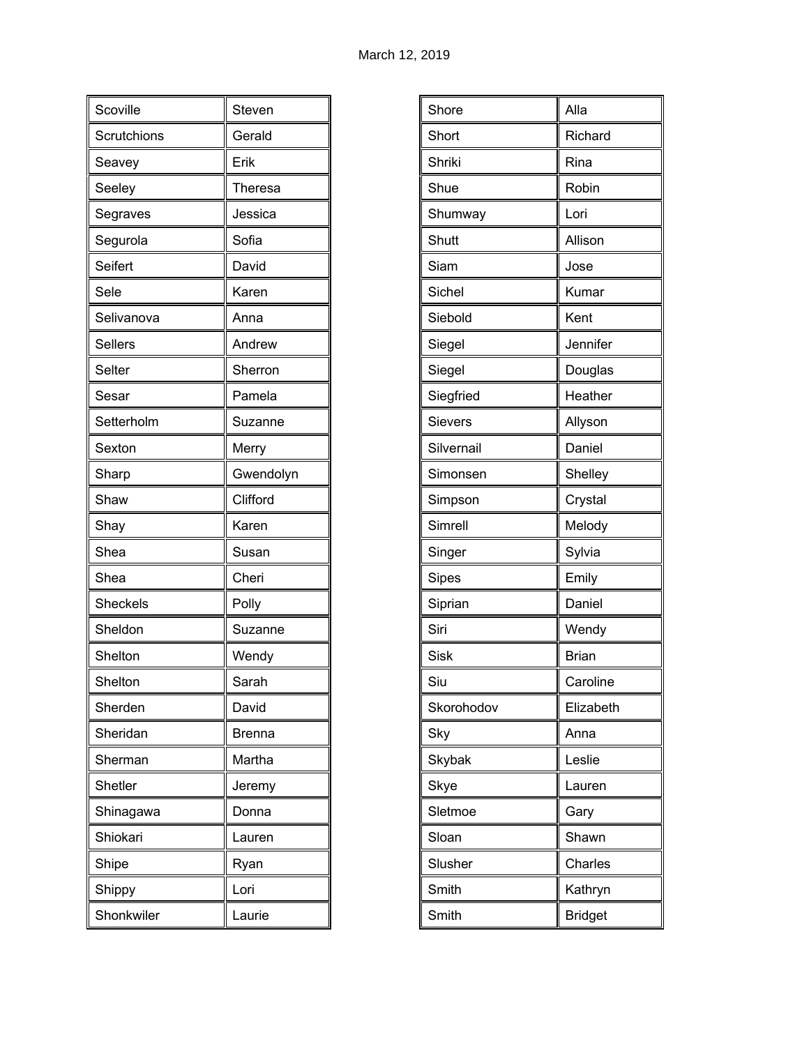| Scoville        | Steven        |
|-----------------|---------------|
| Scrutchions     | Gerald        |
| Seavey          | Erik          |
| Seeley          | Theresa       |
| Segraves        | Jessica       |
| Segurola        | Sofia         |
| Seifert         | David         |
| Sele            | Karen         |
| Selivanova      | Anna          |
| <b>Sellers</b>  | Andrew        |
| Selter          | Sherron       |
| Sesar           | Pamela        |
| Setterholm      | Suzanne       |
| Sexton          | Merry         |
| Sharp           | Gwendolyn     |
| Shaw            | Clifford      |
| Shay            | Karen         |
| Shea            | Susan         |
| Shea            | Cheri         |
| <b>Sheckels</b> | Polly         |
| Sheldon         | Suzanne       |
| Shelton         | Wendy         |
| Shelton         | Sarah         |
| Sherden         | David         |
| Sheridan        | <b>Brenna</b> |
| Sherman         | Martha        |
| Shetler         | Jeremy        |
| Shinagawa       | Donna         |
| Shiokari        | Lauren        |
| Shipe           | Ryan          |
| Shippy          | Lori          |
| Shonkwiler      | Laurie        |

| Shore      | Alla           |
|------------|----------------|
| Short      | Richard        |
| Shriki     | Rina           |
| Shue       | Robin          |
| Shumway    | Lori           |
| Shutt      | Allison        |
| Siam       | Jose           |
| Sichel     | Kumar          |
| Siebold    | Kent           |
| Siegel     | Jennifer       |
| Siegel     | Douglas        |
| Siegfried  | Heather        |
| Sievers    | Allyson        |
| Silvernail | Daniel         |
| Simonsen   | Shelley        |
| Simpson    | Crystal        |
| Simrell    | Melody         |
| Singer     | Sylvia         |
| Sipes      | Emily          |
| Siprian    | Daniel         |
| Siri       | Wendy          |
| Sisk       | <b>Brian</b>   |
| Siu        | Caroline       |
| Skorohodov | Elizabeth      |
| Sky        | Anna           |
| Skybak     | Leslie         |
| Skye       | Lauren         |
| Sletmoe    | Gary           |
| Sloan      | Shawn          |
| Slusher    | Charles        |
| Smith      | Kathryn        |
| Smith      | <b>Bridget</b> |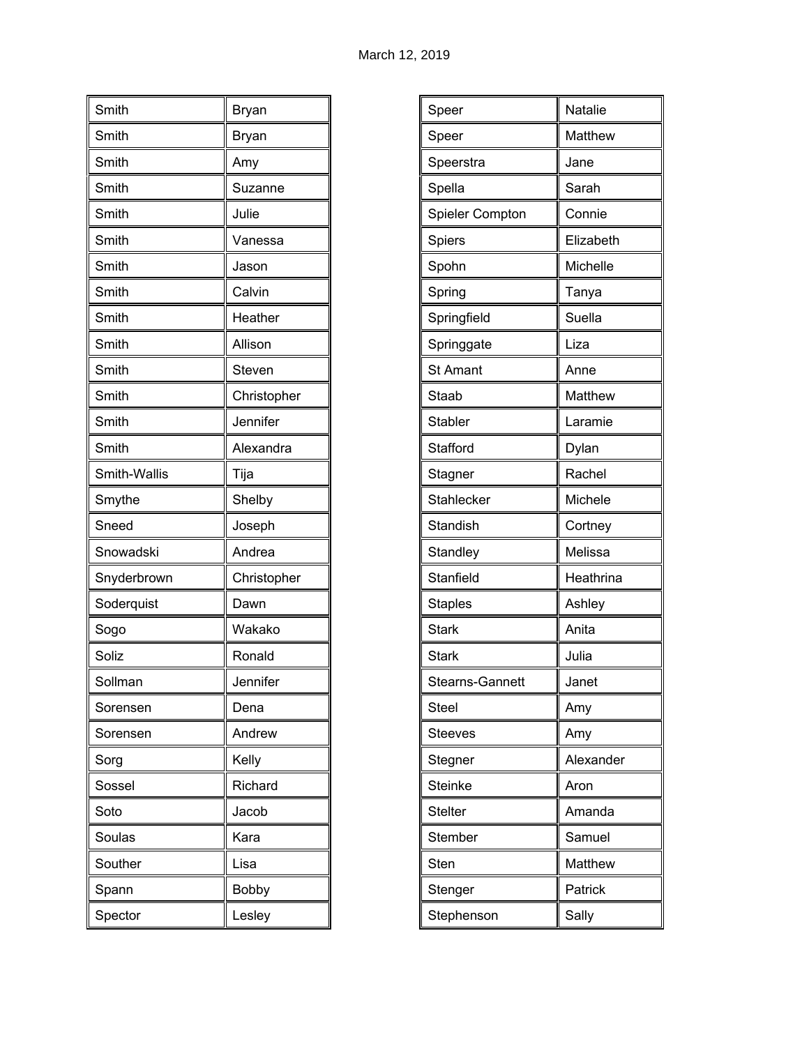| Smith        | Bryan       |
|--------------|-------------|
| Smith        | Bryan       |
| Smith        | Amy         |
| Smith        | Suzanne     |
| Smith        | Julie       |
| Smith        | Vanessa     |
| Smith        | Jason       |
| Smith        | Calvin      |
| Smith        | Heather     |
| Smith        | Allison     |
| Smith        | Steven      |
| Smith        | Christopher |
| Smith        | Jennifer    |
| Smith        | Alexandra   |
| Smith-Wallis | Tija        |
| Smythe       | Shelby      |
| Sneed        | Joseph      |
| Snowadski    | Andrea      |
| Snyderbrown  | Christopher |
| Soderquist   | Dawn        |
| Sogo         | Wakako      |
| Soliz        | Ronald      |
| Sollman      | Jennifer    |
| Sorensen     | Dena        |
| Sorensen     | Andrew      |
| Sorg         | Kelly       |
| Sossel       | Richard     |
| Soto         | Jacob       |
| Soulas       | Kara        |
| Souther      | Lisa        |
| Spann        | Bobby       |
| Spector      | Lesley      |

| Speer           | Natalie   |
|-----------------|-----------|
| Speer           | Matthew   |
| Speerstra       | Jane      |
| Spella          | Sarah     |
| Spieler Compton | Connie    |
| Spiers          | Elizabeth |
| Spohn           | Michelle  |
| Spring          | Tanya     |
| Springfield     | Suella    |
| Springgate      | Liza      |
| <b>St Amant</b> | Anne      |
| Staab           | Matthew   |
| <b>Stabler</b>  | Laramie   |
| Stafford        | Dylan     |
| Stagner         | Rachel    |
| Stahlecker      | Michele   |
| Standish        | Cortney   |
| Standley        | Melissa   |
| Stanfield       | Heathrina |
| <b>Staples</b>  | Ashley    |
| <b>Stark</b>    | Anita     |
| <b>Stark</b>    | Julia     |
| Stearns-Gannett | Janet     |
| <b>Steel</b>    | Amy       |
| <b>Steeves</b>  | Amy       |
| Stegner         | Alexander |
| <b>Steinke</b>  | Aron      |
| <b>Stelter</b>  | Amanda    |
| Stember         | Samuel    |
| Sten            | Matthew   |
| Stenger         | Patrick   |
| Stephenson      | Sally     |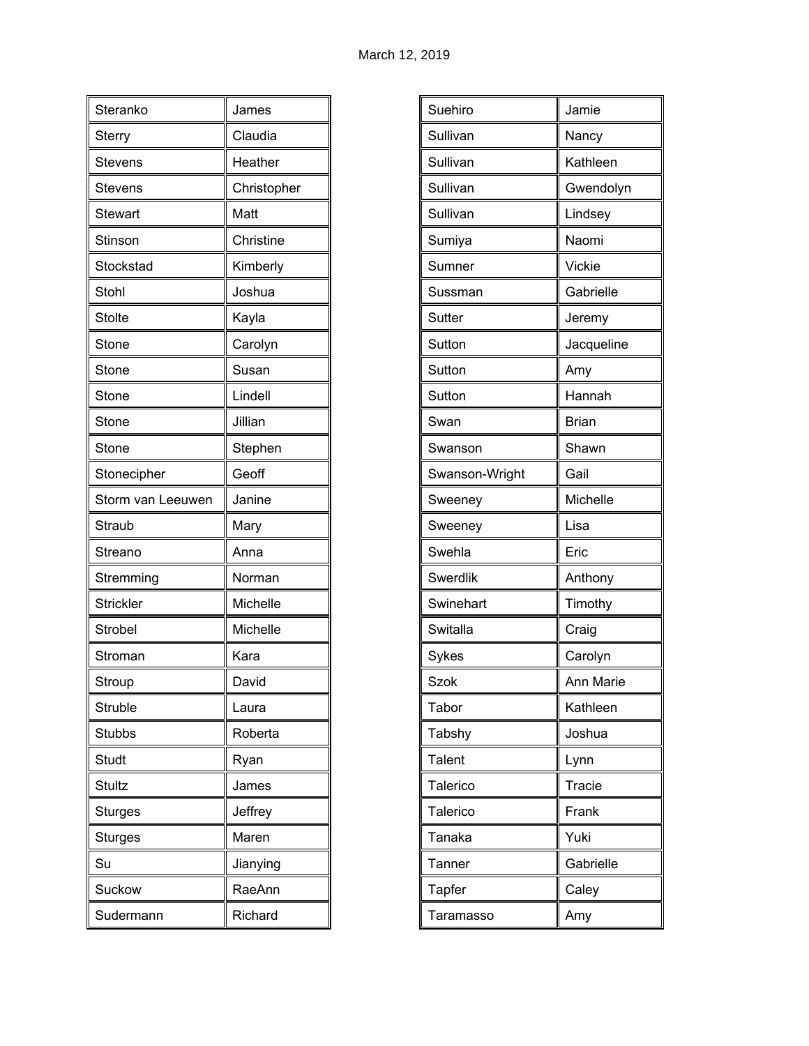| Steranko          | James       |
|-------------------|-------------|
| Sterry            | Claudia     |
| <b>Stevens</b>    | Heather     |
| <b>Stevens</b>    | Christopher |
| <b>Stewart</b>    | Matt        |
| Stinson           | Christine   |
| Stockstad         | Kimberly    |
| Stohl             | Joshua      |
| <b>Stolte</b>     | Kayla       |
| Stone             | Carolyn     |
| Stone             | Susan       |
| Stone             | Lindell     |
| Stone             | Jillian     |
| Stone             | Stephen     |
| Stonecipher       | Geoff       |
| Storm van Leeuwen | Janine      |
| Straub            | Mary        |
| Streano           | Anna        |
| Stremming         | Norman      |
| <b>Strickler</b>  | Michelle    |
| Strobel           | Michelle    |
| Stroman           | Kara        |
| Stroup            | David       |
| Struble           | Laura       |
| <b>Stubbs</b>     | Roberta     |
| Studt             | Ryan        |
| Stultz            | James       |
| <b>Sturges</b>    | Jeffrey     |
| <b>Sturges</b>    | Maren       |
| Su                | Jianying    |
| Suckow            | RaeAnn      |
| Sudermann         | Richard     |

| Suehiro        | Jamie        |
|----------------|--------------|
| Sullivan       | Nancy        |
| Sullivan       | Kathleen     |
| Sullivan       | Gwendolyn    |
| Sullivan       | Lindsey      |
| Sumiya         | Naomi        |
| Sumner         | Vickie       |
| Sussman        | Gabrielle    |
| Sutter         | Jeremy       |
| Sutton         | Jacqueline   |
| Sutton         | Amy          |
| Sutton         | Hannah       |
| Swan           | <b>Brian</b> |
| Swanson        | Shawn        |
| Swanson-Wright | Gail         |
| Sweeney        | Michelle     |
| Sweeney        | Lisa         |
| Swehla         | Eric         |
| Swerdlik       | Anthony      |
| Swinehart      | Timothy      |
| Switalla       | Craig        |
| Sykes          | Carolyn      |
| Szok           | Ann Marie    |
| Tabor          | Kathleen     |
| Tabshy         | Joshua       |
| <b>Talent</b>  | Lynn         |
| Talerico       | Tracie       |
| Talerico       | Frank        |
| Tanaka         | Yuki         |
| Tanner         | Gabrielle    |
| Tapfer         | Caley        |
| Taramasso      | Amy          |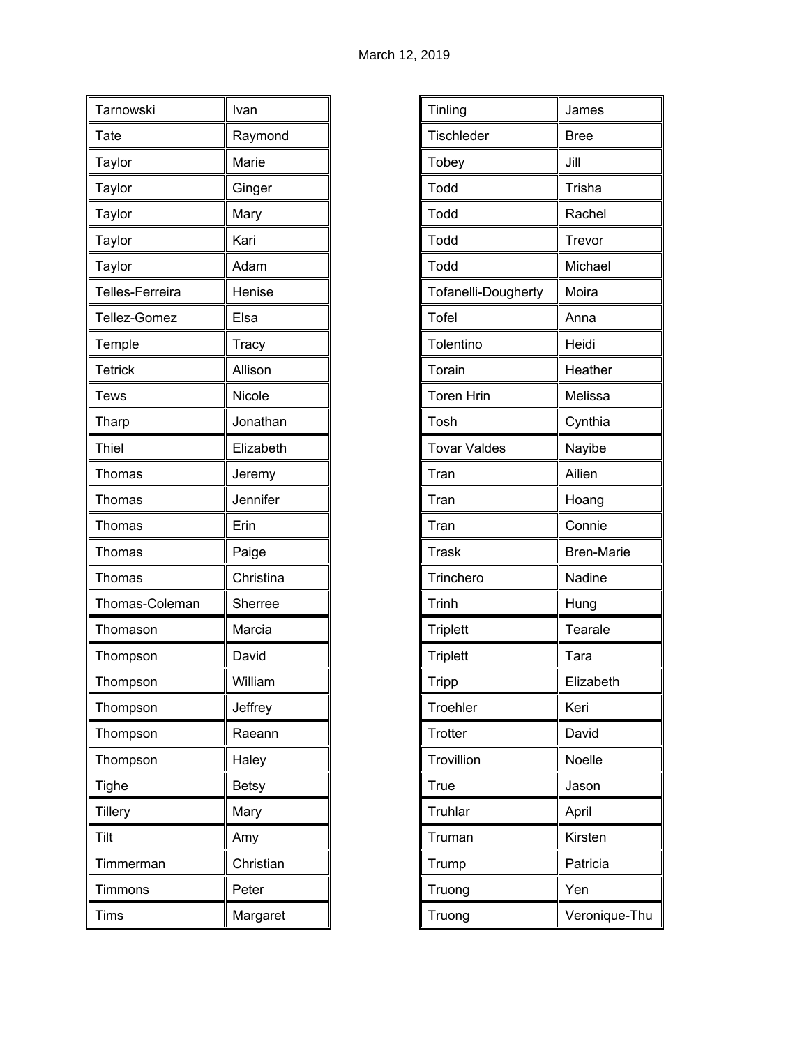| Tarnowski       | Ivan         |
|-----------------|--------------|
| Tate            | Raymond      |
| Taylor          | Marie        |
| Taylor          | Ginger       |
|                 | Mary         |
| Taylor          | Kari         |
| Taylor          |              |
| Taylor          | Adam         |
| Telles-Ferreira | Henise       |
| Tellez-Gomez    | Elsa         |
| Temple          | Tracy        |
| <b>Tetrick</b>  | Allison      |
| <b>Tews</b>     | Nicole       |
| Tharp           | Jonathan     |
| Thiel           | Elizabeth    |
| Thomas          | Jeremy       |
| Thomas          | Jennifer     |
| Thomas          | Erin         |
| Thomas          | Paige        |
| Thomas          | Christina    |
| Thomas-Coleman  | Sherree      |
| Thomason        | Marcia       |
| Thompson        | David        |
| Thompson        | William      |
| Thompson        | Jeffrey      |
| Thompson        | Raeann       |
| Thompson        | Haley        |
| <b>Tighe</b>    | <b>Betsy</b> |
| <b>Tillery</b>  | Mary         |
| Tilt            | Amy          |
| Timmerman       | Christian    |
| Timmons         | Peter        |
| Tims            | Margaret     |

| Tinling             | James             |
|---------------------|-------------------|
| Tischleder          | <b>Bree</b>       |
| Tobey               | Jill              |
| Todd                | Trisha            |
| Todd                | Rachel            |
| Todd                | Trevor            |
| Todd                | Michael           |
| Tofanelli-Dougherty | Moira             |
| <b>Tofel</b>        | Anna              |
| Tolentino           | Heidi             |
| Torain              | Heather           |
| <b>Toren Hrin</b>   | Melissa           |
| Tosh                | Cynthia           |
| <b>Tovar Valdes</b> | Nayibe            |
| Tran                | Ailien            |
| Tran                | Hoang             |
| Tran                | Connie            |
| <b>Trask</b>        | <b>Bren-Marie</b> |
| Trinchero           | Nadine            |
| <b>Trinh</b>        | Hung              |
| <b>Triplett</b>     | Tearale           |
| <b>Triplett</b>     | Tara              |
| Tripp               | Elizabeth         |
| Troehler            | Keri              |
| Trotter             | David             |
| Trovillion          | Noelle            |
| True                | Jason             |
| Truhlar             | April             |
| Truman              | Kirsten           |
| Trump               | Patricia          |
| Truong              | Yen               |
| Truong              | Veronique-Thu     |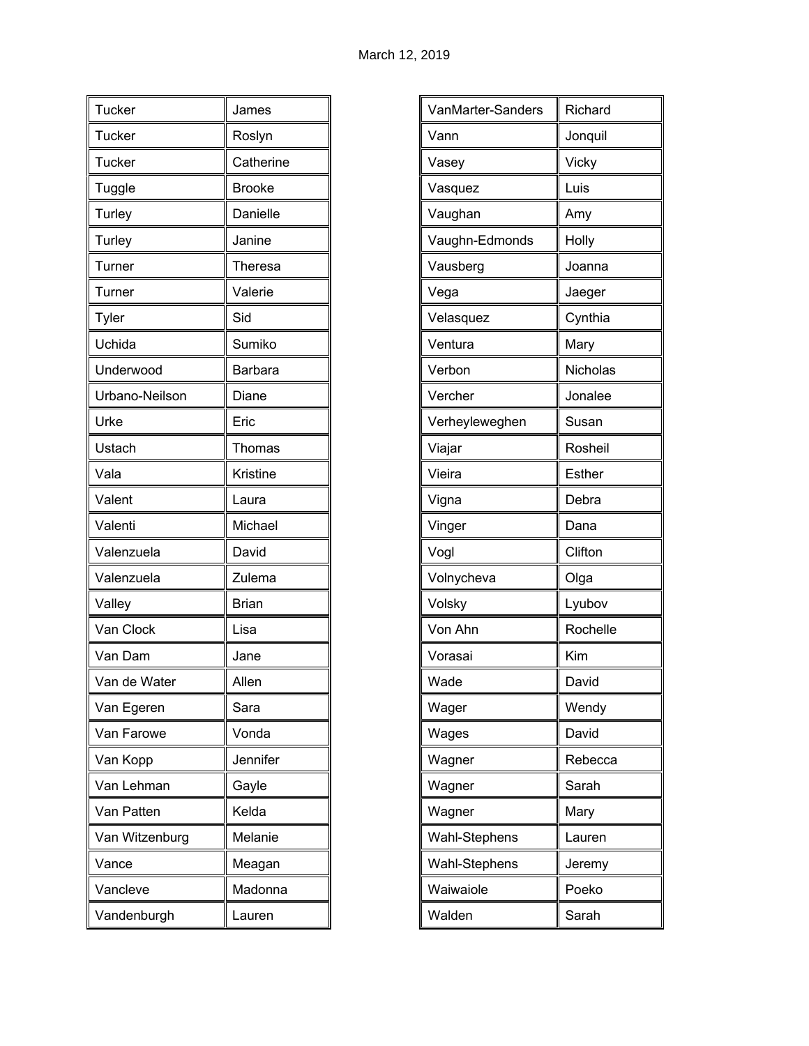| Tucker         | James         |
|----------------|---------------|
| <b>Tucker</b>  | Roslyn        |
| <b>Tucker</b>  | Catherine     |
| Tuggle         | <b>Brooke</b> |
| Turley         | Danielle      |
| Turley         | Janine        |
| Turner         | Theresa       |
| Turner         | Valerie       |
| Tyler          | Sid           |
| Uchida         | Sumiko        |
| Underwood      | Barbara       |
| Urbano-Neilson | Diane         |
| Urke           | Eric          |
| Ustach         | Thomas        |
| Vala           | Kristine      |
| Valent         | Laura         |
| Valenti        | Michael       |
| Valenzuela     | David         |
| Valenzuela     | Zulema        |
| Valley         | <b>Brian</b>  |
| Van Clock      | Lisa          |
| Van Dam        | Jane          |
| Van de Water   | Allen         |
| Van Egeren     | Sara          |
| Van Farowe     | Vonda         |
| Van Kopp       | Jennifer      |
| Van Lehman     | Gayle         |
| Van Patten     | Kelda         |
| Van Witzenburg | Melanie       |
| Vance          | Meagan        |
| Vancleve       | Madonna       |
| Vandenburgh    | Lauren        |

| VanMarter-Sanders | Richard       |
|-------------------|---------------|
| Vann              | Jonquil       |
| Vasey             | Vicky         |
| Vasquez           | Luis          |
| Vaughan           | Amy           |
| Vaughn-Edmonds    | Holly         |
| Vausberg          | Joanna        |
| Vega              | Jaeger        |
| Velasquez         | Cynthia       |
| Ventura           | Mary          |
| Verbon            | Nicholas      |
| Vercher           | Jonalee       |
| Verheyleweghen    | Susan         |
| Viajar            | Rosheil       |
| Vieira            | <b>Esther</b> |
| Vigna             | Debra         |
| Vinger            | Dana          |
| Vogl              | Clifton       |
| Volnycheva        | Olga          |
| Volsky            | Lyubov        |
| Von Ahn           | Rochelle      |
| Vorasai           | Kim           |
| Wade              | David         |
| Wager             | Wendy         |
| Wages             | David         |
| Wagner            | Rebecca       |
| Wagner            | Sarah         |
| Wagner            | Mary          |
| Wahl-Stephens     | Lauren        |
| Wahl-Stephens     | Jeremy        |
| Waiwaiole         | Poeko         |
| Walden            | Sarah         |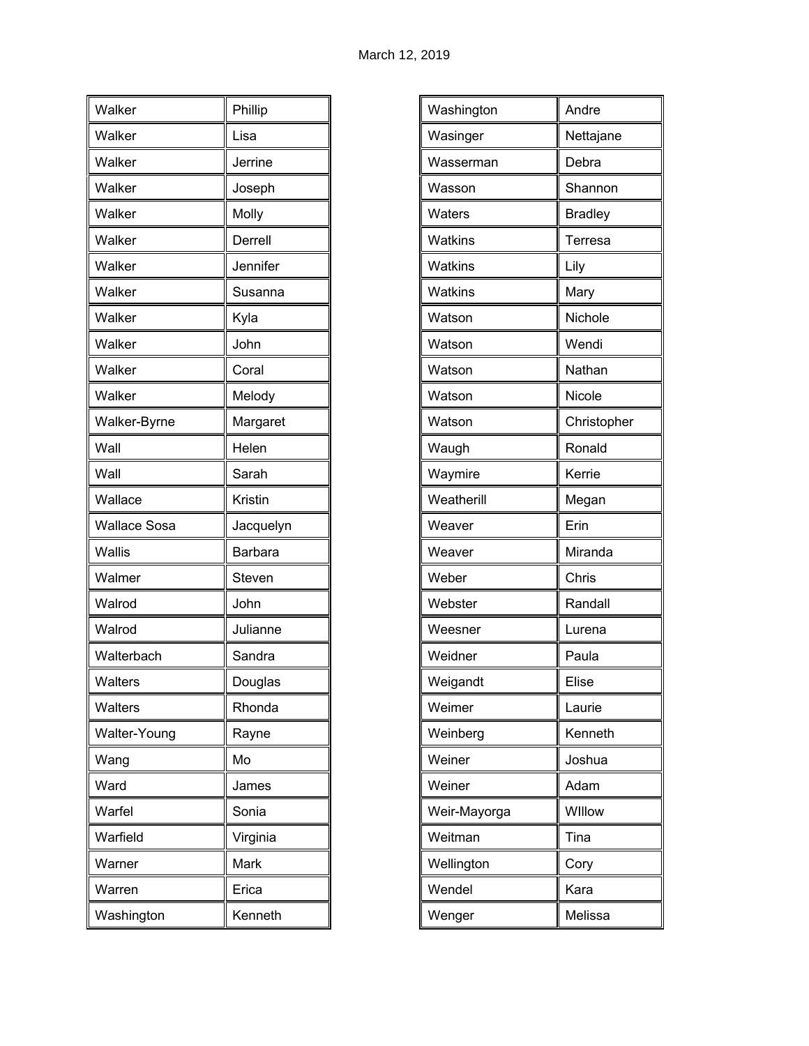| Walker              | Phillip        |
|---------------------|----------------|
| Walker              | Lisa           |
| Walker              | Jerrine        |
| Walker              | Joseph         |
| Walker              | Molly          |
| Walker              | Derrell        |
| Walker              | Jennifer       |
| Walker              | Susanna        |
| Walker              | Kyla           |
| Walker              | John           |
| Walker              | Coral          |
| Walker              | Melody         |
| Walker-Byrne        | Margaret       |
| Wall                | Helen          |
| Wall                | Sarah          |
| Wallace             | Kristin        |
| <b>Wallace Sosa</b> | Jacquelyn      |
| Wallis              | <b>Barbara</b> |
| Walmer              | Steven         |
| Walrod              | John           |
| Walrod              | Julianne       |
| Walterbach          | Sandra         |
| Walters             | Douglas        |
| Walters             | Rhonda         |
| Walter-Young        | Rayne          |
| Wang                | Mo             |
| Ward                | James          |
| Warfel              | Sonia          |
| Warfield            | Virginia       |
| Warner              | Mark           |
| Warren              | Erica          |
| Washington          | Kenneth        |
|                     |                |

| Washington     | Andre          |
|----------------|----------------|
| Wasinger       | Nettajane      |
| Wasserman      | Debra          |
| Wasson         | Shannon        |
| Waters         | <b>Bradley</b> |
| <b>Watkins</b> | Terresa        |
| <b>Watkins</b> | Lily           |
| Watkins        | Mary           |
| Watson         | Nichole        |
| Watson         | Wendi          |
| Watson         | Nathan         |
| Watson         | Nicole         |
| Watson         | Christopher    |
| Waugh          | Ronald         |
| Waymire        | Kerrie         |
| Weatherill     | Megan          |
| Weaver         | Erin           |
| Weaver         | Miranda        |
| Weber          | Chris          |
| Webster        | Randall        |
| Weesner        | Lurena         |
| Weidner        | Paula          |
| Weigandt       | Elise          |
| Weimer         | Laurie         |
| Weinberg       | Kenneth        |
| Weiner         | Joshua         |
| Weiner         | Adam           |
| Weir-Mayorga   | Willow         |
| Weitman        | Tina           |
| Wellington     | Cory           |
| Wendel         | Kara           |
| Wenger         | Melissa        |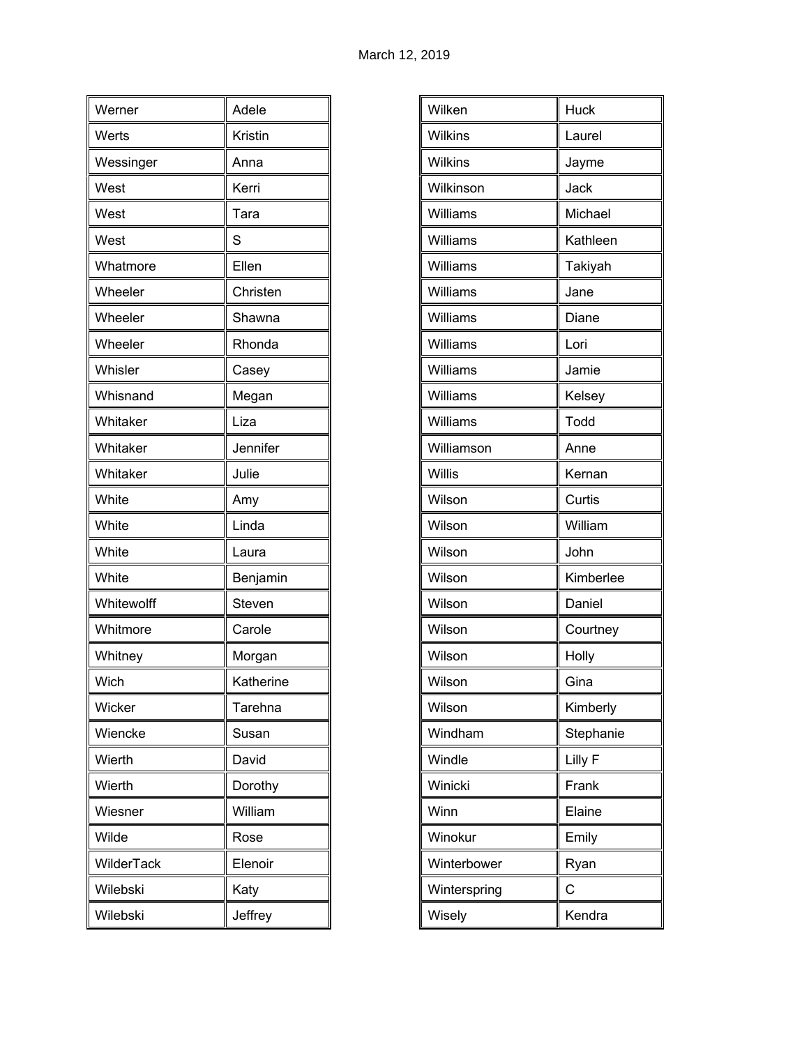| Werner     | Adele     |
|------------|-----------|
| Werts      | Kristin   |
| Wessinger  | Anna      |
| West       | Kerri     |
| West       | Tara      |
| West       | S         |
| Whatmore   | Ellen     |
| Wheeler    | Christen  |
| Wheeler    | Shawna    |
| Wheeler    | Rhonda    |
| Whisler    | Casey     |
| Whisnand   | Megan     |
| Whitaker   | Liza      |
| Whitaker   | Jennifer  |
| Whitaker   | Julie     |
| White      | Amy       |
| White      | Linda     |
| White      | Laura     |
| White      | Benjamin  |
| Whitewolff | Steven    |
| Whitmore   | Carole    |
| Whitney    | Morgan    |
| Wich       | Katherine |
| Wicker     | Tarehna   |
| Wiencke    | Susan     |
| Wierth     | David     |
| Wierth     | Dorothy   |
| Wiesner    | William   |
| Wilde      | Rose      |
| WilderTack | Elenoir   |
| Wilebski   | Katy      |
| Wilebski   | Jeffrey   |

| <b>Wilkins</b><br>Laurel<br>Wilkins<br>Jayme<br>Wilkinson<br>Jack<br>Williams<br>Michael<br>Williams<br>Kathleen<br>Williams<br>Takiyah<br>Williams<br>Jane<br>Williams<br>Diane<br>Williams<br>Lori<br>Williams<br>Jamie<br>Williams<br>Kelsey<br>Williams<br>Todd<br>Williamson<br>Anne<br>Willis<br>Kernan<br>Wilson<br>Curtis<br>William<br>Wilson<br>Wilson<br>John<br>Wilson<br>Kimberlee<br>Wilson<br>Daniel<br>Wilson<br>Courtney<br>Wilson<br>Holly<br>Wilson<br>Gina<br>Wilson<br>Kimberly<br>Windham<br>Stephanie<br>Lilly F<br>Windle<br>Winicki<br>Frank<br>Winn<br>Elaine<br>Winokur<br>Emily<br>Winterbower<br>Ryan<br>С<br>Winterspring<br>Wisely<br>Kendra |        |             |
|-----------------------------------------------------------------------------------------------------------------------------------------------------------------------------------------------------------------------------------------------------------------------------------------------------------------------------------------------------------------------------------------------------------------------------------------------------------------------------------------------------------------------------------------------------------------------------------------------------------------------------------------------------------------------------|--------|-------------|
|                                                                                                                                                                                                                                                                                                                                                                                                                                                                                                                                                                                                                                                                             | Wilken | <b>Huck</b> |
|                                                                                                                                                                                                                                                                                                                                                                                                                                                                                                                                                                                                                                                                             |        |             |
|                                                                                                                                                                                                                                                                                                                                                                                                                                                                                                                                                                                                                                                                             |        |             |
|                                                                                                                                                                                                                                                                                                                                                                                                                                                                                                                                                                                                                                                                             |        |             |
|                                                                                                                                                                                                                                                                                                                                                                                                                                                                                                                                                                                                                                                                             |        |             |
|                                                                                                                                                                                                                                                                                                                                                                                                                                                                                                                                                                                                                                                                             |        |             |
|                                                                                                                                                                                                                                                                                                                                                                                                                                                                                                                                                                                                                                                                             |        |             |
|                                                                                                                                                                                                                                                                                                                                                                                                                                                                                                                                                                                                                                                                             |        |             |
|                                                                                                                                                                                                                                                                                                                                                                                                                                                                                                                                                                                                                                                                             |        |             |
|                                                                                                                                                                                                                                                                                                                                                                                                                                                                                                                                                                                                                                                                             |        |             |
|                                                                                                                                                                                                                                                                                                                                                                                                                                                                                                                                                                                                                                                                             |        |             |
|                                                                                                                                                                                                                                                                                                                                                                                                                                                                                                                                                                                                                                                                             |        |             |
|                                                                                                                                                                                                                                                                                                                                                                                                                                                                                                                                                                                                                                                                             |        |             |
|                                                                                                                                                                                                                                                                                                                                                                                                                                                                                                                                                                                                                                                                             |        |             |
|                                                                                                                                                                                                                                                                                                                                                                                                                                                                                                                                                                                                                                                                             |        |             |
|                                                                                                                                                                                                                                                                                                                                                                                                                                                                                                                                                                                                                                                                             |        |             |
|                                                                                                                                                                                                                                                                                                                                                                                                                                                                                                                                                                                                                                                                             |        |             |
|                                                                                                                                                                                                                                                                                                                                                                                                                                                                                                                                                                                                                                                                             |        |             |
|                                                                                                                                                                                                                                                                                                                                                                                                                                                                                                                                                                                                                                                                             |        |             |
|                                                                                                                                                                                                                                                                                                                                                                                                                                                                                                                                                                                                                                                                             |        |             |
|                                                                                                                                                                                                                                                                                                                                                                                                                                                                                                                                                                                                                                                                             |        |             |
|                                                                                                                                                                                                                                                                                                                                                                                                                                                                                                                                                                                                                                                                             |        |             |
|                                                                                                                                                                                                                                                                                                                                                                                                                                                                                                                                                                                                                                                                             |        |             |
|                                                                                                                                                                                                                                                                                                                                                                                                                                                                                                                                                                                                                                                                             |        |             |
|                                                                                                                                                                                                                                                                                                                                                                                                                                                                                                                                                                                                                                                                             |        |             |
|                                                                                                                                                                                                                                                                                                                                                                                                                                                                                                                                                                                                                                                                             |        |             |
|                                                                                                                                                                                                                                                                                                                                                                                                                                                                                                                                                                                                                                                                             |        |             |
|                                                                                                                                                                                                                                                                                                                                                                                                                                                                                                                                                                                                                                                                             |        |             |
|                                                                                                                                                                                                                                                                                                                                                                                                                                                                                                                                                                                                                                                                             |        |             |
|                                                                                                                                                                                                                                                                                                                                                                                                                                                                                                                                                                                                                                                                             |        |             |
|                                                                                                                                                                                                                                                                                                                                                                                                                                                                                                                                                                                                                                                                             |        |             |
|                                                                                                                                                                                                                                                                                                                                                                                                                                                                                                                                                                                                                                                                             |        |             |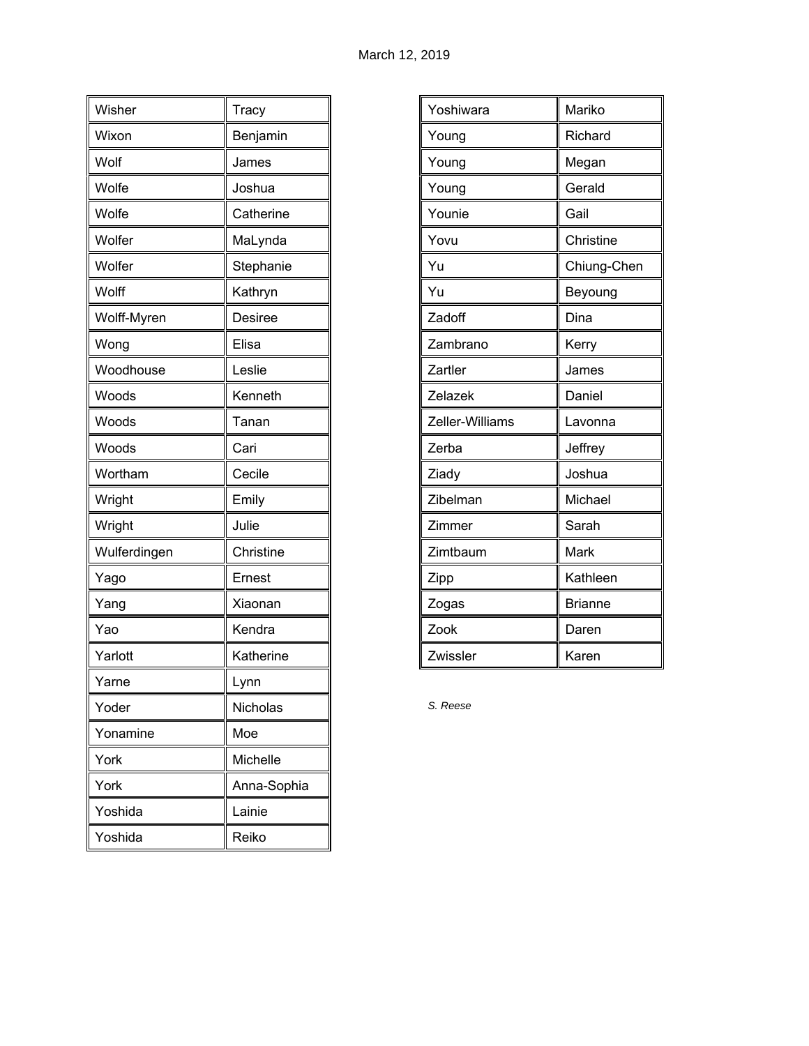| Wisher       | Tracy       |
|--------------|-------------|
| Wixon        | Benjamin    |
| Wolf         | James       |
| Wolfe        | Joshua      |
| Wolfe        | Catherine   |
| Wolfer       | MaLynda     |
| Wolfer       | Stephanie   |
| Wolff        | Kathryn     |
| Wolff-Myren  | Desiree     |
| Wong         | Elisa       |
| Woodhouse    | Leslie      |
| Woods        | Kenneth     |
| Woods        | Tanan       |
| Woods        | Cari        |
| Wortham      | Cecile      |
| Wright       | Emily       |
| Wright       | Julie       |
| Wulferdingen | Christine   |
| Yago         | Ernest      |
| Yang         | Xiaonan     |
| Yao          | Kendra      |
| Yarlott      | Katherine   |
| Yarne        | Lynn        |
| Yoder        | Nicholas    |
| Yonamine     | Moe         |
| York         | Michelle    |
| York         | Anna-Sophia |
| Yoshida      | Lainie      |
| Yoshida      | Reiko       |

| Yoshiwara       | Mariko         |
|-----------------|----------------|
| Young           | Richard        |
| Young           | Megan          |
| Young           | Gerald         |
| Younie          | Gail           |
| Yovu            | Christine      |
| Yu              | Chiung-Chen    |
| Yu              | Beyoung        |
| Zadoff          | Dina           |
| Zambrano        | Kerry          |
| Zartler         | James          |
| Zelazek         | Daniel         |
| Zeller-Williams | Lavonna        |
| Zerba           | Jeffrey        |
| Ziady           | Joshua         |
| Zibelman        | Michael        |
| Zimmer          | Sarah          |
| Zimtbaum        | Mark           |
| Zipp            | Kathleen       |
| Zogas           | <b>Brianne</b> |
| Zook            | Daren          |
| Zwissler        | Karen          |

*S. Reese*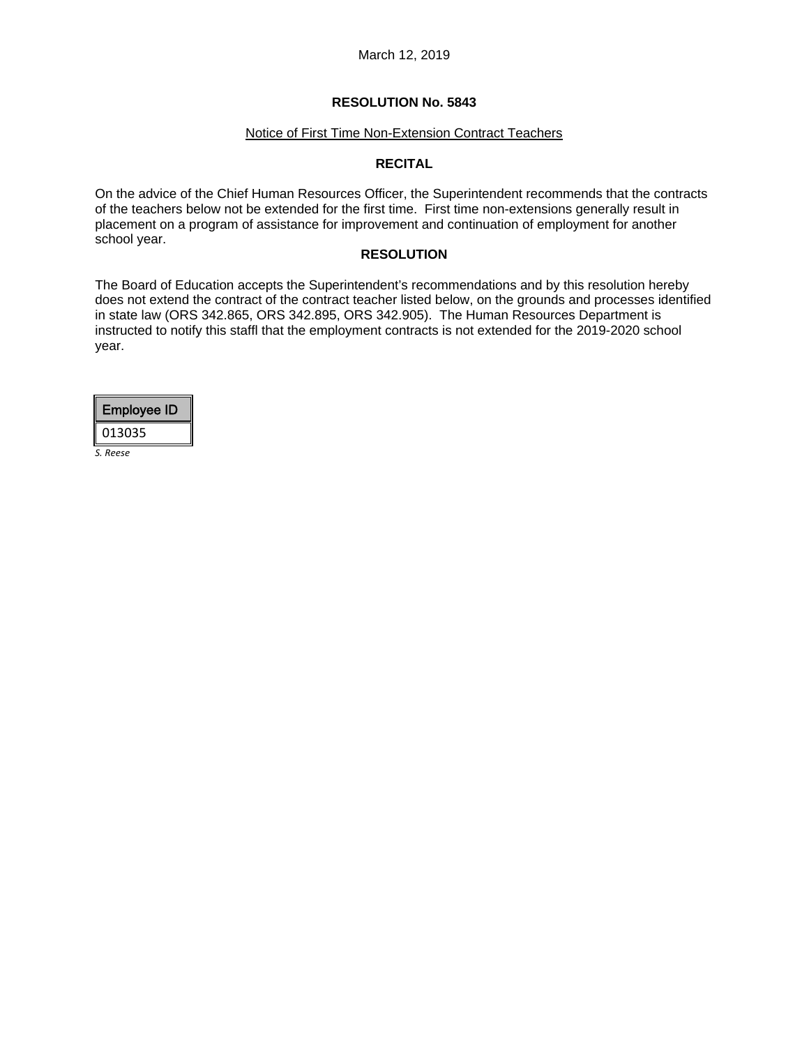#### Notice of First Time Non-Extension Contract Teachers

## **RECITAL**

On the advice of the Chief Human Resources Officer, the Superintendent recommends that the contracts of the teachers below not be extended for the first time. First time non-extensions generally result in placement on a program of assistance for improvement and continuation of employment for another school year.

### **RESOLUTION**

The Board of Education accepts the Superintendent's recommendations and by this resolution hereby does not extend the contract of the contract teacher listed below, on the grounds and processes identified in state law (ORS 342.865, ORS 342.895, ORS 342.905). The Human Resources Department is instructed to notify this staffl that the employment contracts is not extended for the 2019-2020 school year.

|          | <b>Employee ID</b> |
|----------|--------------------|
| 013035   |                    |
| S. Reese |                    |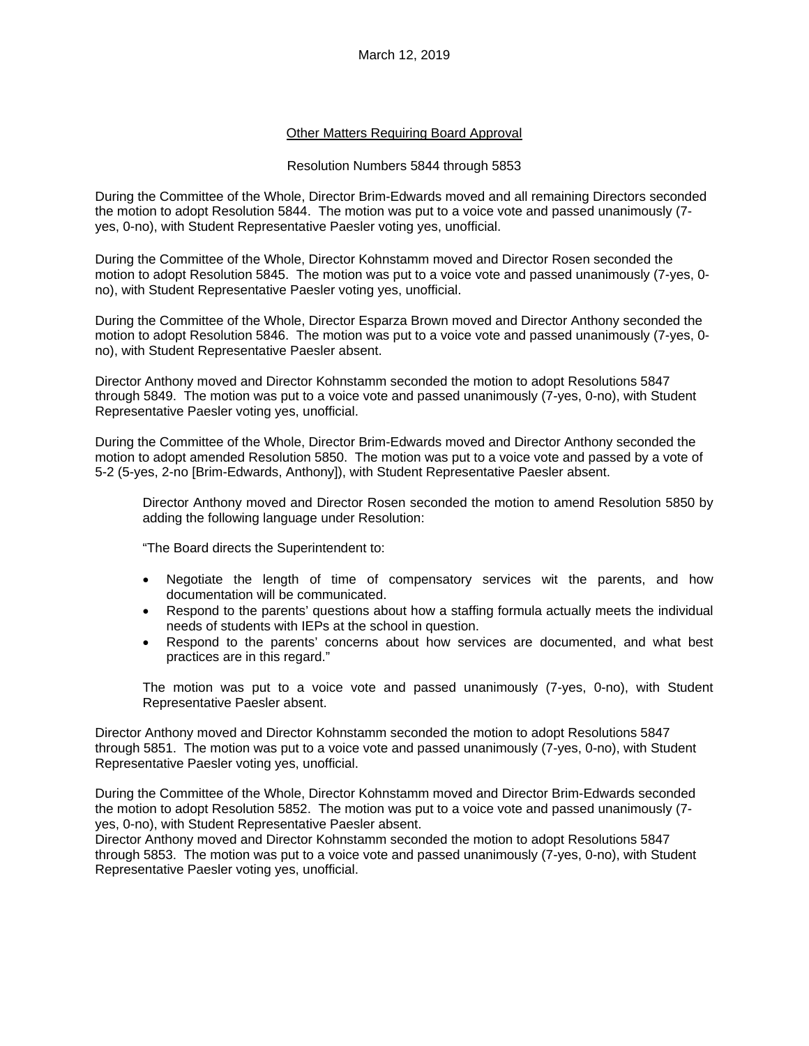### Other Matters Requiring Board Approval

#### Resolution Numbers 5844 through 5853

During the Committee of the Whole, Director Brim-Edwards moved and all remaining Directors seconded the motion to adopt Resolution 5844. The motion was put to a voice vote and passed unanimously (7 yes, 0-no), with Student Representative Paesler voting yes, unofficial.

During the Committee of the Whole, Director Kohnstamm moved and Director Rosen seconded the motion to adopt Resolution 5845. The motion was put to a voice vote and passed unanimously (7-yes, 0 no), with Student Representative Paesler voting yes, unofficial.

During the Committee of the Whole, Director Esparza Brown moved and Director Anthony seconded the motion to adopt Resolution 5846. The motion was put to a voice vote and passed unanimously (7-yes, 0 no), with Student Representative Paesler absent.

Director Anthony moved and Director Kohnstamm seconded the motion to adopt Resolutions 5847 through 5849. The motion was put to a voice vote and passed unanimously (7-yes, 0-no), with Student Representative Paesler voting yes, unofficial.

During the Committee of the Whole, Director Brim-Edwards moved and Director Anthony seconded the motion to adopt amended Resolution 5850. The motion was put to a voice vote and passed by a vote of 5-2 (5-yes, 2-no [Brim-Edwards, Anthony]), with Student Representative Paesler absent.

Director Anthony moved and Director Rosen seconded the motion to amend Resolution 5850 by adding the following language under Resolution:

"The Board directs the Superintendent to:

- Negotiate the length of time of compensatory services wit the parents, and how documentation will be communicated.
- Respond to the parents' questions about how a staffing formula actually meets the individual needs of students with IEPs at the school in question.
- Respond to the parents' concerns about how services are documented, and what best practices are in this regard."

The motion was put to a voice vote and passed unanimously (7-yes, 0-no), with Student Representative Paesler absent.

Director Anthony moved and Director Kohnstamm seconded the motion to adopt Resolutions 5847 through 5851. The motion was put to a voice vote and passed unanimously (7-yes, 0-no), with Student Representative Paesler voting yes, unofficial.

During the Committee of the Whole, Director Kohnstamm moved and Director Brim-Edwards seconded the motion to adopt Resolution 5852. The motion was put to a voice vote and passed unanimously (7 yes, 0-no), with Student Representative Paesler absent.

Director Anthony moved and Director Kohnstamm seconded the motion to adopt Resolutions 5847 through 5853. The motion was put to a voice vote and passed unanimously (7-yes, 0-no), with Student Representative Paesler voting yes, unofficial.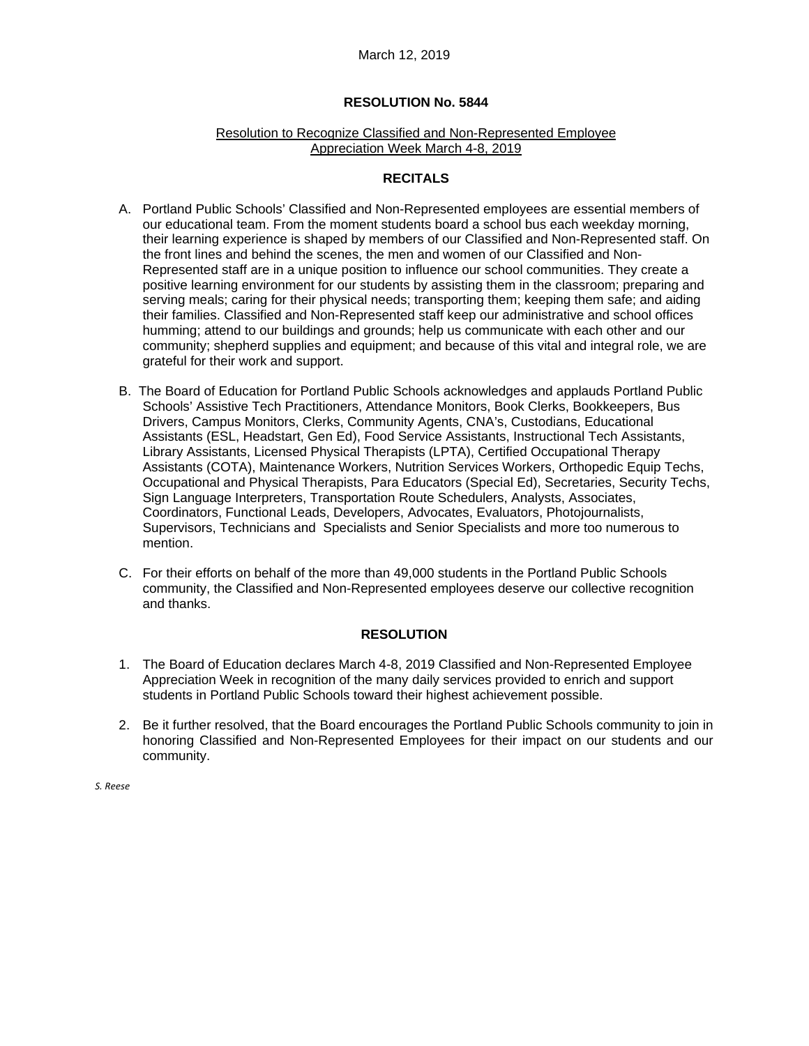#### March 12, 2019

#### **RESOLUTION No. 5844**

#### Resolution to Recognize Classified and Non-Represented Employee Appreciation Week March 4-8, 2019

## **RECITALS**

- A. Portland Public Schools' Classified and Non-Represented employees are essential members of our educational team. From the moment students board a school bus each weekday morning, their learning experience is shaped by members of our Classified and Non-Represented staff. On the front lines and behind the scenes, the men and women of our Classified and Non-Represented staff are in a unique position to influence our school communities. They create a positive learning environment for our students by assisting them in the classroom; preparing and serving meals; caring for their physical needs; transporting them; keeping them safe; and aiding their families. Classified and Non-Represented staff keep our administrative and school offices humming; attend to our buildings and grounds; help us communicate with each other and our community; shepherd supplies and equipment; and because of this vital and integral role, we are grateful for their work and support.
- B. The Board of Education for Portland Public Schools acknowledges and applauds Portland Public Schools' Assistive Tech Practitioners, Attendance Monitors, Book Clerks, Bookkeepers, Bus Drivers, Campus Monitors, Clerks, Community Agents, CNA's, Custodians, Educational Assistants (ESL, Headstart, Gen Ed), Food Service Assistants, Instructional Tech Assistants, Library Assistants, Licensed Physical Therapists (LPTA), Certified Occupational Therapy Assistants (COTA), Maintenance Workers, Nutrition Services Workers, Orthopedic Equip Techs, Occupational and Physical Therapists, Para Educators (Special Ed), Secretaries, Security Techs, Sign Language Interpreters, Transportation Route Schedulers, Analysts, Associates, Coordinators, Functional Leads, Developers, Advocates, Evaluators, Photojournalists, Supervisors, Technicians and Specialists and Senior Specialists and more too numerous to mention.
- C. For their efforts on behalf of the more than 49,000 students in the Portland Public Schools community, the Classified and Non-Represented employees deserve our collective recognition and thanks.

# **RESOLUTION**

- 1. The Board of Education declares March 4-8, 2019 Classified and Non-Represented Employee Appreciation Week in recognition of the many daily services provided to enrich and support students in Portland Public Schools toward their highest achievement possible.
- 2. Be it further resolved, that the Board encourages the Portland Public Schools community to join in honoring Classified and Non-Represented Employees for their impact on our students and our community.

*S. Reese*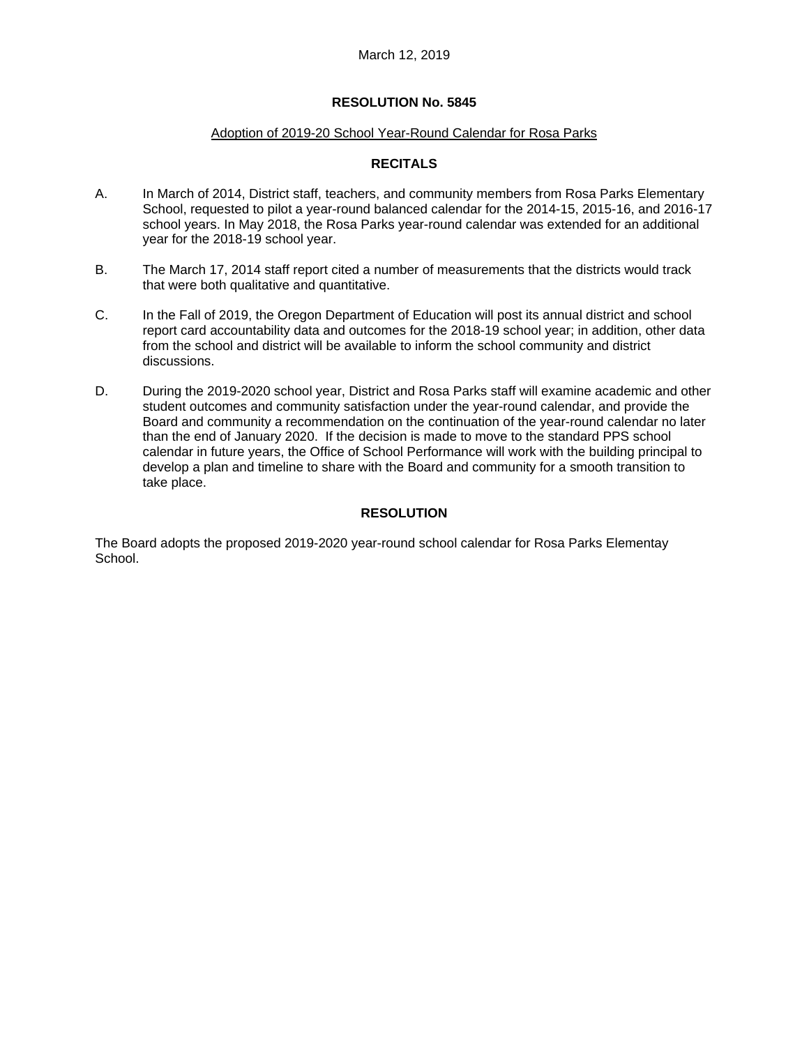#### Adoption of 2019-20 School Year-Round Calendar for Rosa Parks

# **RECITALS**

- A. In March of 2014, District staff, teachers, and community members from Rosa Parks Elementary School, requested to pilot a year-round balanced calendar for the 2014-15, 2015-16, and 2016-17 school years. In May 2018, the Rosa Parks year-round calendar was extended for an additional year for the 2018-19 school year.
- B. The March 17, 2014 staff report cited a number of measurements that the districts would track that were both qualitative and quantitative.
- C. In the Fall of 2019, the Oregon Department of Education will post its annual district and school report card accountability data and outcomes for the 2018-19 school year; in addition, other data from the school and district will be available to inform the school community and district discussions.
- D. During the 2019-2020 school year, District and Rosa Parks staff will examine academic and other student outcomes and community satisfaction under the year-round calendar, and provide the Board and community a recommendation on the continuation of the year-round calendar no later than the end of January 2020. If the decision is made to move to the standard PPS school calendar in future years, the Office of School Performance will work with the building principal to develop a plan and timeline to share with the Board and community for a smooth transition to take place.

# **RESOLUTION**

The Board adopts the proposed 2019-2020 year-round school calendar for Rosa Parks Elementay School.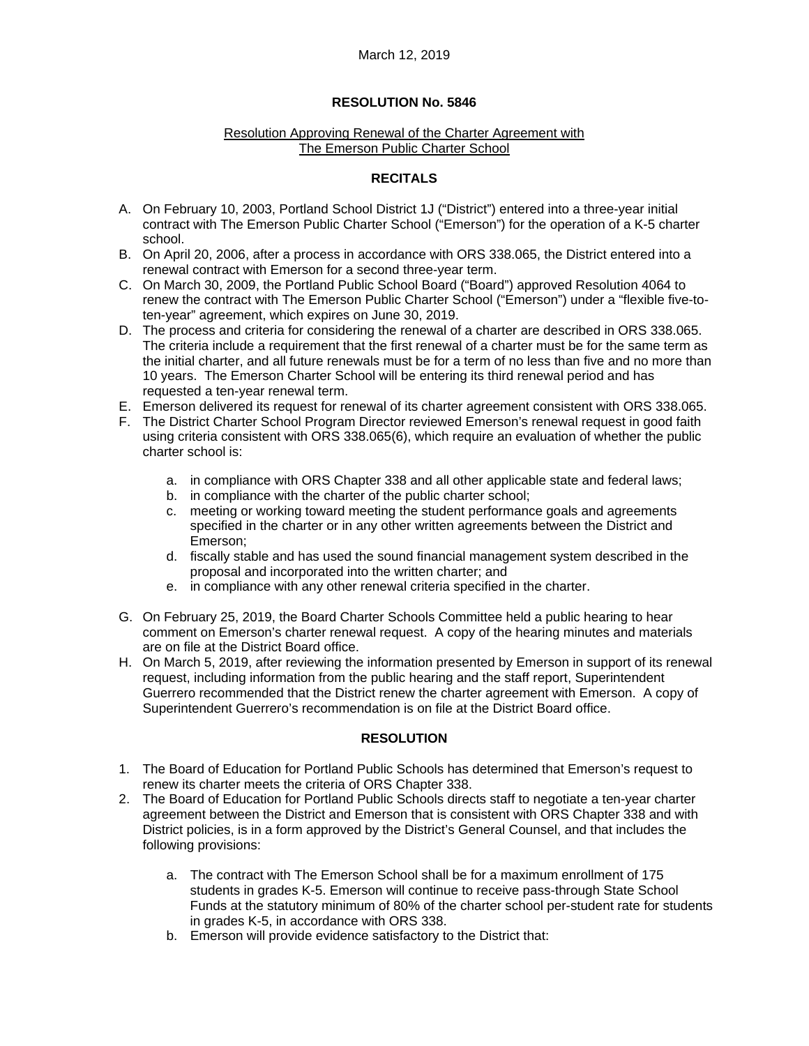#### Resolution Approving Renewal of the Charter Agreement with The Emerson Public Charter School

# **RECITALS**

- A. On February 10, 2003, Portland School District 1J ("District") entered into a three-year initial contract with The Emerson Public Charter School ("Emerson") for the operation of a K-5 charter school.
- B. On April 20, 2006, after a process in accordance with ORS 338.065, the District entered into a renewal contract with Emerson for a second three-year term.
- C. On March 30, 2009, the Portland Public School Board ("Board") approved Resolution 4064 to renew the contract with The Emerson Public Charter School ("Emerson") under a "flexible five-toten-year" agreement, which expires on June 30, 2019.
- D. The process and criteria for considering the renewal of a charter are described in ORS 338.065. The criteria include a requirement that the first renewal of a charter must be for the same term as the initial charter, and all future renewals must be for a term of no less than five and no more than 10 years. The Emerson Charter School will be entering its third renewal period and has requested a ten-year renewal term.
- E. Emerson delivered its request for renewal of its charter agreement consistent with ORS 338.065.
- F. The District Charter School Program Director reviewed Emerson's renewal request in good faith using criteria consistent with ORS 338.065(6), which require an evaluation of whether the public charter school is:
	- a. in compliance with ORS Chapter 338 and all other applicable state and federal laws;
	- b. in compliance with the charter of the public charter school;
	- c. meeting or working toward meeting the student performance goals and agreements specified in the charter or in any other written agreements between the District and Emerson;
	- d. fiscally stable and has used the sound financial management system described in the proposal and incorporated into the written charter; and
	- e. in compliance with any other renewal criteria specified in the charter.
- G. On February 25, 2019, the Board Charter Schools Committee held a public hearing to hear comment on Emerson's charter renewal request. A copy of the hearing minutes and materials are on file at the District Board office.
- H. On March 5, 2019, after reviewing the information presented by Emerson in support of its renewal request, including information from the public hearing and the staff report, Superintendent Guerrero recommended that the District renew the charter agreement with Emerson. A copy of Superintendent Guerrero's recommendation is on file at the District Board office.

# **RESOLUTION**

- 1. The Board of Education for Portland Public Schools has determined that Emerson's request to renew its charter meets the criteria of ORS Chapter 338.
- 2. The Board of Education for Portland Public Schools directs staff to negotiate a ten-year charter agreement between the District and Emerson that is consistent with ORS Chapter 338 and with District policies, is in a form approved by the District's General Counsel, and that includes the following provisions:
	- a. The contract with The Emerson School shall be for a maximum enrollment of 175 students in grades K-5. Emerson will continue to receive pass-through State School Funds at the statutory minimum of 80% of the charter school per-student rate for students in grades K-5, in accordance with ORS 338.
	- b. Emerson will provide evidence satisfactory to the District that: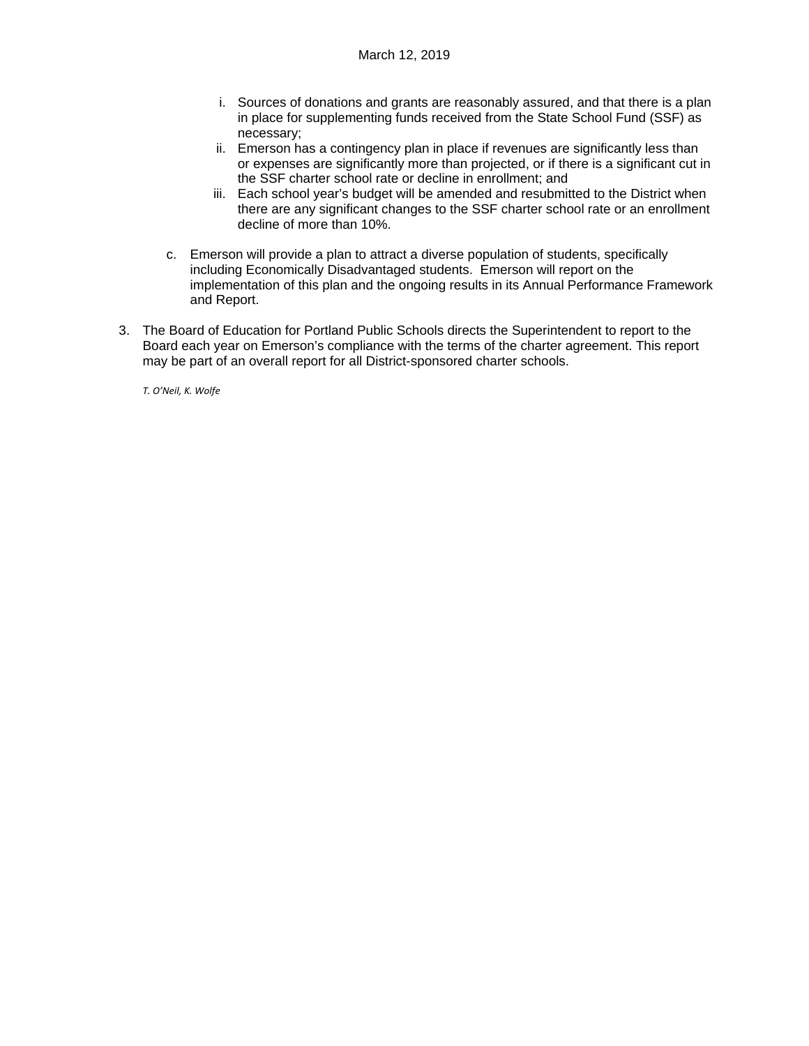- i. Sources of donations and grants are reasonably assured, and that there is a plan in place for supplementing funds received from the State School Fund (SSF) as necessary;
- ii. Emerson has a contingency plan in place if revenues are significantly less than or expenses are significantly more than projected, or if there is a significant cut in the SSF charter school rate or decline in enrollment; and
- iii. Each school year's budget will be amended and resubmitted to the District when there are any significant changes to the SSF charter school rate or an enrollment decline of more than 10%.
- c. Emerson will provide a plan to attract a diverse population of students, specifically including Economically Disadvantaged students. Emerson will report on the implementation of this plan and the ongoing results in its Annual Performance Framework and Report.
- 3. The Board of Education for Portland Public Schools directs the Superintendent to report to the Board each year on Emerson's compliance with the terms of the charter agreement. This report may be part of an overall report for all District-sponsored charter schools.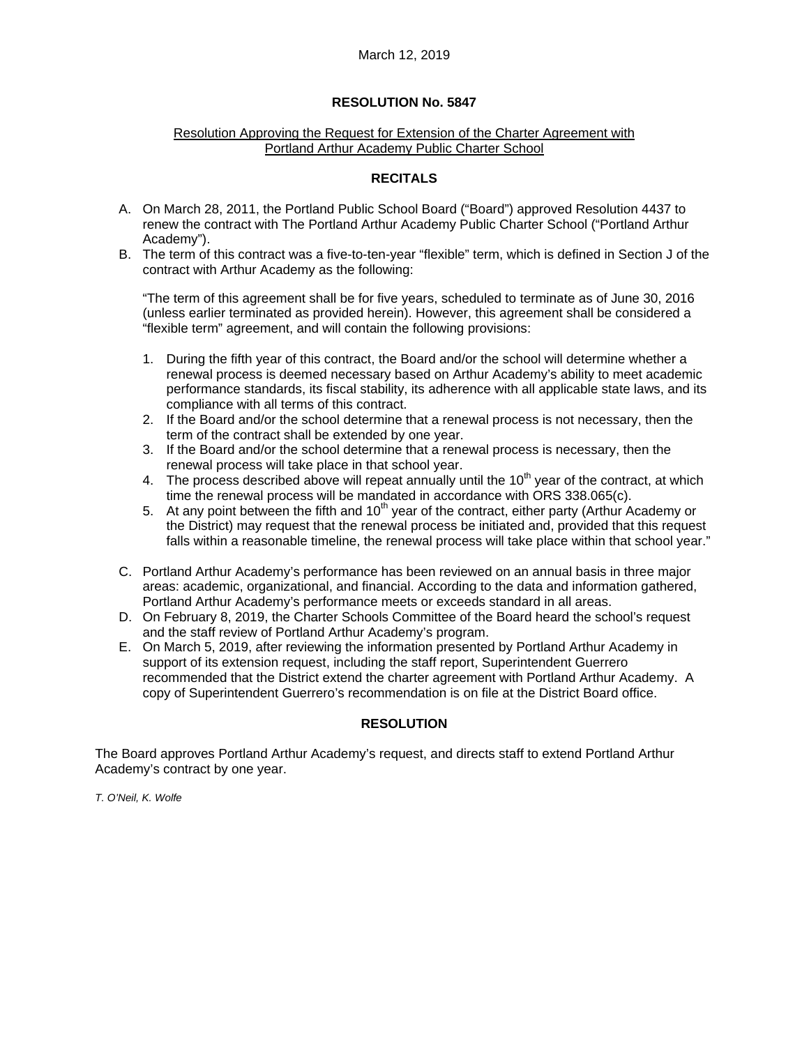#### Resolution Approving the Request for Extension of the Charter Agreement with Portland Arthur Academy Public Charter School

### **RECITALS**

- A. On March 28, 2011, the Portland Public School Board ("Board") approved Resolution 4437 to renew the contract with The Portland Arthur Academy Public Charter School ("Portland Arthur Academy").
- B. The term of this contract was a five-to-ten-year "flexible" term, which is defined in Section J of the contract with Arthur Academy as the following:

"The term of this agreement shall be for five years, scheduled to terminate as of June 30, 2016 (unless earlier terminated as provided herein). However, this agreement shall be considered a "flexible term" agreement, and will contain the following provisions:

- 1. During the fifth year of this contract, the Board and/or the school will determine whether a renewal process is deemed necessary based on Arthur Academy's ability to meet academic performance standards, its fiscal stability, its adherence with all applicable state laws, and its compliance with all terms of this contract.
- 2. If the Board and/or the school determine that a renewal process is not necessary, then the term of the contract shall be extended by one year.
- 3. If the Board and/or the school determine that a renewal process is necessary, then the renewal process will take place in that school year.
- 4. The process described above will repeat annually until the  $10<sup>th</sup>$  year of the contract, at which time the renewal process will be mandated in accordance with ORS 338.065(c).
- 5. At any point between the fifth and  $10<sup>th</sup>$  year of the contract, either party (Arthur Academy or the District) may request that the renewal process be initiated and, provided that this request falls within a reasonable timeline, the renewal process will take place within that school year."
- C. Portland Arthur Academy's performance has been reviewed on an annual basis in three major areas: academic, organizational, and financial. According to the data and information gathered, Portland Arthur Academy's performance meets or exceeds standard in all areas.
- D. On February 8, 2019, the Charter Schools Committee of the Board heard the school's request and the staff review of Portland Arthur Academy's program.
- E. On March 5, 2019, after reviewing the information presented by Portland Arthur Academy in support of its extension request, including the staff report, Superintendent Guerrero recommended that the District extend the charter agreement with Portland Arthur Academy. A copy of Superintendent Guerrero's recommendation is on file at the District Board office.

# **RESOLUTION**

The Board approves Portland Arthur Academy's request, and directs staff to extend Portland Arthur Academy's contract by one year.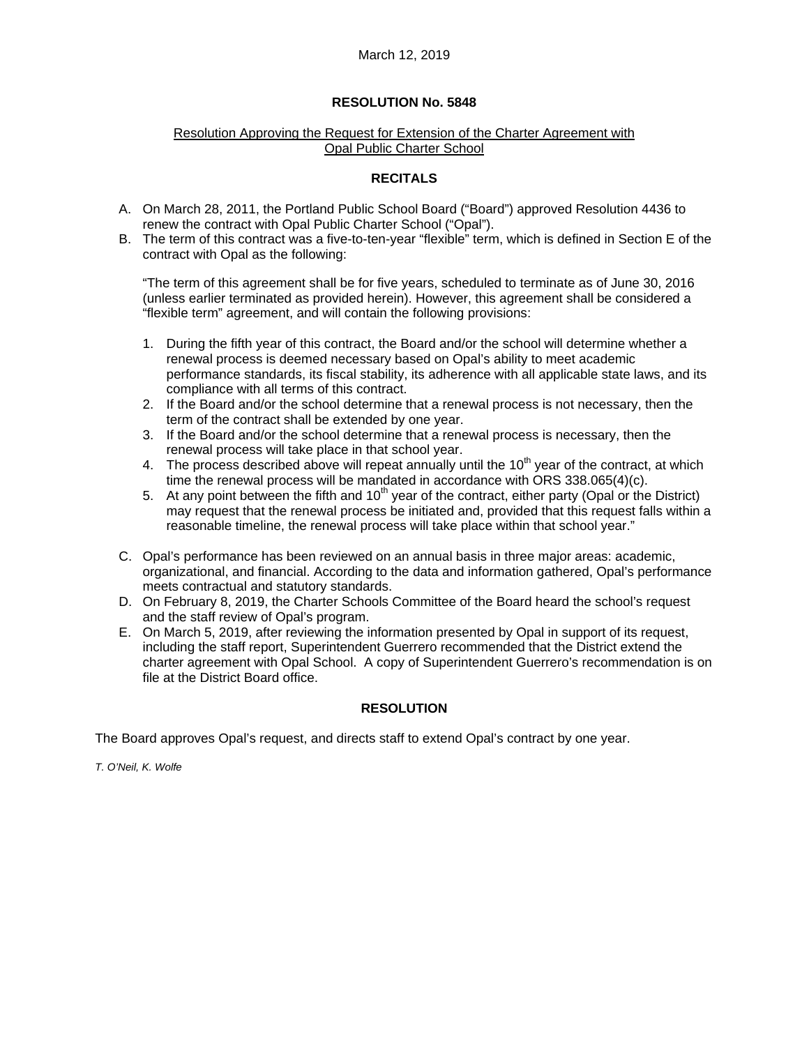### Resolution Approving the Request for Extension of the Charter Agreement with Opal Public Charter School

# **RECITALS**

- A. On March 28, 2011, the Portland Public School Board ("Board") approved Resolution 4436 to renew the contract with Opal Public Charter School ("Opal").
- B. The term of this contract was a five-to-ten-year "flexible" term, which is defined in Section E of the contract with Opal as the following:

"The term of this agreement shall be for five years, scheduled to terminate as of June 30, 2016 (unless earlier terminated as provided herein). However, this agreement shall be considered a "flexible term" agreement, and will contain the following provisions:

- 1. During the fifth year of this contract, the Board and/or the school will determine whether a renewal process is deemed necessary based on Opal's ability to meet academic performance standards, its fiscal stability, its adherence with all applicable state laws, and its compliance with all terms of this contract.
- 2. If the Board and/or the school determine that a renewal process is not necessary, then the term of the contract shall be extended by one year.
- 3. If the Board and/or the school determine that a renewal process is necessary, then the renewal process will take place in that school year.
- 4. The process described above will repeat annually until the  $10<sup>th</sup>$  year of the contract, at which time the renewal process will be mandated in accordance with ORS 338.065(4)(c).
- 5. At any point between the fifth and 10<sup>th</sup> year of the contract, either party (Opal or the District) may request that the renewal process be initiated and, provided that this request falls within a reasonable timeline, the renewal process will take place within that school year."
- C. Opal's performance has been reviewed on an annual basis in three major areas: academic, organizational, and financial. According to the data and information gathered, Opal's performance meets contractual and statutory standards.
- D. On February 8, 2019, the Charter Schools Committee of the Board heard the school's request and the staff review of Opal's program.
- E. On March 5, 2019, after reviewing the information presented by Opal in support of its request, including the staff report, Superintendent Guerrero recommended that the District extend the charter agreement with Opal School. A copy of Superintendent Guerrero's recommendation is on file at the District Board office.

# **RESOLUTION**

The Board approves Opal's request, and directs staff to extend Opal's contract by one year.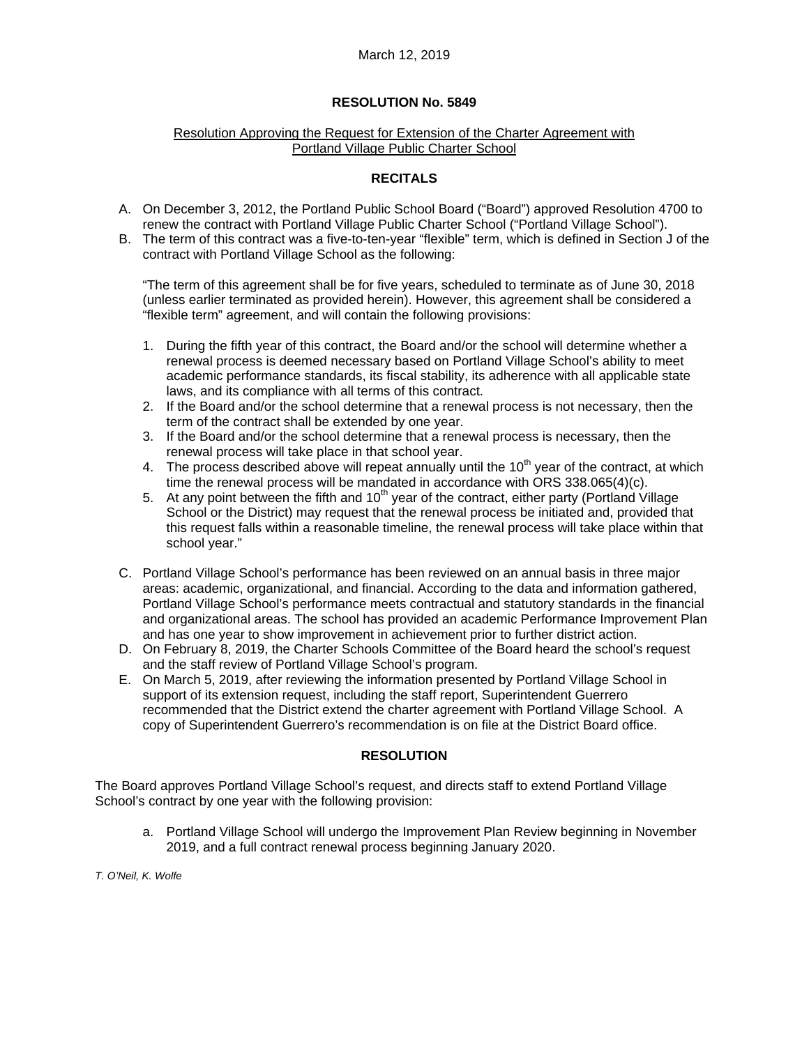#### Resolution Approving the Request for Extension of the Charter Agreement with Portland Village Public Charter School

# **RECITALS**

- A. On December 3, 2012, the Portland Public School Board ("Board") approved Resolution 4700 to renew the contract with Portland Village Public Charter School ("Portland Village School").
- B. The term of this contract was a five-to-ten-year "flexible" term, which is defined in Section J of the contract with Portland Village School as the following:

"The term of this agreement shall be for five years, scheduled to terminate as of June 30, 2018 (unless earlier terminated as provided herein). However, this agreement shall be considered a "flexible term" agreement, and will contain the following provisions:

- 1. During the fifth year of this contract, the Board and/or the school will determine whether a renewal process is deemed necessary based on Portland Village School's ability to meet academic performance standards, its fiscal stability, its adherence with all applicable state laws, and its compliance with all terms of this contract.
- 2. If the Board and/or the school determine that a renewal process is not necessary, then the term of the contract shall be extended by one year.
- 3. If the Board and/or the school determine that a renewal process is necessary, then the renewal process will take place in that school year.
- 4. The process described above will repeat annually until the  $10<sup>th</sup>$  year of the contract, at which time the renewal process will be mandated in accordance with ORS 338.065(4)(c).
- 5. At any point between the fifth and  $10<sup>th</sup>$  year of the contract, either party (Portland Village School or the District) may request that the renewal process be initiated and, provided that this request falls within a reasonable timeline, the renewal process will take place within that school year."
- C. Portland Village School's performance has been reviewed on an annual basis in three major areas: academic, organizational, and financial. According to the data and information gathered, Portland Village School's performance meets contractual and statutory standards in the financial and organizational areas. The school has provided an academic Performance Improvement Plan and has one year to show improvement in achievement prior to further district action.
- D. On February 8, 2019, the Charter Schools Committee of the Board heard the school's request and the staff review of Portland Village School's program.
- E. On March 5, 2019, after reviewing the information presented by Portland Village School in support of its extension request, including the staff report, Superintendent Guerrero recommended that the District extend the charter agreement with Portland Village School. A copy of Superintendent Guerrero's recommendation is on file at the District Board office.

# **RESOLUTION**

The Board approves Portland Village School's request, and directs staff to extend Portland Village School's contract by one year with the following provision:

a. Portland Village School will undergo the Improvement Plan Review beginning in November 2019, and a full contract renewal process beginning January 2020.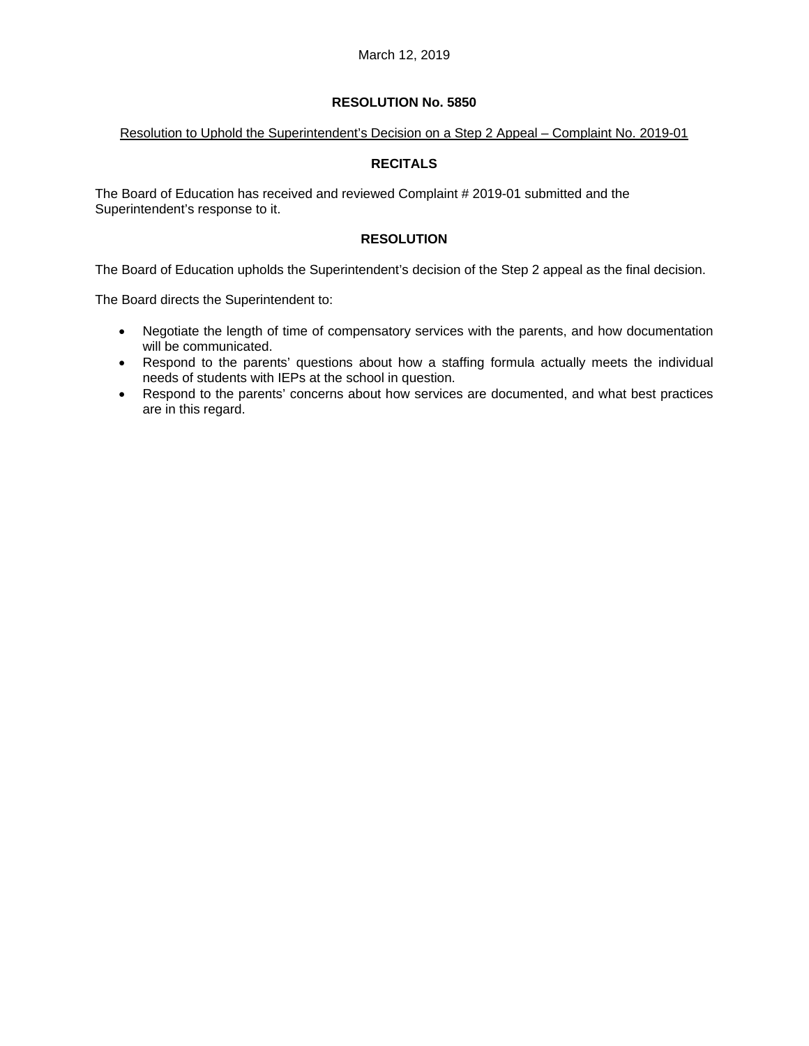#### Resolution to Uphold the Superintendent's Decision on a Step 2 Appeal – Complaint No. 2019-01

# **RECITALS**

The Board of Education has received and reviewed Complaint # 2019-01 submitted and the Superintendent's response to it.

# **RESOLUTION**

The Board of Education upholds the Superintendent's decision of the Step 2 appeal as the final decision.

The Board directs the Superintendent to:

- Negotiate the length of time of compensatory services with the parents, and how documentation will be communicated.
- Respond to the parents' questions about how a staffing formula actually meets the individual needs of students with IEPs at the school in question.
- Respond to the parents' concerns about how services are documented, and what best practices are in this regard.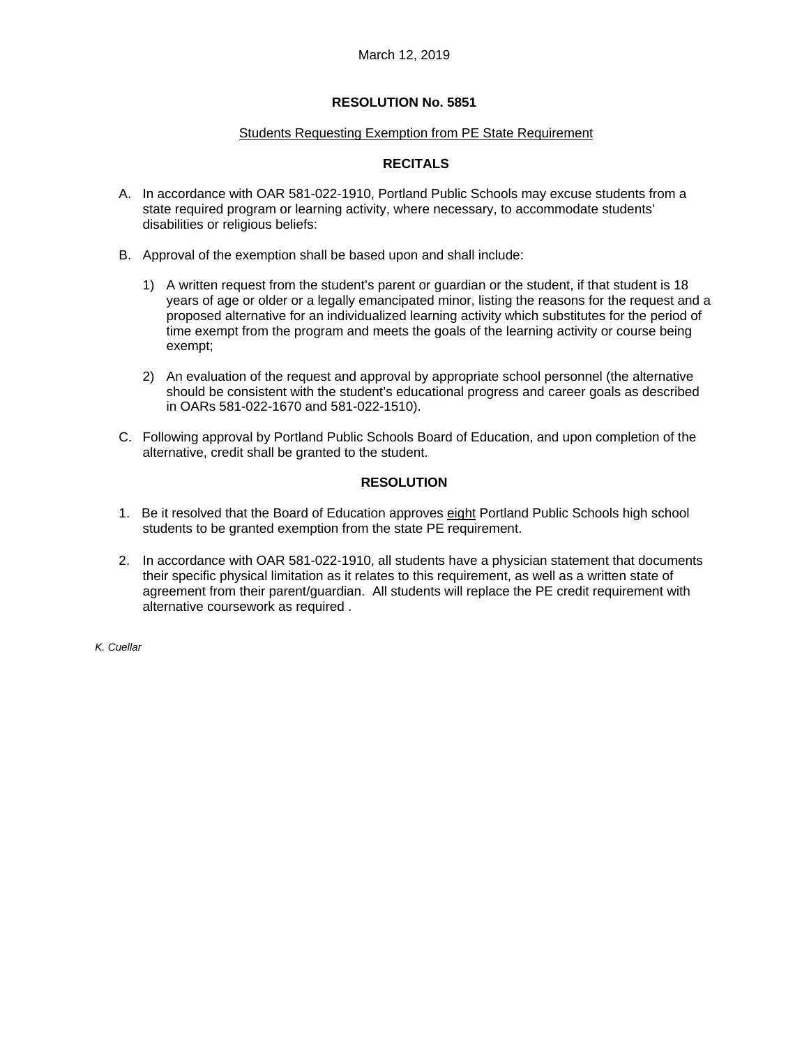#### Students Requesting Exemption from PE State Requirement

## **RECITALS**

- A. In accordance with OAR 581-022-1910, Portland Public Schools may excuse students from a state required program or learning activity, where necessary, to accommodate students' disabilities or religious beliefs:
- B. Approval of the exemption shall be based upon and shall include:
	- 1) A written request from the student's parent or guardian or the student, if that student is 18 years of age or older or a legally emancipated minor, listing the reasons for the request and a proposed alternative for an individualized learning activity which substitutes for the period of time exempt from the program and meets the goals of the learning activity or course being exempt;
	- 2) An evaluation of the request and approval by appropriate school personnel (the alternative should be consistent with the student's educational progress and career goals as described in OARs 581-022-1670 and 581-022-1510).
- C. Following approval by Portland Public Schools Board of Education, and upon completion of the alternative, credit shall be granted to the student.

### **RESOLUTION**

- 1. Be it resolved that the Board of Education approves eight Portland Public Schools high school students to be granted exemption from the state PE requirement.
- 2. In accordance with OAR 581-022-1910, all students have a physician statement that documents their specific physical limitation as it relates to this requirement, as well as a written state of agreement from their parent/guardian. All students will replace the PE credit requirement with alternative coursework as required .

*K. Cuellar*